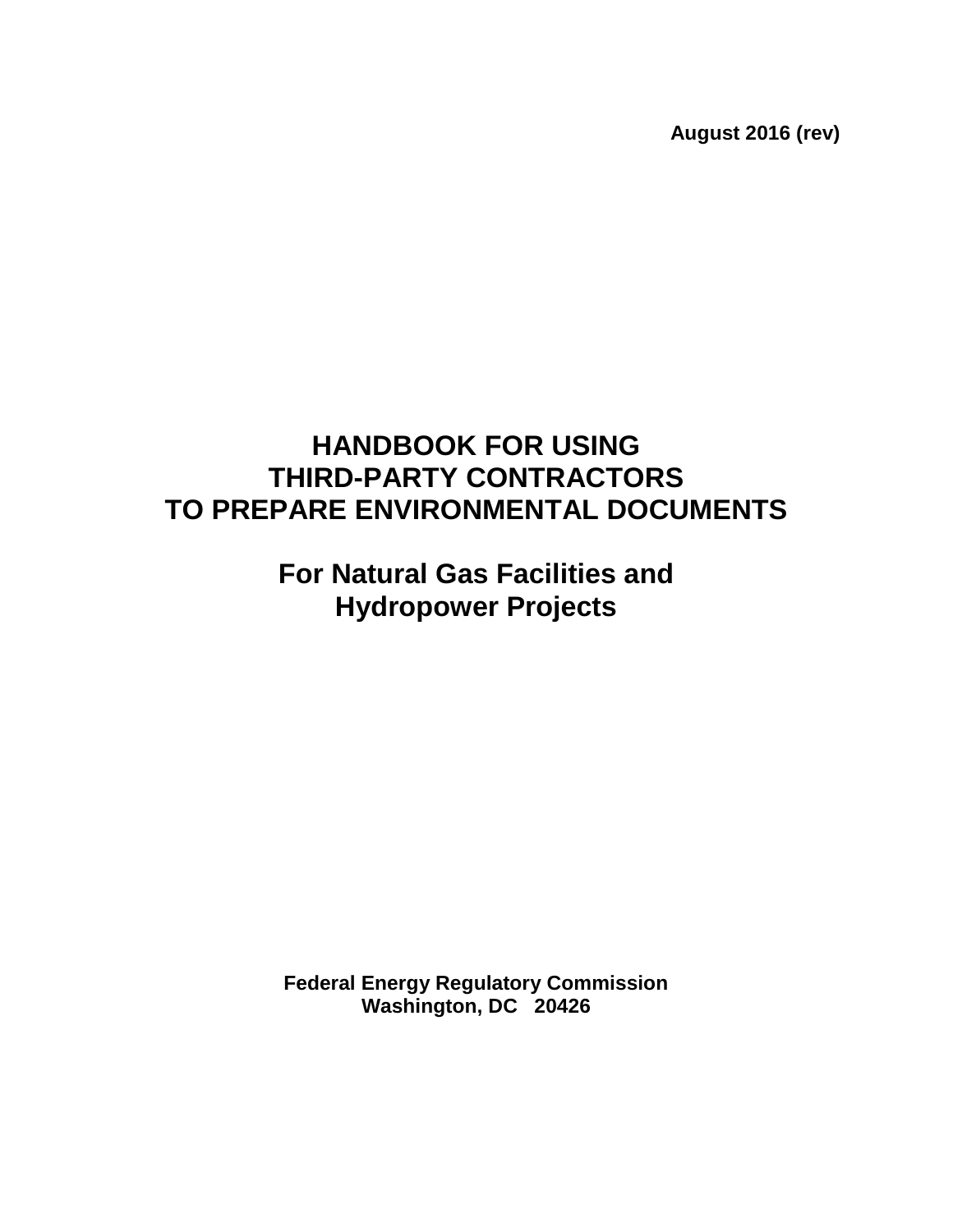**August 2016 (rev)**

# **HANDBOOK FOR USING THIRD-PARTY CONTRACTORS TO PREPARE ENVIRONMENTAL DOCUMENTS**

# **For Natural Gas Facilities and Hydropower Projects**

**Federal Energy Regulatory Commission Washington, DC 20426**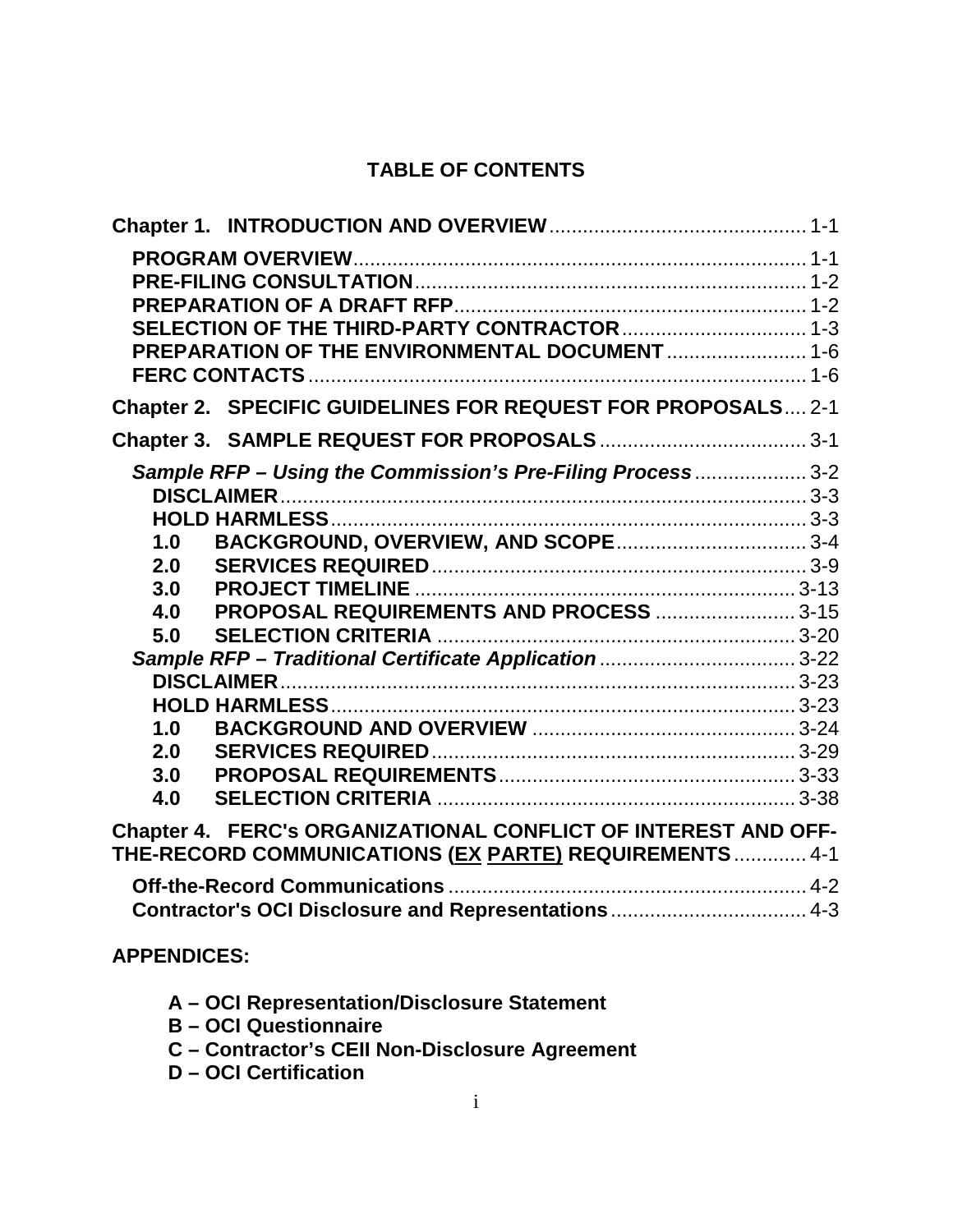# **TABLE OF CONTENTS**

|                                                                                                                          | PREPARATION OF THE ENVIRONMENTAL DOCUMENT  1-6               |  |  |
|--------------------------------------------------------------------------------------------------------------------------|--------------------------------------------------------------|--|--|
|                                                                                                                          |                                                              |  |  |
|                                                                                                                          | Chapter 2. SPECIFIC GUIDELINES FOR REQUEST FOR PROPOSALS 2-1 |  |  |
|                                                                                                                          |                                                              |  |  |
|                                                                                                                          | Sample RFP - Using the Commission's Pre-Filing Process 3-2   |  |  |
|                                                                                                                          |                                                              |  |  |
|                                                                                                                          |                                                              |  |  |
| 1.0                                                                                                                      | BACKGROUND, OVERVIEW, AND SCOPE 3-4                          |  |  |
| 2.0                                                                                                                      |                                                              |  |  |
| 3.0                                                                                                                      |                                                              |  |  |
| 4.0                                                                                                                      | PROPOSAL REQUIREMENTS AND PROCESS  3-15                      |  |  |
| 5.0                                                                                                                      |                                                              |  |  |
|                                                                                                                          |                                                              |  |  |
|                                                                                                                          |                                                              |  |  |
| 1.0                                                                                                                      |                                                              |  |  |
| 2.0                                                                                                                      |                                                              |  |  |
| 3.0                                                                                                                      |                                                              |  |  |
| 4.0                                                                                                                      |                                                              |  |  |
|                                                                                                                          |                                                              |  |  |
| Chapter 4. FERC's ORGANIZATIONAL CONFLICT OF INTEREST AND OFF-<br>THE-RECORD COMMUNICATIONS (EX PARTE) REQUIREMENTS  4-1 |                                                              |  |  |
|                                                                                                                          |                                                              |  |  |
|                                                                                                                          | Contractor's OCI Disclosure and Representations  4-3         |  |  |
|                                                                                                                          |                                                              |  |  |

## **APPENDICES:**

- **A – OCI Representation/Disclosure Statement**
- **B – OCI Questionnaire**
- **C – Contractor's CEII Non-Disclosure Agreement**
- **D – OCI Certification**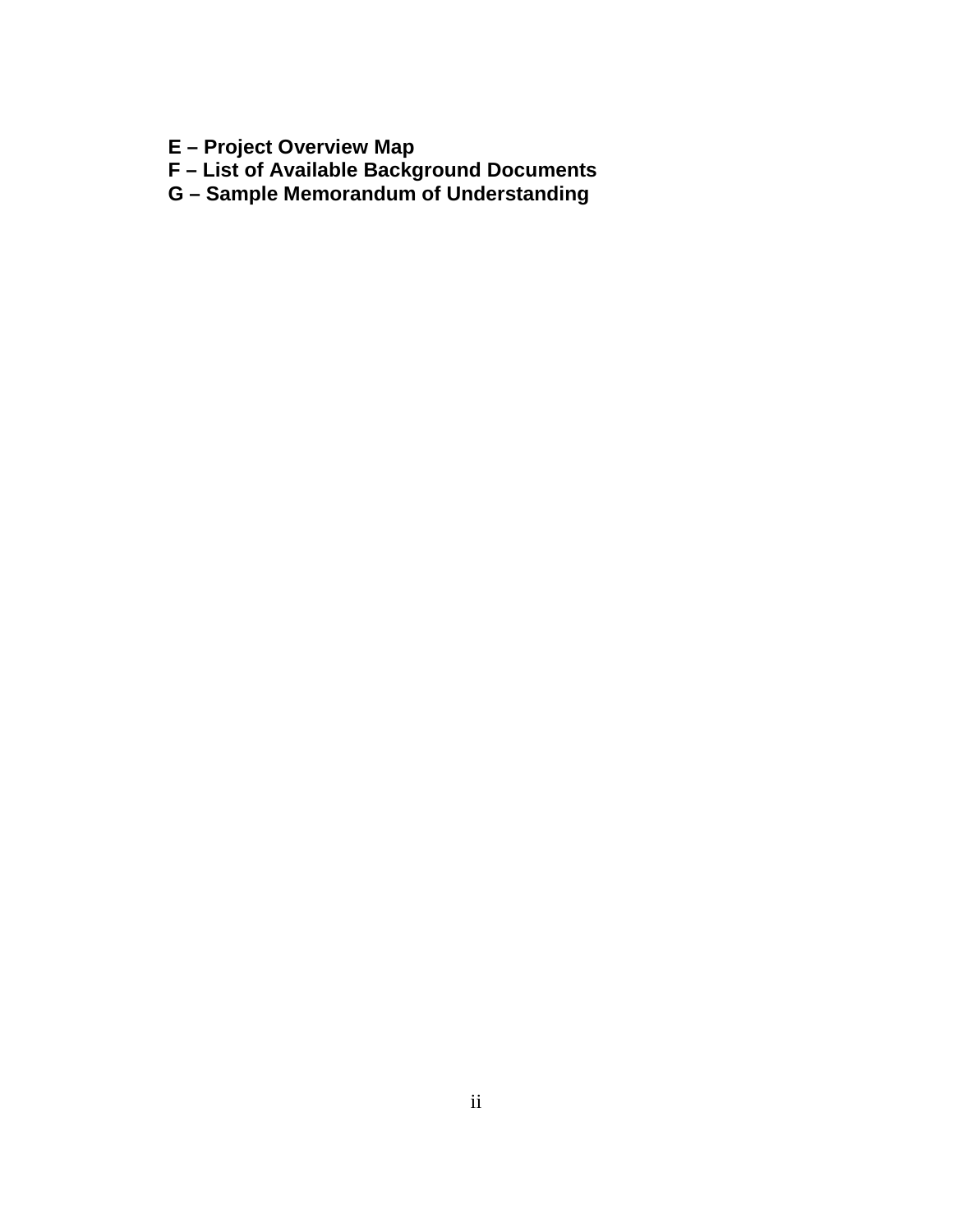- **E – Project Overview Map**
- **F – List of Available Background Documents**
- **G – Sample Memorandum of Understanding**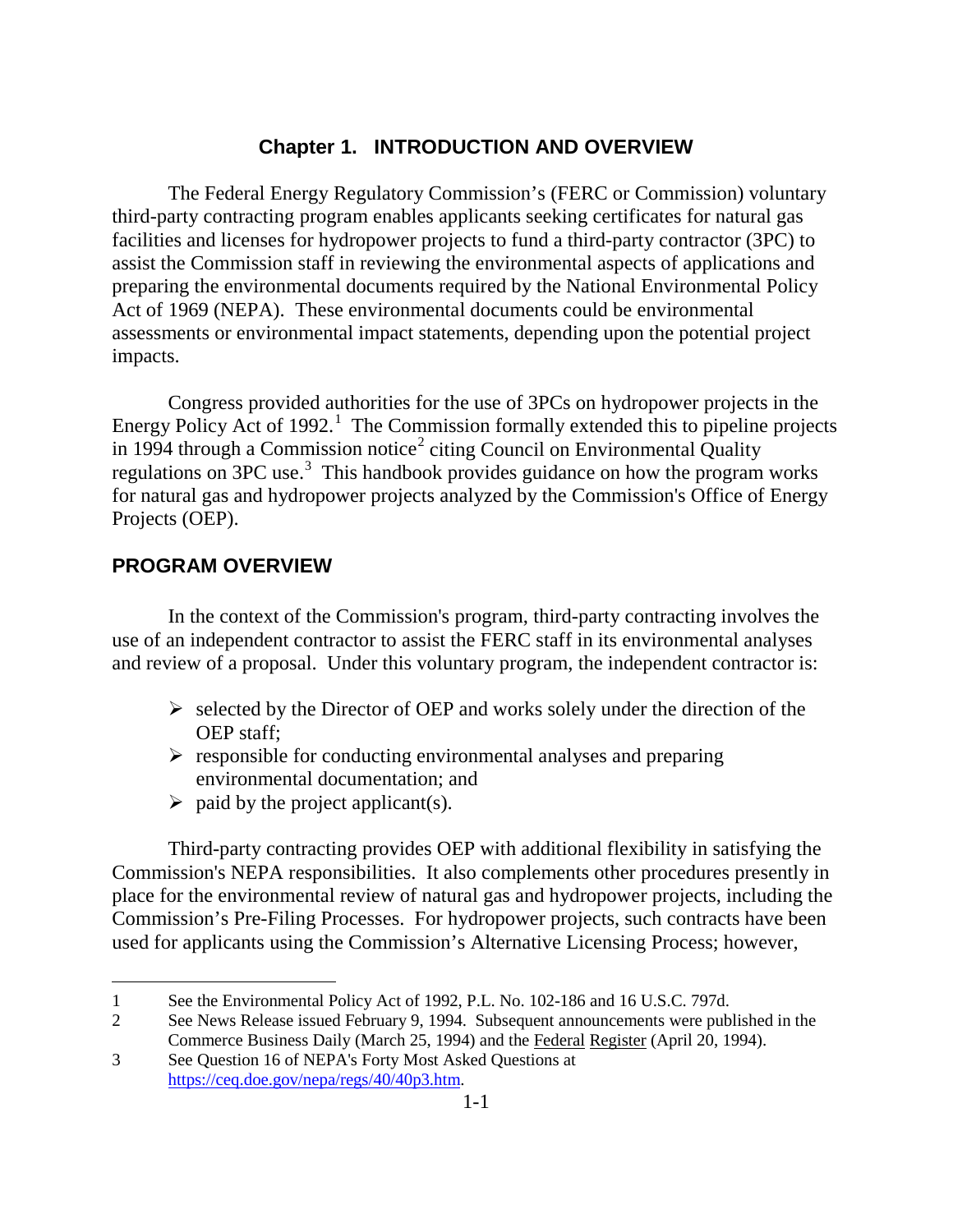## **Chapter 1. INTRODUCTION AND OVERVIEW**

The Federal Energy Regulatory Commission's (FERC or Commission) voluntary third-party contracting program enables applicants seeking certificates for natural gas facilities and licenses for hydropower projects to fund a third-party contractor (3PC) to assist the Commission staff in reviewing the environmental aspects of applications and preparing the environmental documents required by the National Environmental Policy Act of 1969 (NEPA). These environmental documents could be environmental assessments or environmental impact statements, depending upon the potential project impacts.

Congress provided authorities for the use of 3PCs on hydropower projects in the Energy Policy Act of  $1992$ <sup>1</sup>. The Commission formally extended this to pipeline projects in 1994 through a Commission notice<sup>2</sup> citing Council on Environmental Quality regulations on  $3PC$  use.<sup>3</sup> This handbook provides guidance on how the program works for natural gas and hydropower projects analyzed by the Commission's Office of Energy Projects (OEP).

#### **PROGRAM OVERVIEW**

 $\overline{a}$ 

In the context of the Commission's program, third-party contracting involves the use of an independent contractor to assist the FERC staff in its environmental analyses and review of a proposal. Under this voluntary program, the independent contractor is:

- $\triangleright$  selected by the Director of OEP and works solely under the direction of the OEP staff;
- $\triangleright$  responsible for conducting environmental analyses and preparing environmental documentation; and
- $\triangleright$  paid by the project applicant(s).

Third-party contracting provides OEP with additional flexibility in satisfying the Commission's NEPA responsibilities. It also complements other procedures presently in place for the environmental review of natural gas and hydropower projects, including the Commission's Pre-Filing Processes. For hydropower projects, such contracts have been used for applicants using the Commission's Alternative Licensing Process; however,

<sup>1</sup> See the Environmental Policy Act of 1992, P.L. No. 102-186 and 16 U.S.C. 797d.

<sup>2</sup> See News Release issued February 9, 1994. Subsequent announcements were published in the Commerce Business Daily (March 25, 1994) and the Federal Register (April 20, 1994).

<sup>3</sup> See Question 16 of NEPA's Forty Most Asked Questions at https://ceq.doe.gov/nepa/regs/40/40p3.htm.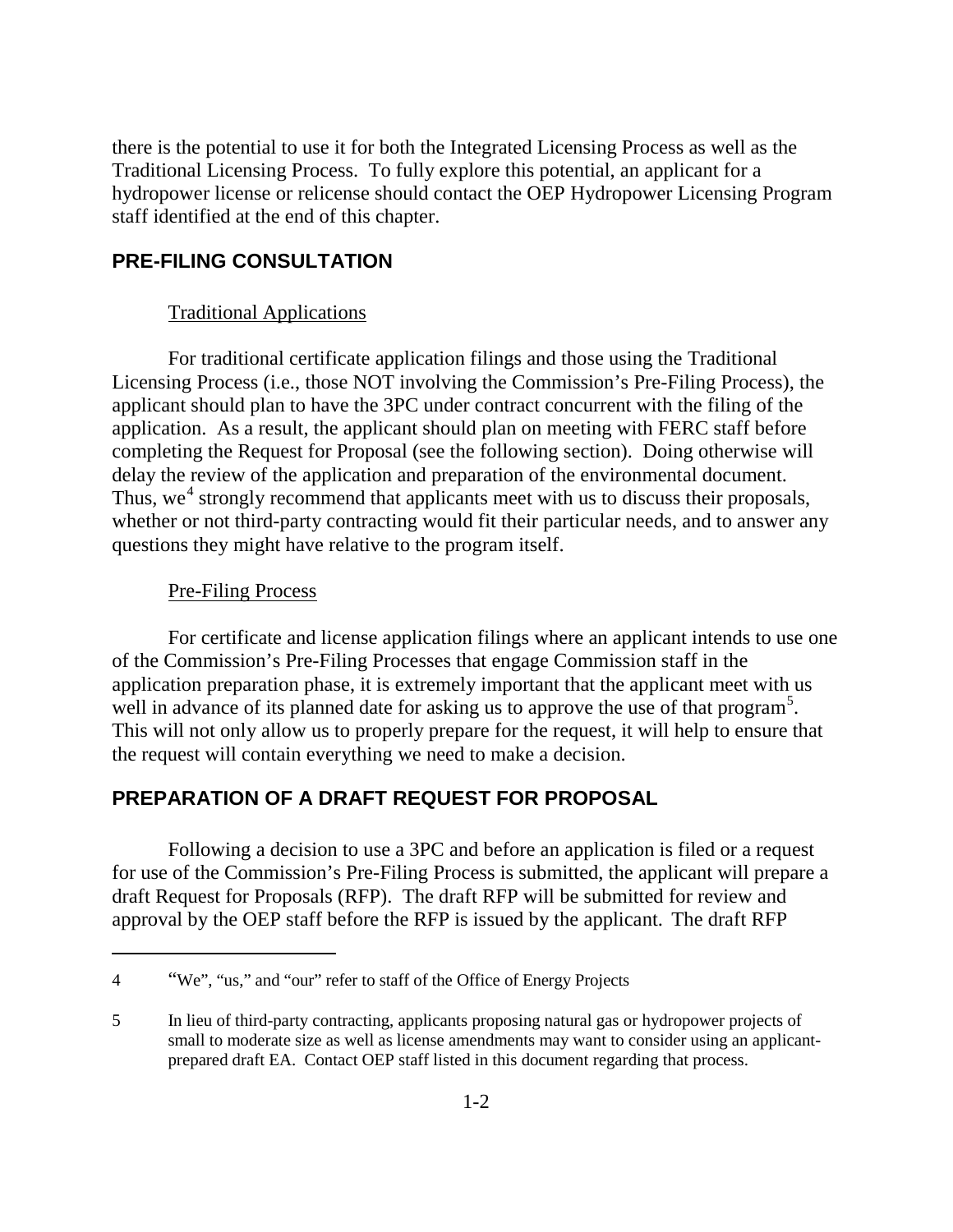there is the potential to use it for both the Integrated Licensing Process as well as the Traditional Licensing Process. To fully explore this potential, an applicant for a hydropower license or relicense should contact the OEP Hydropower Licensing Program staff identified at the end of this chapter.

#### **PRE-FILING CONSULTATION**

#### Traditional Applications

For traditional certificate application filings and those using the Traditional Licensing Process (i.e., those NOT involving the Commission's Pre-Filing Process), the applicant should plan to have the 3PC under contract concurrent with the filing of the application. As a result, the applicant should plan on meeting with FERC staff before completing the Request for Proposal (see the following section). Doing otherwise will delay the review of the application and preparation of the environmental document. Thus, we<sup>4</sup> strongly recommend that applicants meet with us to discuss their proposals, whether or not third-party contracting would fit their particular needs, and to answer any questions they might have relative to the program itself.

#### Pre-Filing Process

 $\overline{a}$ 

For certificate and license application filings where an applicant intends to use one of the Commission's Pre-Filing Processes that engage Commission staff in the application preparation phase, it is extremely important that the applicant meet with us well in advance of its planned date for asking us to approve the use of that program<sup>5</sup>. This will not only allow us to properly prepare for the request, it will help to ensure that the request will contain everything we need to make a decision.

#### **PREPARATION OF A DRAFT REQUEST FOR PROPOSAL**

Following a decision to use a 3PC and before an application is filed or a request for use of the Commission's Pre-Filing Process is submitted, the applicant will prepare a draft Request for Proposals (RFP). The draft RFP will be submitted for review and approval by the OEP staff before the RFP is issued by the applicant. The draft RFP

<sup>4</sup> "We", "us," and "our" refer to staff of the Office of Energy Projects

<sup>5</sup> In lieu of third-party contracting, applicants proposing natural gas or hydropower projects of small to moderate size as well as license amendments may want to consider using an applicantprepared draft EA. Contact OEP staff listed in this document regarding that process.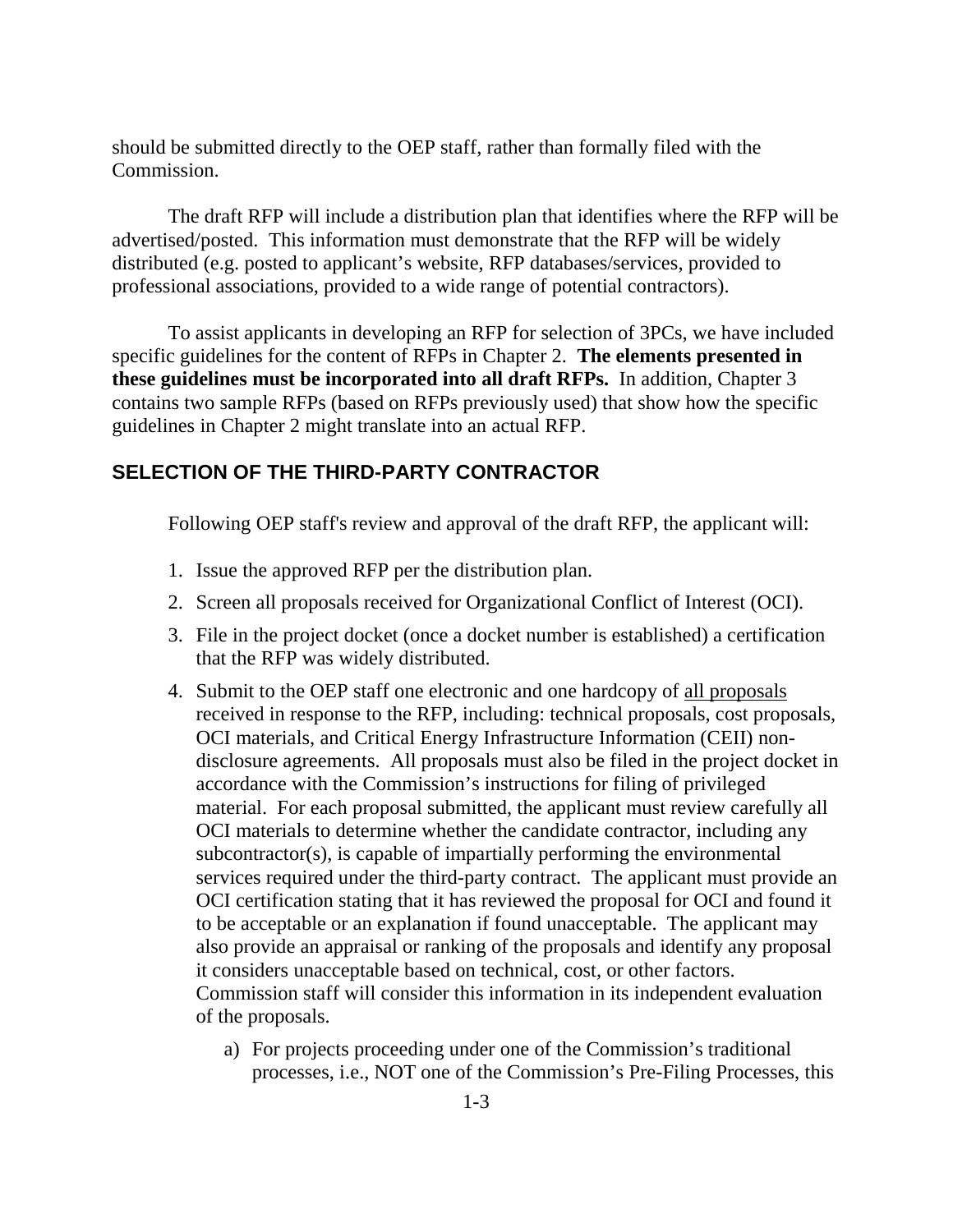should be submitted directly to the OEP staff, rather than formally filed with the Commission.

The draft RFP will include a distribution plan that identifies where the RFP will be advertised/posted. This information must demonstrate that the RFP will be widely distributed (e.g. posted to applicant's website, RFP databases/services, provided to professional associations, provided to a wide range of potential contractors).

To assist applicants in developing an RFP for selection of 3PCs, we have included specific guidelines for the content of RFPs in Chapter 2. **The elements presented in these guidelines must be incorporated into all draft RFPs.** In addition, Chapter 3 contains two sample RFPs (based on RFPs previously used) that show how the specific guidelines in Chapter 2 might translate into an actual RFP.

#### **SELECTION OF THE THIRD-PARTY CONTRACTOR**

Following OEP staff's review and approval of the draft RFP, the applicant will:

- 1. Issue the approved RFP per the distribution plan.
- 2. Screen all proposals received for Organizational Conflict of Interest (OCI).
- 3. File in the project docket (once a docket number is established) a certification that the RFP was widely distributed.
- 4. Submit to the OEP staff one electronic and one hardcopy of all proposals received in response to the RFP, including: technical proposals, cost proposals, OCI materials, and Critical Energy Infrastructure Information (CEII) nondisclosure agreements. All proposals must also be filed in the project docket in accordance with the Commission's instructions for filing of privileged material. For each proposal submitted, the applicant must review carefully all OCI materials to determine whether the candidate contractor, including any subcontractor(s), is capable of impartially performing the environmental services required under the third-party contract. The applicant must provide an OCI certification stating that it has reviewed the proposal for OCI and found it to be acceptable or an explanation if found unacceptable. The applicant may also provide an appraisal or ranking of the proposals and identify any proposal it considers unacceptable based on technical, cost, or other factors. Commission staff will consider this information in its independent evaluation of the proposals.
	- a) For projects proceeding under one of the Commission's traditional processes, i.e., NOT one of the Commission's Pre-Filing Processes, this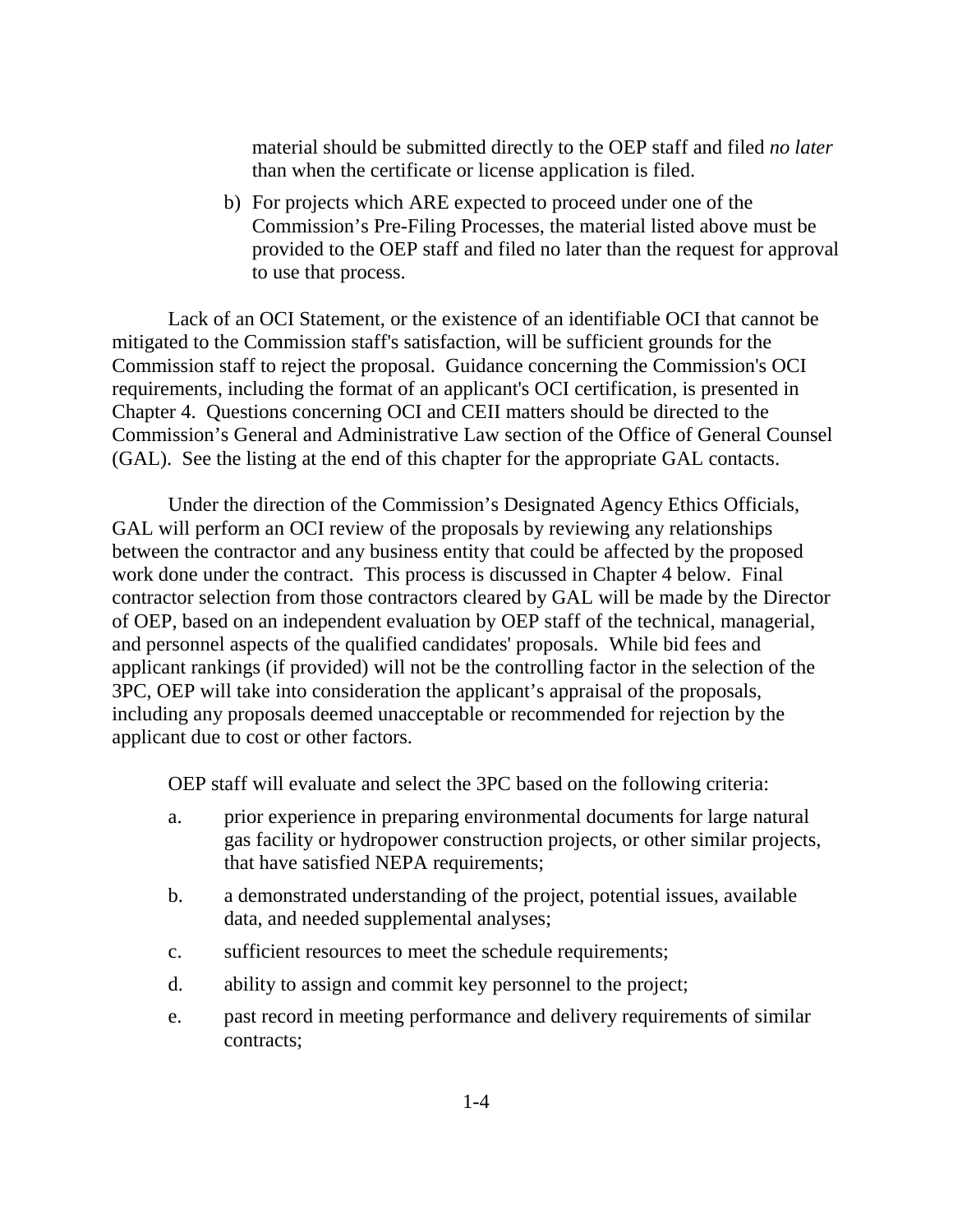material should be submitted directly to the OEP staff and filed *no later* than when the certificate or license application is filed.

b) For projects which ARE expected to proceed under one of the Commission's Pre-Filing Processes, the material listed above must be provided to the OEP staff and filed no later than the request for approval to use that process.

Lack of an OCI Statement, or the existence of an identifiable OCI that cannot be mitigated to the Commission staff's satisfaction, will be sufficient grounds for the Commission staff to reject the proposal. Guidance concerning the Commission's OCI requirements, including the format of an applicant's OCI certification, is presented in Chapter 4. Questions concerning OCI and CEII matters should be directed to the Commission's General and Administrative Law section of the Office of General Counsel (GAL). See the listing at the end of this chapter for the appropriate GAL contacts.

Under the direction of the Commission's Designated Agency Ethics Officials, GAL will perform an OCI review of the proposals by reviewing any relationships between the contractor and any business entity that could be affected by the proposed work done under the contract. This process is discussed in Chapter 4 below. Final contractor selection from those contractors cleared by GAL will be made by the Director of OEP, based on an independent evaluation by OEP staff of the technical, managerial, and personnel aspects of the qualified candidates' proposals. While bid fees and applicant rankings (if provided) will not be the controlling factor in the selection of the 3PC, OEP will take into consideration the applicant's appraisal of the proposals, including any proposals deemed unacceptable or recommended for rejection by the applicant due to cost or other factors.

OEP staff will evaluate and select the 3PC based on the following criteria:

- a. prior experience in preparing environmental documents for large natural gas facility or hydropower construction projects, or other similar projects, that have satisfied NEPA requirements;
- b. a demonstrated understanding of the project, potential issues, available data, and needed supplemental analyses;
- c. sufficient resources to meet the schedule requirements;
- d. ability to assign and commit key personnel to the project;
- e. past record in meeting performance and delivery requirements of similar contracts;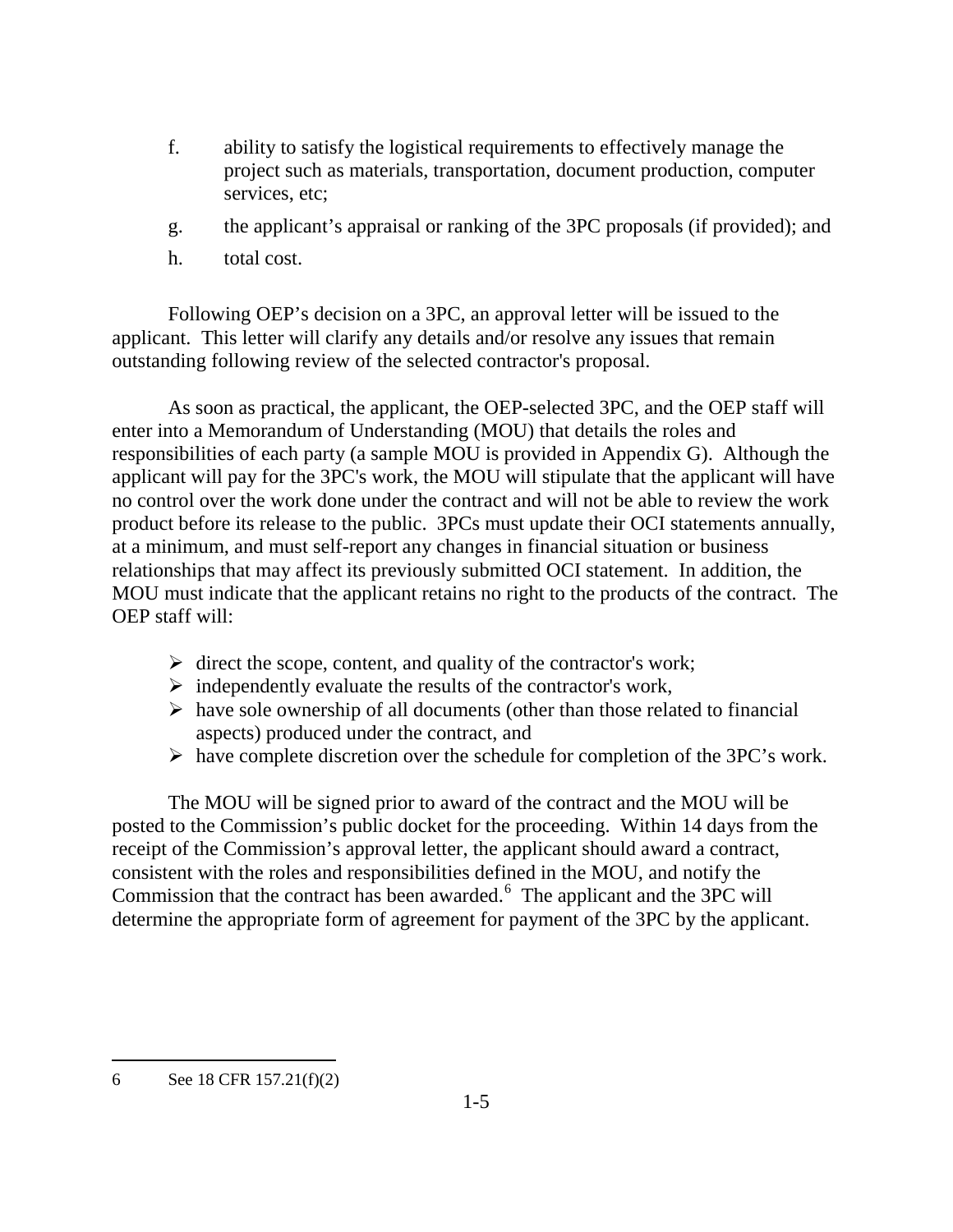- f. ability to satisfy the logistical requirements to effectively manage the project such as materials, transportation, document production, computer services, etc;
- g. the applicant's appraisal or ranking of the 3PC proposals (if provided); and
- h. total cost.

Following OEP's decision on a 3PC, an approval letter will be issued to the applicant. This letter will clarify any details and/or resolve any issues that remain outstanding following review of the selected contractor's proposal.

As soon as practical, the applicant, the OEP-selected 3PC, and the OEP staff will enter into a Memorandum of Understanding (MOU) that details the roles and responsibilities of each party (a sample MOU is provided in Appendix G). Although the applicant will pay for the 3PC's work, the MOU will stipulate that the applicant will have no control over the work done under the contract and will not be able to review the work product before its release to the public. 3PCs must update their OCI statements annually, at a minimum, and must self-report any changes in financial situation or business relationships that may affect its previously submitted OCI statement. In addition, the MOU must indicate that the applicant retains no right to the products of the contract. The OEP staff will:

- $\triangleright$  direct the scope, content, and quality of the contractor's work;
- $\triangleright$  independently evaluate the results of the contractor's work,
- $\triangleright$  have sole ownership of all documents (other than those related to financial aspects) produced under the contract, and
- $\triangleright$  have complete discretion over the schedule for completion of the 3PC's work.

The MOU will be signed prior to award of the contract and the MOU will be posted to the Commission's public docket for the proceeding. Within 14 days from the receipt of the Commission's approval letter, the applicant should award a contract, consistent with the roles and responsibilities defined in the MOU, and notify the Commission that the contract has been awarded.<sup>6</sup> The applicant and the 3PC will determine the appropriate form of agreement for payment of the 3PC by the applicant.

 $\overline{a}$ 

<sup>6</sup> See 18 CFR 157.21(f)(2)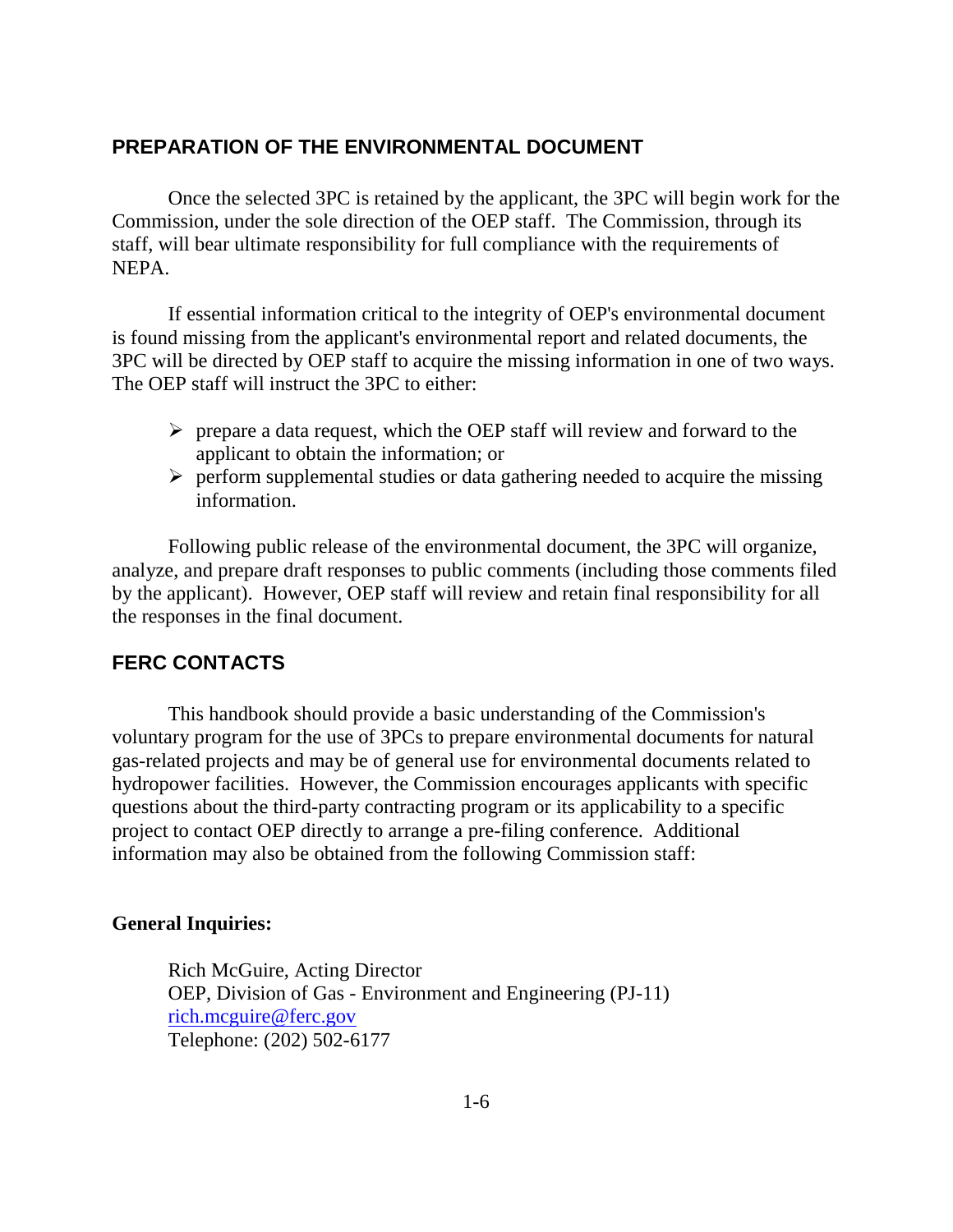#### **PREPARATION OF THE ENVIRONMENTAL DOCUMENT**

Once the selected 3PC is retained by the applicant, the 3PC will begin work for the Commission, under the sole direction of the OEP staff. The Commission, through its staff, will bear ultimate responsibility for full compliance with the requirements of NEPA.

If essential information critical to the integrity of OEP's environmental document is found missing from the applicant's environmental report and related documents, the 3PC will be directed by OEP staff to acquire the missing information in one of two ways. The OEP staff will instruct the 3PC to either:

- $\triangleright$  prepare a data request, which the OEP staff will review and forward to the applicant to obtain the information; or
- $\triangleright$  perform supplemental studies or data gathering needed to acquire the missing information.

Following public release of the environmental document, the 3PC will organize, analyze, and prepare draft responses to public comments (including those comments filed by the applicant). However, OEP staff will review and retain final responsibility for all the responses in the final document.

#### **FERC CONTACTS**

This handbook should provide a basic understanding of the Commission's voluntary program for the use of 3PCs to prepare environmental documents for natural gas-related projects and may be of general use for environmental documents related to hydropower facilities. However, the Commission encourages applicants with specific questions about the third-party contracting program or its applicability to a specific project to contact OEP directly to arrange a pre-filing conference. Additional information may also be obtained from the following Commission staff:

#### **General Inquiries:**

Rich McGuire, Acting Director OEP, Division of Gas - Environment and Engineering (PJ-11) rich.mcguire@ferc.gov Telephone: (202) 502-6177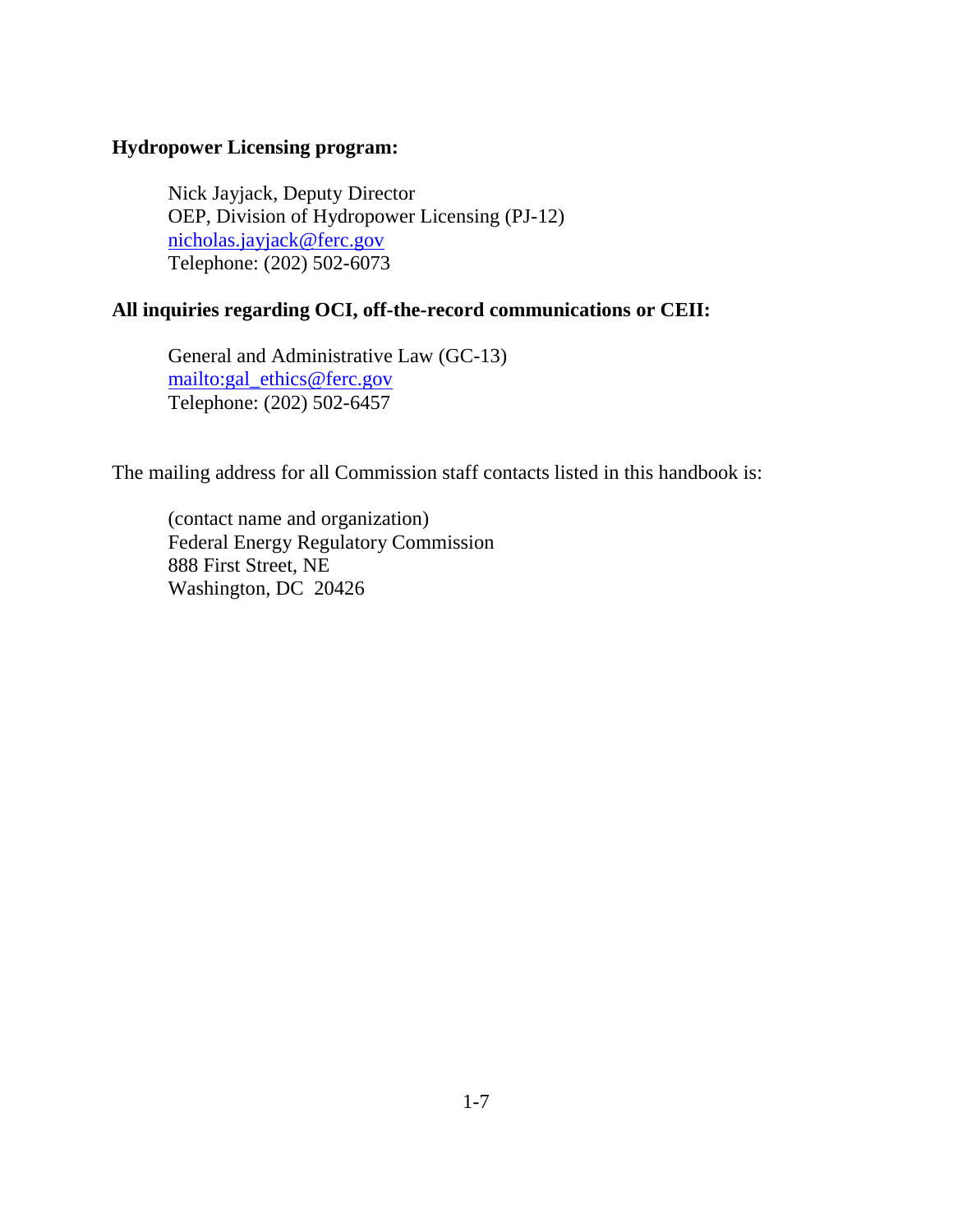#### **Hydropower Licensing program:**

Nick Jayjack, Deputy Director OEP, Division of Hydropower Licensing (PJ-12) nicholas.jayjack@ferc.gov Telephone: (202) 502-6073

#### **All inquiries regarding OCI, off-the-record communications or CEII:**

General and Administrative Law (GC-13) mailto:gal\_ethics@ferc.gov Telephone: (202) 502-6457

The mailing address for all Commission staff contacts listed in this handbook is:

(contact name and organization) Federal Energy Regulatory Commission 888 First Street, NE Washington, DC 20426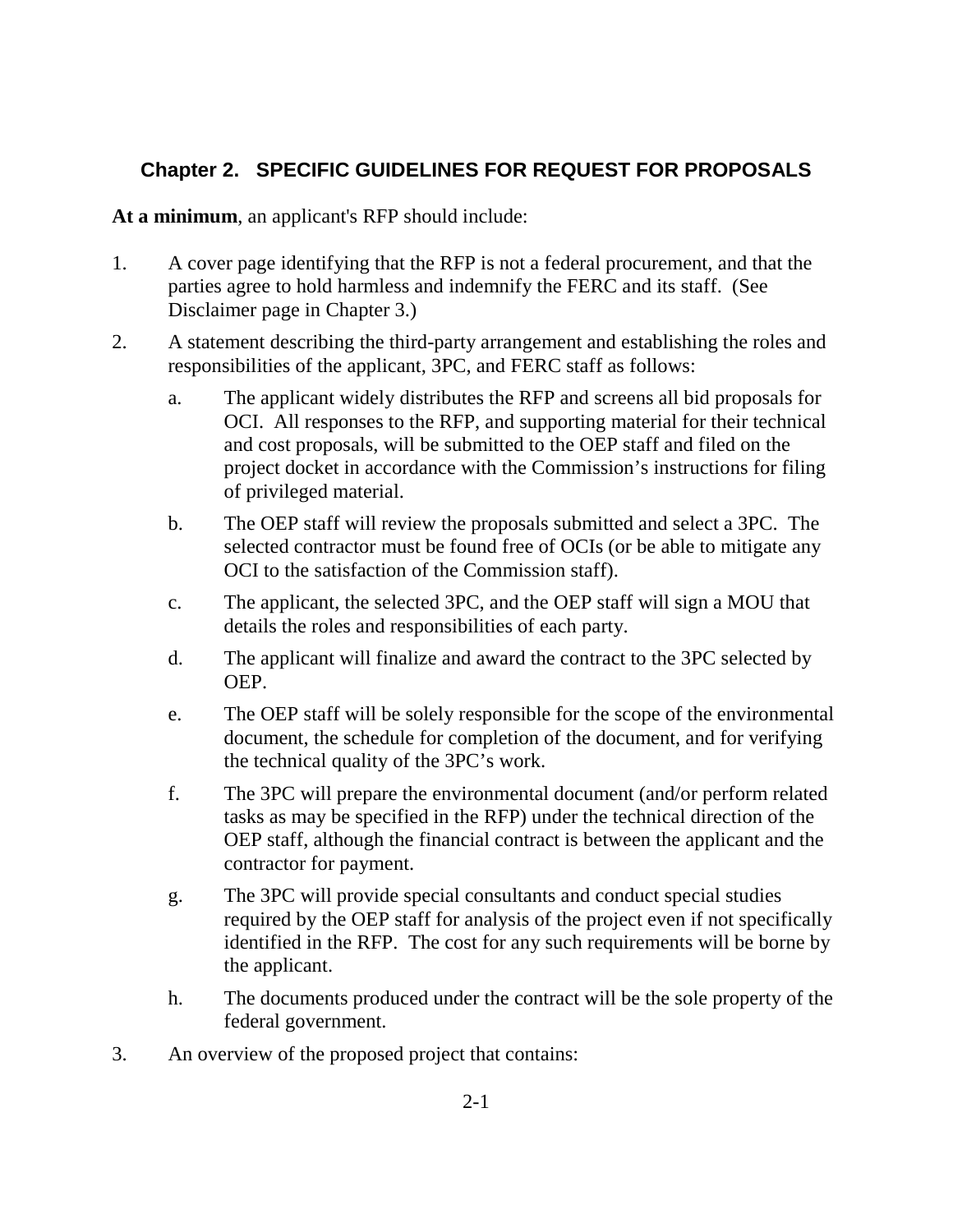# **Chapter 2. SPECIFIC GUIDELINES FOR REQUEST FOR PROPOSALS**

**At a minimum**, an applicant's RFP should include:

- 1. A cover page identifying that the RFP is not a federal procurement, and that the parties agree to hold harmless and indemnify the FERC and its staff. (See Disclaimer page in Chapter 3.)
- 2. A statement describing the third-party arrangement and establishing the roles and responsibilities of the applicant, 3PC, and FERC staff as follows:
	- a. The applicant widely distributes the RFP and screens all bid proposals for OCI. All responses to the RFP, and supporting material for their technical and cost proposals, will be submitted to the OEP staff and filed on the project docket in accordance with the Commission's instructions for filing of privileged material.
	- b. The OEP staff will review the proposals submitted and select a 3PC. The selected contractor must be found free of OCIs (or be able to mitigate any OCI to the satisfaction of the Commission staff).
	- c. The applicant, the selected 3PC, and the OEP staff will sign a MOU that details the roles and responsibilities of each party.
	- d. The applicant will finalize and award the contract to the 3PC selected by OEP.
	- e. The OEP staff will be solely responsible for the scope of the environmental document, the schedule for completion of the document, and for verifying the technical quality of the 3PC's work.
	- f. The 3PC will prepare the environmental document (and/or perform related tasks as may be specified in the RFP) under the technical direction of the OEP staff, although the financial contract is between the applicant and the contractor for payment.
	- g. The 3PC will provide special consultants and conduct special studies required by the OEP staff for analysis of the project even if not specifically identified in the RFP. The cost for any such requirements will be borne by the applicant.
	- h. The documents produced under the contract will be the sole property of the federal government.
- 3. An overview of the proposed project that contains: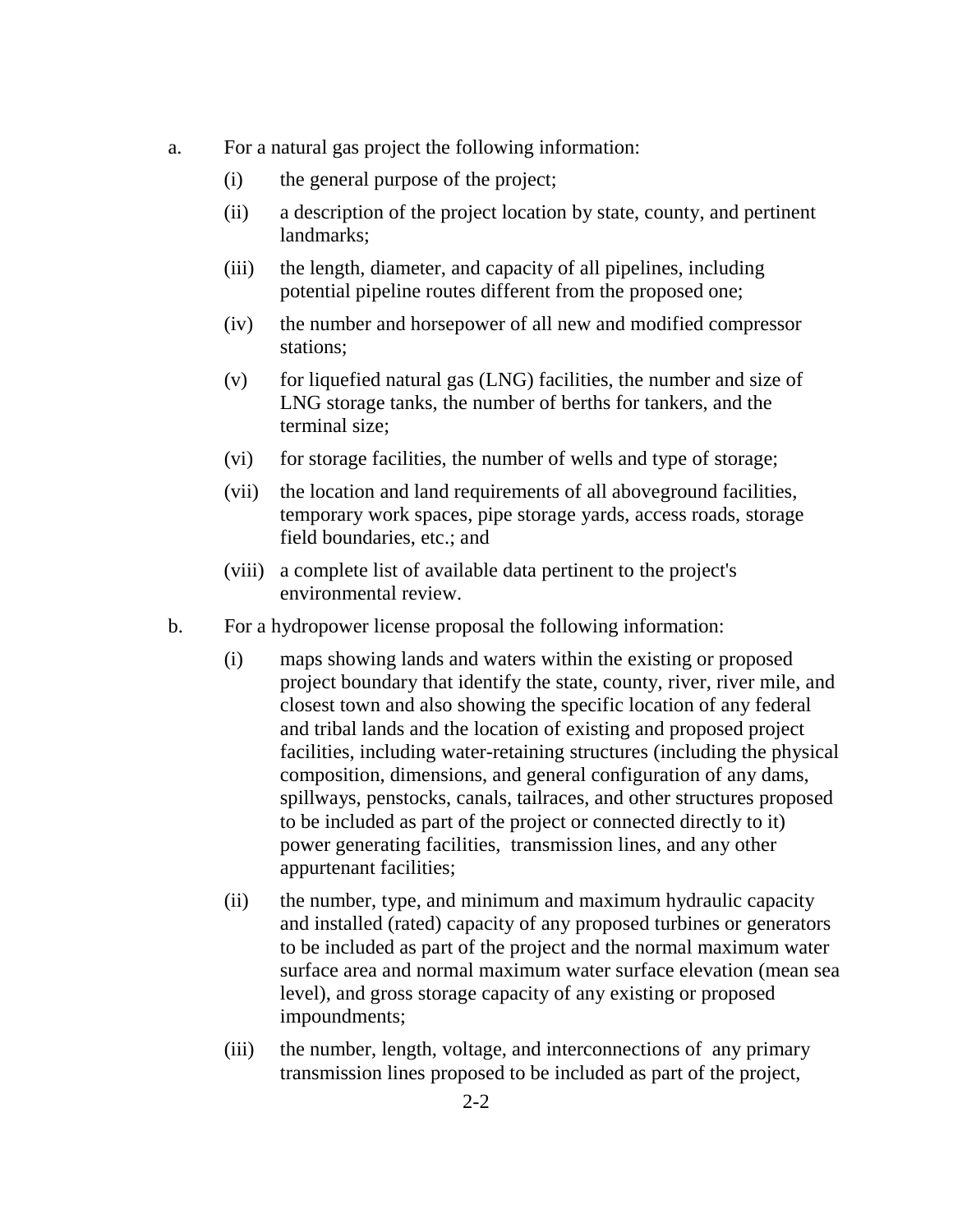- a. For a natural gas project the following information:
	- (i) the general purpose of the project;
	- (ii) a description of the project location by state, county, and pertinent landmarks;
	- (iii) the length, diameter, and capacity of all pipelines, including potential pipeline routes different from the proposed one;
	- (iv) the number and horsepower of all new and modified compressor stations;
	- (v) for liquefied natural gas (LNG) facilities, the number and size of LNG storage tanks, the number of berths for tankers, and the terminal size;
	- (vi) for storage facilities, the number of wells and type of storage;
	- (vii) the location and land requirements of all aboveground facilities, temporary work spaces, pipe storage yards, access roads, storage field boundaries, etc.; and
	- (viii) a complete list of available data pertinent to the project's environmental review.
- b. For a hydropower license proposal the following information:
	- (i) maps showing lands and waters within the existing or proposed project boundary that identify the state, county, river, river mile, and closest town and also showing the specific location of any federal and tribal lands and the location of existing and proposed project facilities, including water-retaining structures (including the physical composition, dimensions, and general configuration of any dams, spillways, penstocks, canals, tailraces, and other structures proposed to be included as part of the project or connected directly to it) power generating facilities, transmission lines, and any other appurtenant facilities;
	- (ii) the number, type, and minimum and maximum hydraulic capacity and installed (rated) capacity of any proposed turbines or generators to be included as part of the project and the normal maximum water surface area and normal maximum water surface elevation (mean sea level), and gross storage capacity of any existing or proposed impoundments;
	- (iii) the number, length, voltage, and interconnections of any primary transmission lines proposed to be included as part of the project,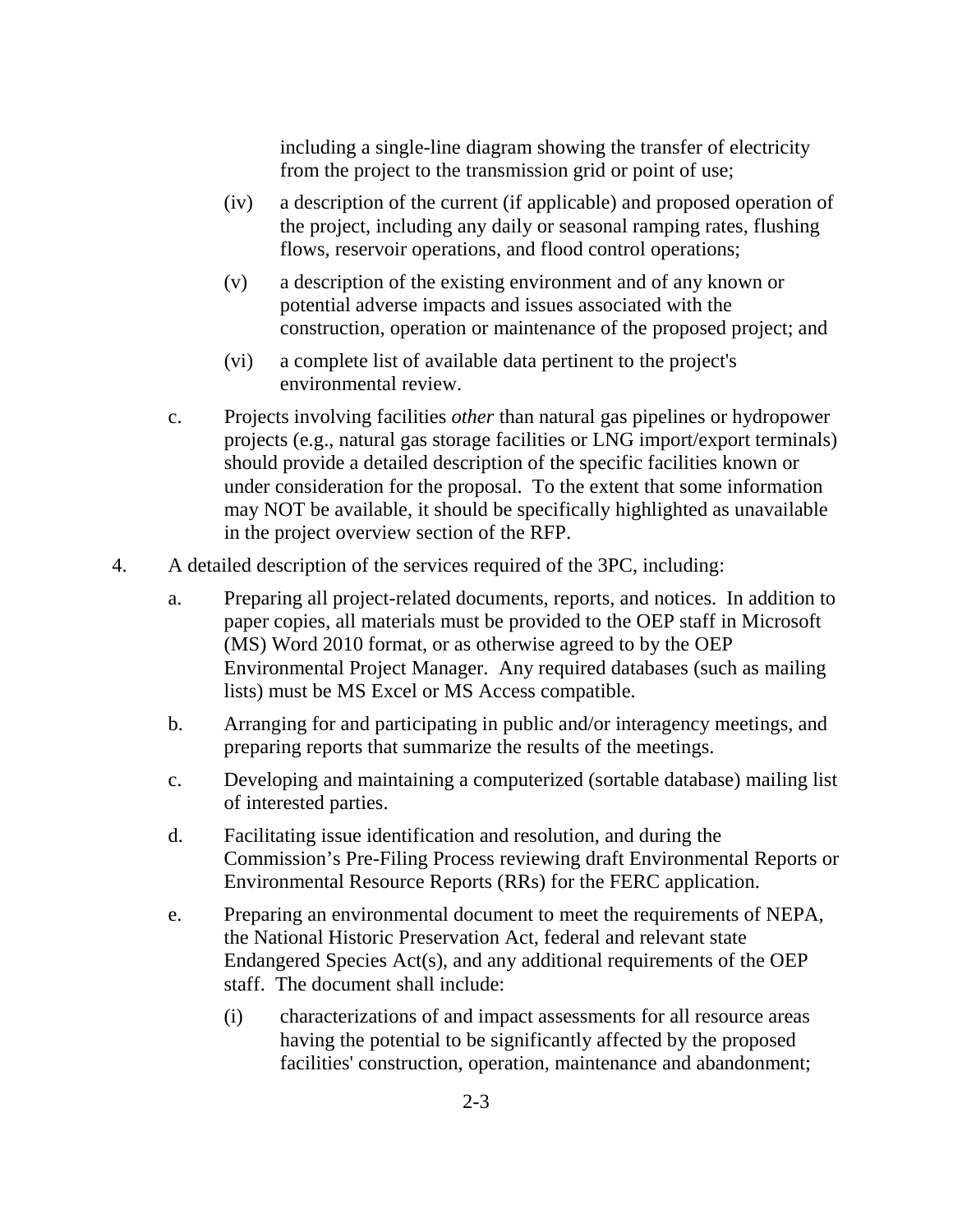including a single-line diagram showing the transfer of electricity from the project to the transmission grid or point of use;

- (iv) a description of the current (if applicable) and proposed operation of the project, including any daily or seasonal ramping rates, flushing flows, reservoir operations, and flood control operations;
- (v) a description of the existing environment and of any known or potential adverse impacts and issues associated with the construction, operation or maintenance of the proposed project; and
- (vi) a complete list of available data pertinent to the project's environmental review.
- c. Projects involving facilities *other* than natural gas pipelines or hydropower projects (e.g., natural gas storage facilities or LNG import/export terminals) should provide a detailed description of the specific facilities known or under consideration for the proposal. To the extent that some information may NOT be available, it should be specifically highlighted as unavailable in the project overview section of the RFP.
- 4. A detailed description of the services required of the 3PC, including:
	- a. Preparing all project-related documents, reports, and notices. In addition to paper copies, all materials must be provided to the OEP staff in Microsoft (MS) Word 2010 format, or as otherwise agreed to by the OEP Environmental Project Manager. Any required databases (such as mailing lists) must be MS Excel or MS Access compatible.
	- b. Arranging for and participating in public and/or interagency meetings, and preparing reports that summarize the results of the meetings.
	- c. Developing and maintaining a computerized (sortable database) mailing list of interested parties.
	- d. Facilitating issue identification and resolution, and during the Commission's Pre-Filing Process reviewing draft Environmental Reports or Environmental Resource Reports (RRs) for the FERC application.
	- e. Preparing an environmental document to meet the requirements of NEPA, the National Historic Preservation Act, federal and relevant state Endangered Species Act(s), and any additional requirements of the OEP staff. The document shall include:
		- (i) characterizations of and impact assessments for all resource areas having the potential to be significantly affected by the proposed facilities' construction, operation, maintenance and abandonment;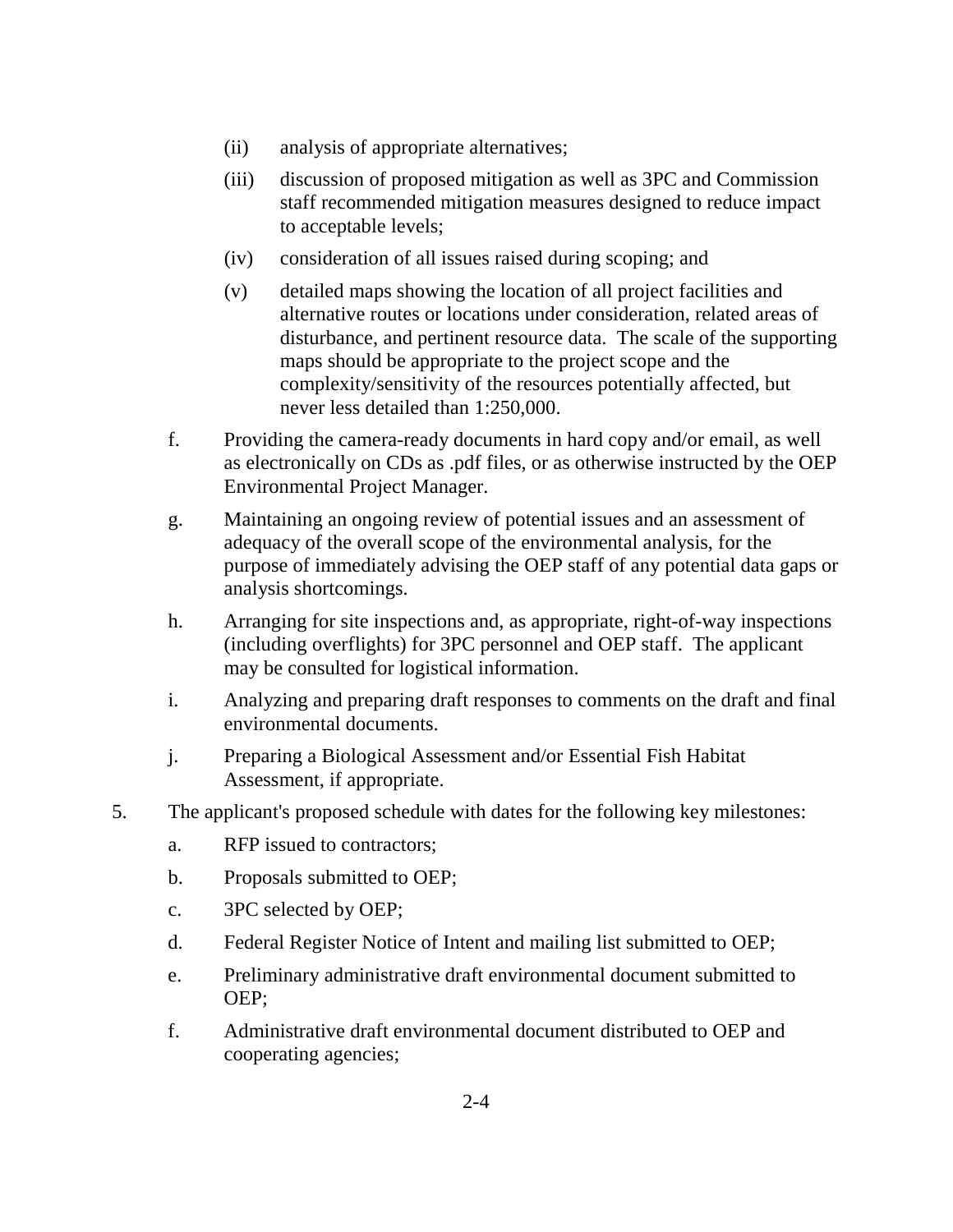- (ii) analysis of appropriate alternatives;
- (iii) discussion of proposed mitigation as well as 3PC and Commission staff recommended mitigation measures designed to reduce impact to acceptable levels;
- (iv) consideration of all issues raised during scoping; and
- (v) detailed maps showing the location of all project facilities and alternative routes or locations under consideration, related areas of disturbance, and pertinent resource data. The scale of the supporting maps should be appropriate to the project scope and the complexity/sensitivity of the resources potentially affected, but never less detailed than 1:250,000.
- f. Providing the camera-ready documents in hard copy and/or email, as well as electronically on CDs as .pdf files, or as otherwise instructed by the OEP Environmental Project Manager.
- g. Maintaining an ongoing review of potential issues and an assessment of adequacy of the overall scope of the environmental analysis, for the purpose of immediately advising the OEP staff of any potential data gaps or analysis shortcomings.
- h. Arranging for site inspections and, as appropriate, right-of-way inspections (including overflights) for 3PC personnel and OEP staff. The applicant may be consulted for logistical information.
- i. Analyzing and preparing draft responses to comments on the draft and final environmental documents.
- j. Preparing a Biological Assessment and/or Essential Fish Habitat Assessment, if appropriate.
- 5. The applicant's proposed schedule with dates for the following key milestones:
	- a. RFP issued to contractors;
	- b. Proposals submitted to OEP;
	- c. 3PC selected by OEP;
	- d. Federal Register Notice of Intent and mailing list submitted to OEP;
	- e. Preliminary administrative draft environmental document submitted to OEP;
	- f. Administrative draft environmental document distributed to OEP and cooperating agencies;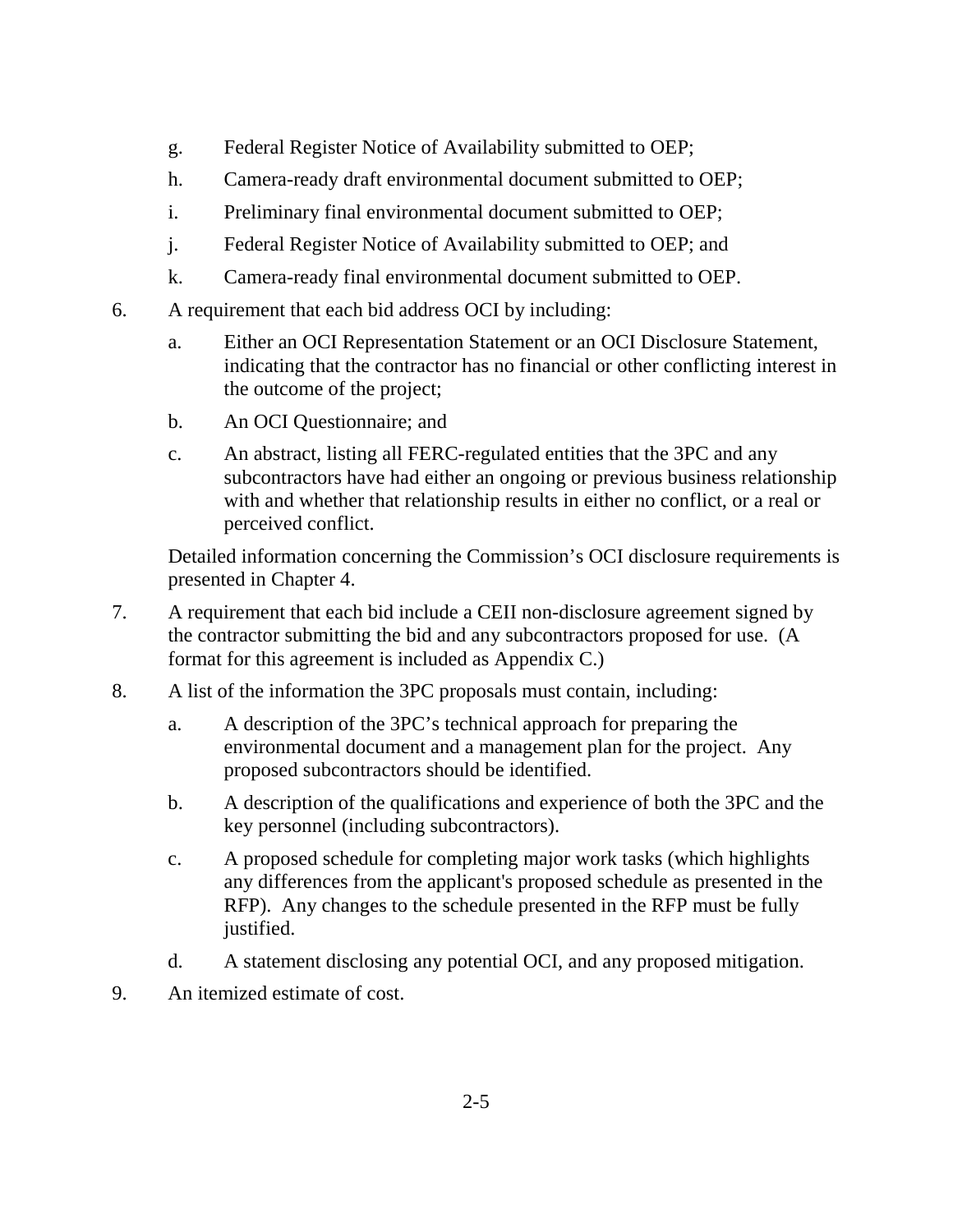- g. Federal Register Notice of Availability submitted to OEP;
- h. Camera-ready draft environmental document submitted to OEP;
- i. Preliminary final environmental document submitted to OEP;
- j. Federal Register Notice of Availability submitted to OEP; and
- k. Camera-ready final environmental document submitted to OEP.
- 6. A requirement that each bid address OCI by including:
	- a. Either an OCI Representation Statement or an OCI Disclosure Statement, indicating that the contractor has no financial or other conflicting interest in the outcome of the project;
	- b. An OCI Questionnaire; and
	- c. An abstract, listing all FERC-regulated entities that the 3PC and any subcontractors have had either an ongoing or previous business relationship with and whether that relationship results in either no conflict, or a real or perceived conflict.

Detailed information concerning the Commission's OCI disclosure requirements is presented in Chapter 4.

- 7. A requirement that each bid include a CEII non-disclosure agreement signed by the contractor submitting the bid and any subcontractors proposed for use. (A format for this agreement is included as Appendix C.)
- 8. A list of the information the 3PC proposals must contain, including:
	- a. A description of the 3PC's technical approach for preparing the environmental document and a management plan for the project. Any proposed subcontractors should be identified.
	- b. A description of the qualifications and experience of both the 3PC and the key personnel (including subcontractors).
	- c. A proposed schedule for completing major work tasks (which highlights any differences from the applicant's proposed schedule as presented in the RFP). Any changes to the schedule presented in the RFP must be fully justified.
	- d. A statement disclosing any potential OCI, and any proposed mitigation.
- 9. An itemized estimate of cost.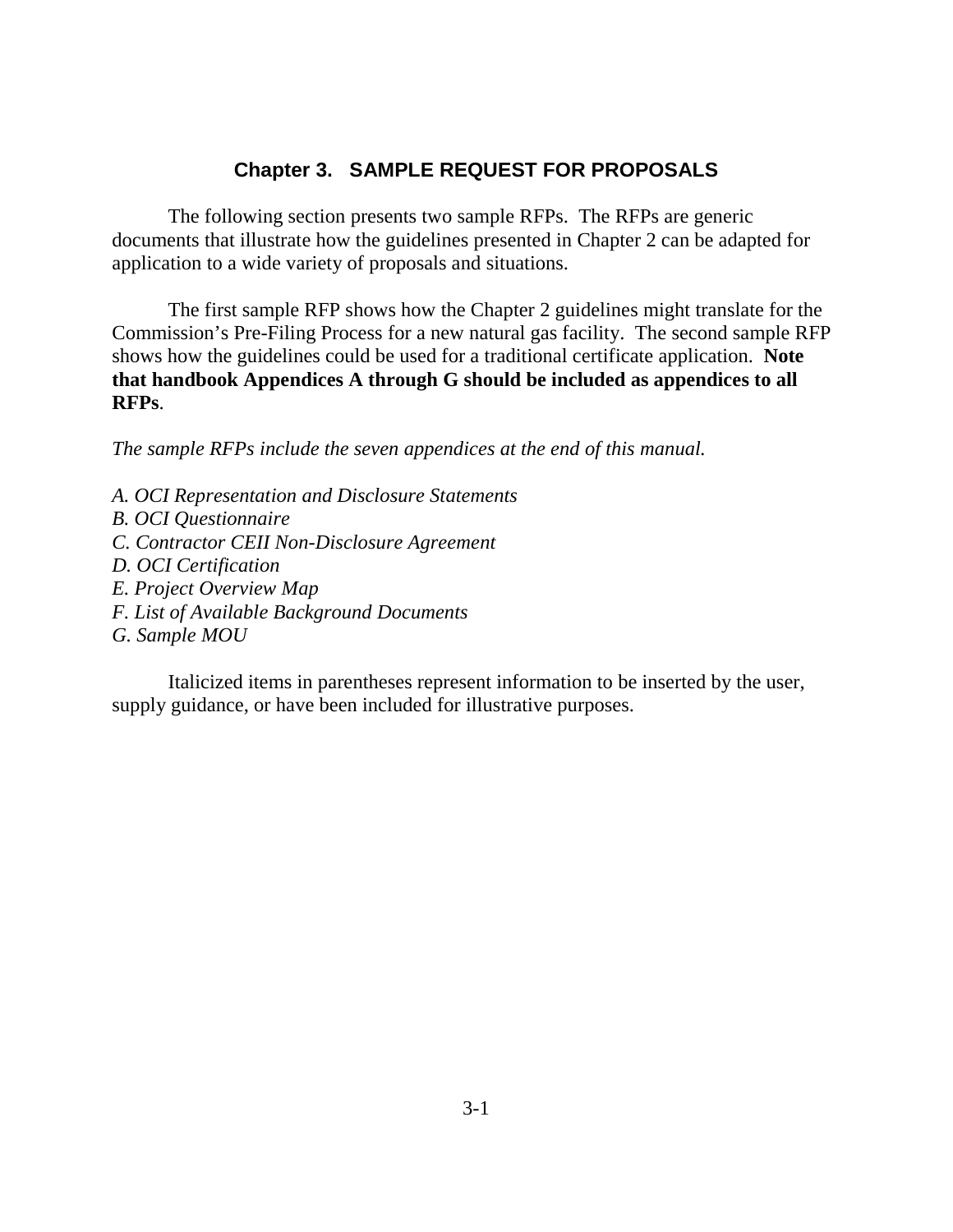## **Chapter 3. SAMPLE REQUEST FOR PROPOSALS**

The following section presents two sample RFPs. The RFPs are generic documents that illustrate how the guidelines presented in Chapter 2 can be adapted for application to a wide variety of proposals and situations.

The first sample RFP shows how the Chapter 2 guidelines might translate for the Commission's Pre-Filing Process for a new natural gas facility. The second sample RFP shows how the guidelines could be used for a traditional certificate application. **Note that handbook Appendices A through G should be included as appendices to all RFPs**.

*The sample RFPs include the seven appendices at the end of this manual.*

*A. OCI Representation and Disclosure Statements B. OCI Questionnaire C. Contractor CEII Non-Disclosure Agreement D. OCI Certification E. Project Overview Map F. List of Available Background Documents G. Sample MOU*

Italicized items in parentheses represent information to be inserted by the user, supply guidance, or have been included for illustrative purposes.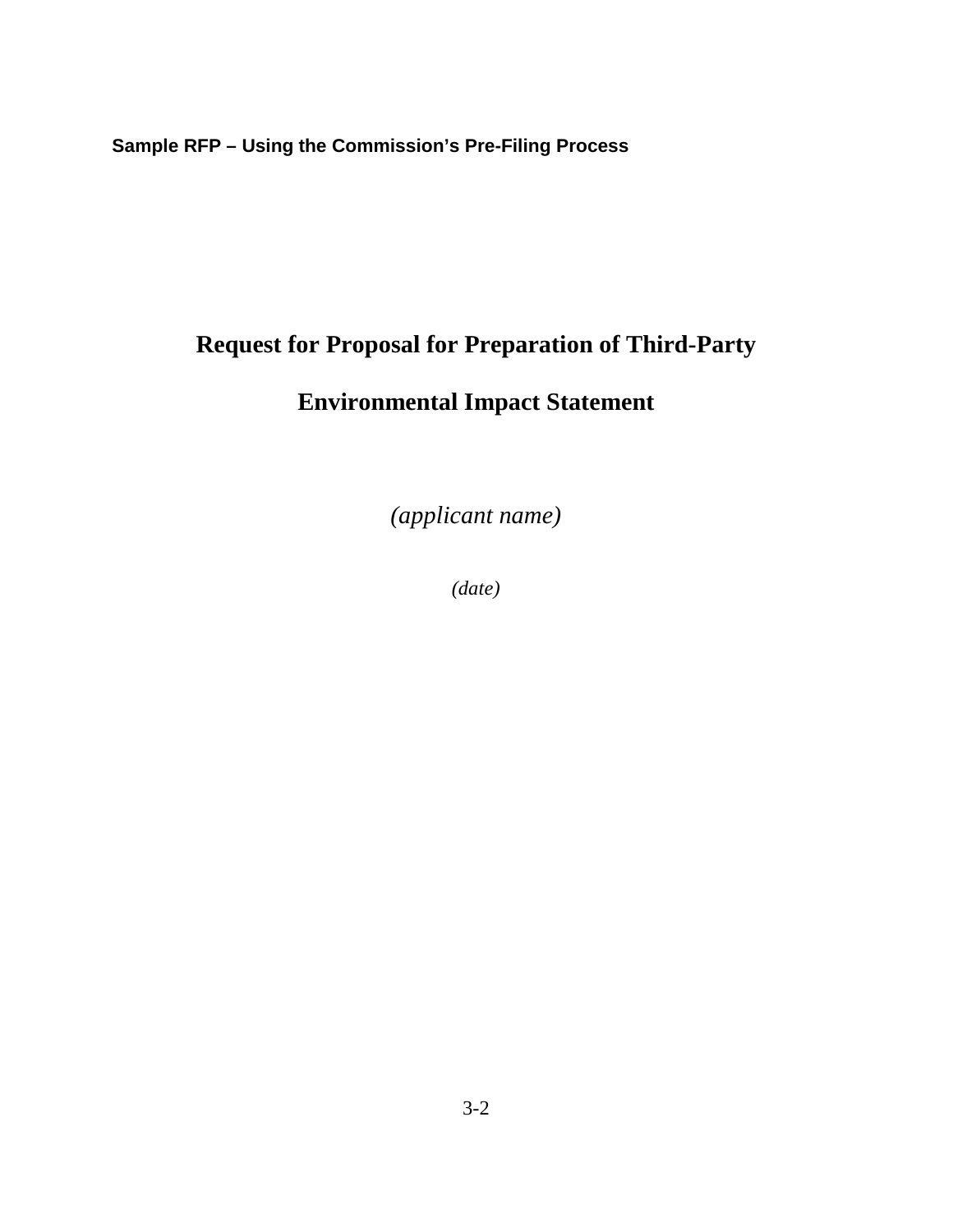**Sample RFP – Using the Commission's Pre-Filing Process**

# **Request for Proposal for Preparation of Third-Party**

# **Environmental Impact Statement**

*(applicant name)*

*(date)*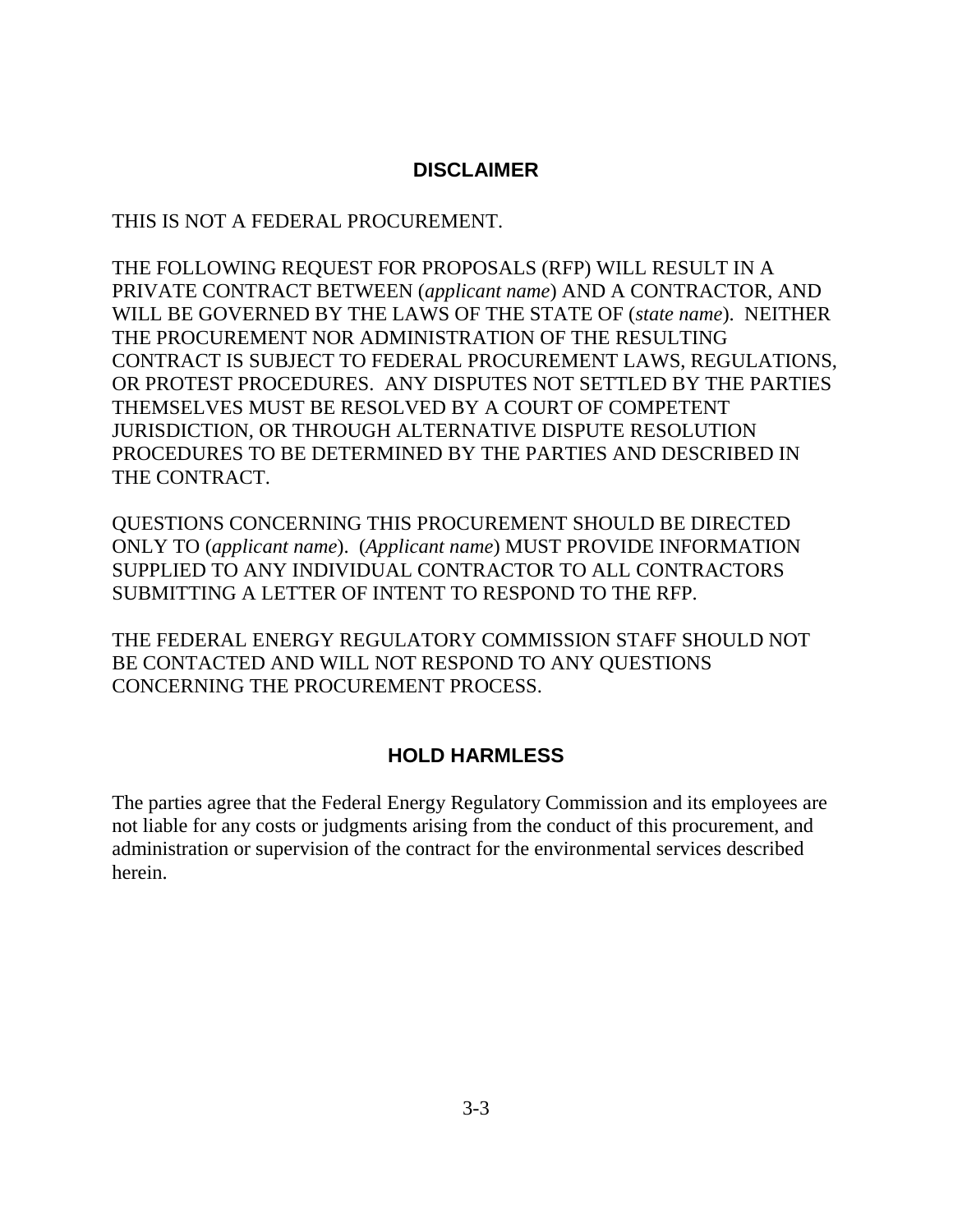#### **DISCLAIMER**

THIS IS NOT A FEDERAL PROCUREMENT.

THE FOLLOWING REQUEST FOR PROPOSALS (RFP) WILL RESULT IN A PRIVATE CONTRACT BETWEEN (*applicant name*) AND A CONTRACTOR, AND WILL BE GOVERNED BY THE LAWS OF THE STATE OF (*state name*). NEITHER THE PROCUREMENT NOR ADMINISTRATION OF THE RESULTING CONTRACT IS SUBJECT TO FEDERAL PROCUREMENT LAWS, REGULATIONS, OR PROTEST PROCEDURES. ANY DISPUTES NOT SETTLED BY THE PARTIES THEMSELVES MUST BE RESOLVED BY A COURT OF COMPETENT JURISDICTION, OR THROUGH ALTERNATIVE DISPUTE RESOLUTION PROCEDURES TO BE DETERMINED BY THE PARTIES AND DESCRIBED IN THE CONTRACT.

QUESTIONS CONCERNING THIS PROCUREMENT SHOULD BE DIRECTED ONLY TO (*applicant name*). (*Applicant name*) MUST PROVIDE INFORMATION SUPPLIED TO ANY INDIVIDUAL CONTRACTOR TO ALL CONTRACTORS SUBMITTING A LETTER OF INTENT TO RESPOND TO THE RFP.

THE FEDERAL ENERGY REGULATORY COMMISSION STAFF SHOULD NOT BE CONTACTED AND WILL NOT RESPOND TO ANY QUESTIONS CONCERNING THE PROCUREMENT PROCESS.

#### **HOLD HARMLESS**

The parties agree that the Federal Energy Regulatory Commission and its employees are not liable for any costs or judgments arising from the conduct of this procurement, and administration or supervision of the contract for the environmental services described herein.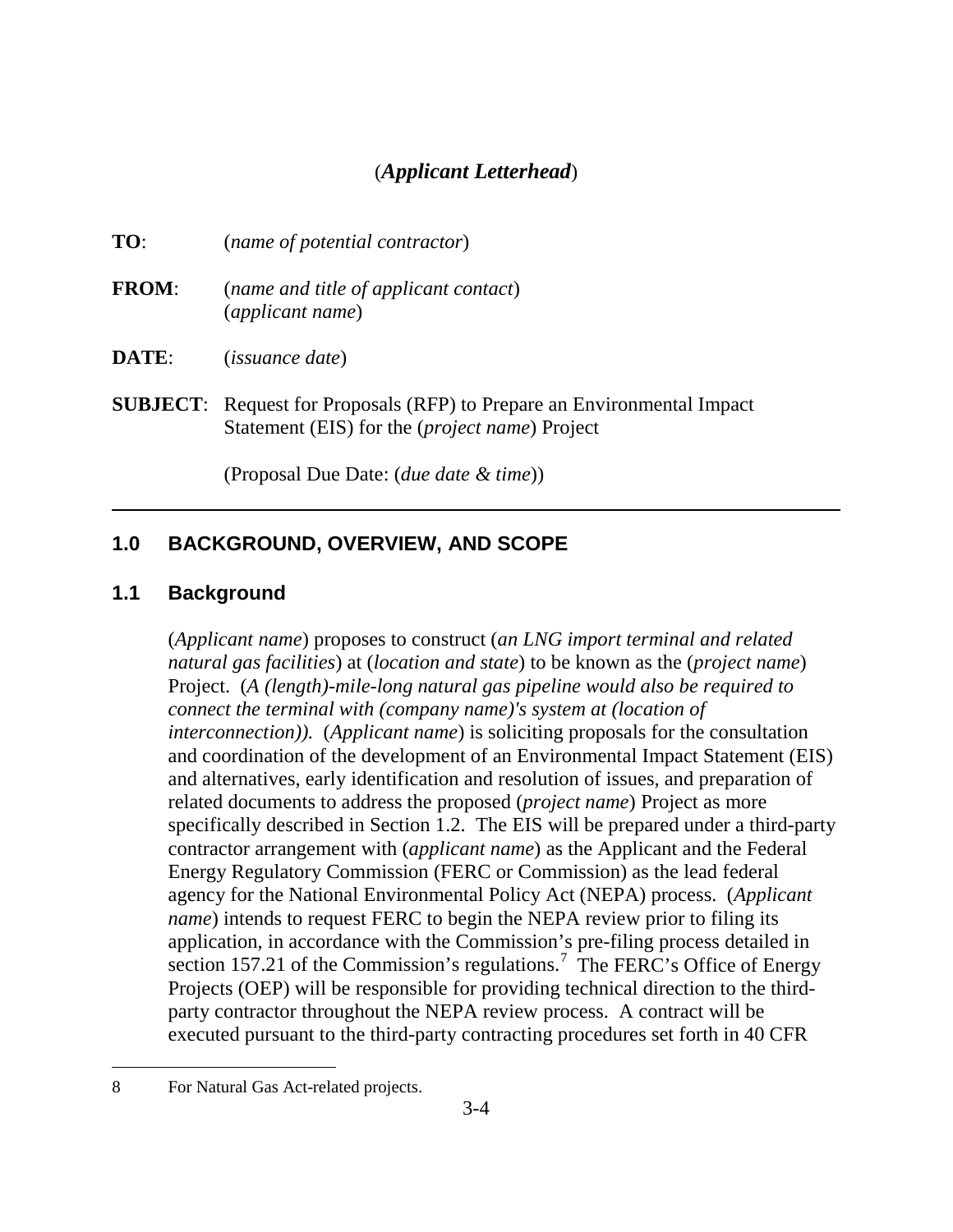## (*Applicant Letterhead*)

| TO:          | (name of potential contractor)                            |
|--------------|-----------------------------------------------------------|
| <b>FROM:</b> | (name and title of applicant contact)<br>(applicant name) |
| DATE:        | <i>(issuance date)</i>                                    |

**SUBJECT**: Request for Proposals (RFP) to Prepare an Environmental Impact Statement (EIS) for the (*project name*) Project

(Proposal Due Date: (*due date & time*))

#### **1.0 BACKGROUND, OVERVIEW, AND SCOPE**

#### **1.1 Background**

(*Applicant name*) proposes to construct (*an LNG import terminal and related natural gas facilities*) at (*location and state*) to be known as the (*project name*) Project. (*A (length)-mile-long natural gas pipeline would also be required to connect the terminal with (company name)'s system at (location of interconnection)).* (*Applicant name*) is soliciting proposals for the consultation and coordination of the development of an Environmental Impact Statement (EIS) and alternatives, early identification and resolution of issues, and preparation of related documents to address the proposed (*project name*) Project as more specifically described in Section 1.2. The EIS will be prepared under a third-party contractor arrangement with (*applicant name*) as the Applicant and the Federal Energy Regulatory Commission (FERC or Commission) as the lead federal agency for the National Environmental Policy Act (NEPA) process. (*Applicant name*) intends to request FERC to begin the NEPA review prior to filing its application, in accordance with the Commission's pre-filing process detailed in section 157.21 of the Commission's regulations.<sup>7</sup> The FERC's Office of Energy Projects (OEP) will be responsible for providing technical direction to the thirdparty contractor throughout the NEPA review process. A contract will be executed pursuant to the third-party contracting procedures set forth in 40 CFR

 $\overline{a}$ 

<sup>8</sup> For Natural Gas Act-related projects.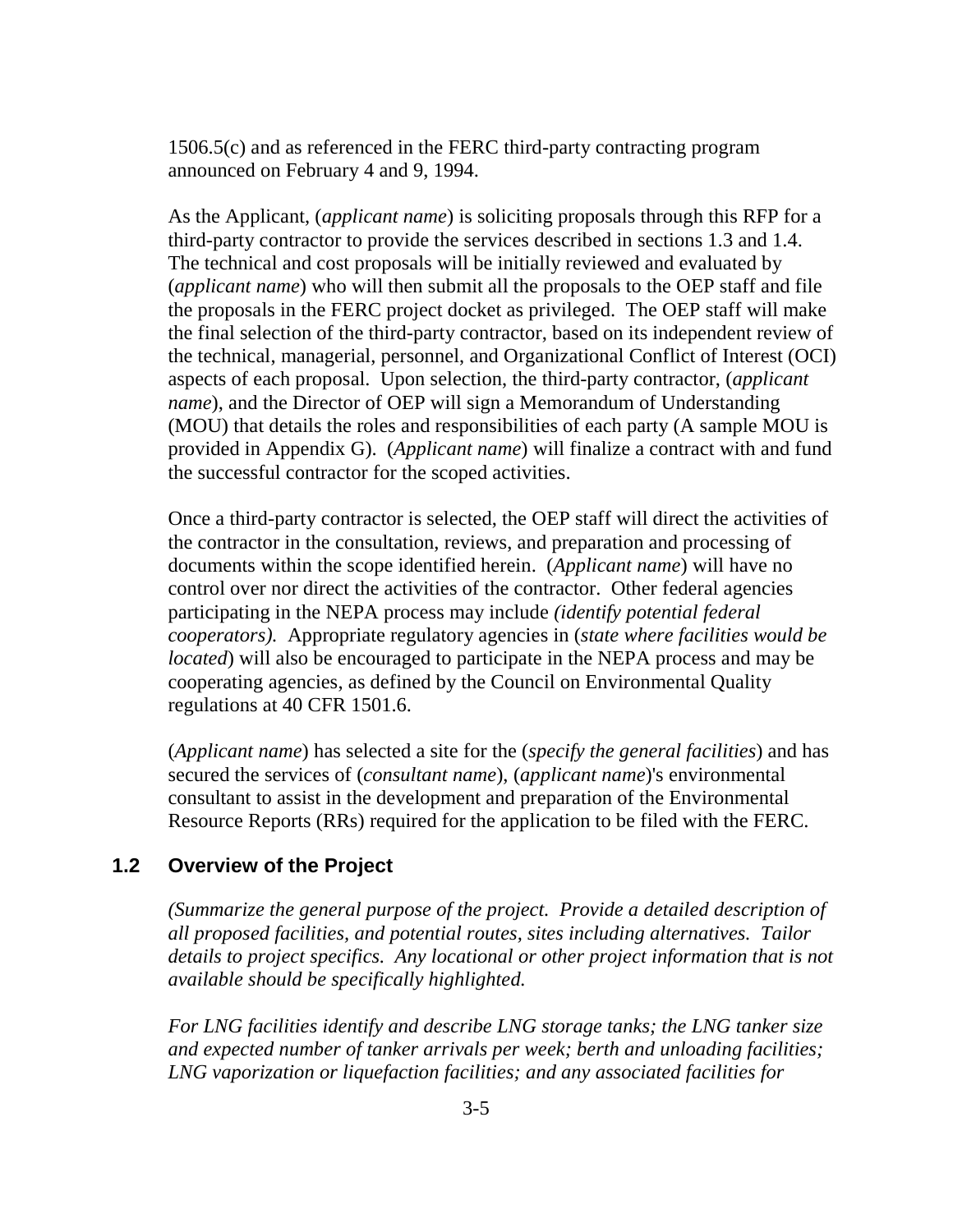1506.5(c) and as referenced in the FERC third-party contracting program announced on February 4 and 9, 1994.

As the Applicant, (*applicant name*) is soliciting proposals through this RFP for a third-party contractor to provide the services described in sections 1.3 and 1.4. The technical and cost proposals will be initially reviewed and evaluated by (*applicant name*) who will then submit all the proposals to the OEP staff and file the proposals in the FERC project docket as privileged. The OEP staff will make the final selection of the third-party contractor, based on its independent review of the technical, managerial, personnel, and Organizational Conflict of Interest (OCI) aspects of each proposal. Upon selection, the third-party contractor, (*applicant name*), and the Director of OEP will sign a Memorandum of Understanding (MOU) that details the roles and responsibilities of each party (A sample MOU is provided in Appendix G). (*Applicant name*) will finalize a contract with and fund the successful contractor for the scoped activities.

Once a third-party contractor is selected, the OEP staff will direct the activities of the contractor in the consultation, reviews, and preparation and processing of documents within the scope identified herein. (*Applicant name*) will have no control over nor direct the activities of the contractor. Other federal agencies participating in the NEPA process may include *(identify potential federal cooperators).* Appropriate regulatory agencies in (*state where facilities would be located*) will also be encouraged to participate in the NEPA process and may be cooperating agencies, as defined by the Council on Environmental Quality regulations at 40 CFR 1501.6.

(*Applicant name*) has selected a site for the (*specify the general facilities*) and has secured the services of (*consultant name*), (*applicant name*)'s environmental consultant to assist in the development and preparation of the Environmental Resource Reports (RRs) required for the application to be filed with the FERC.

#### **1.2 Overview of the Project**

*(Summarize the general purpose of the project. Provide a detailed description of all proposed facilities, and potential routes, sites including alternatives. Tailor details to project specifics. Any locational or other project information that is not available should be specifically highlighted.* 

*For LNG facilities identify and describe LNG storage tanks; the LNG tanker size and expected number of tanker arrivals per week; berth and unloading facilities; LNG vaporization or liquefaction facilities; and any associated facilities for*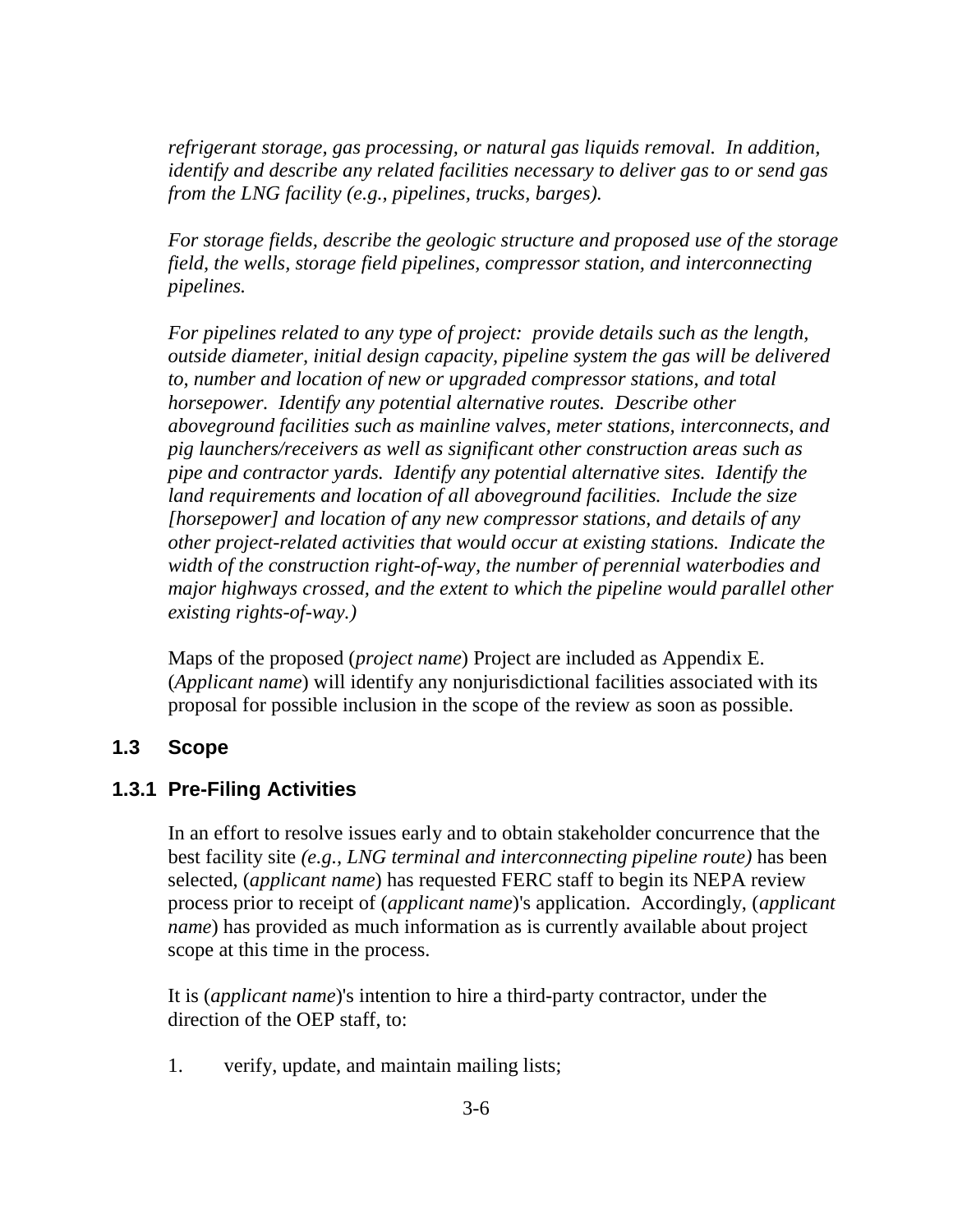*refrigerant storage, gas processing, or natural gas liquids removal. In addition, identify and describe any related facilities necessary to deliver gas to or send gas from the LNG facility (e.g., pipelines, trucks, barges).*

*For storage fields, describe the geologic structure and proposed use of the storage field, the wells, storage field pipelines, compressor station, and interconnecting pipelines.* 

*For pipelines related to any type of project: provide details such as the length, outside diameter, initial design capacity, pipeline system the gas will be delivered to, number and location of new or upgraded compressor stations, and total horsepower. Identify any potential alternative routes. Describe other aboveground facilities such as mainline valves, meter stations, interconnects, and pig launchers/receivers as well as significant other construction areas such as pipe and contractor yards. Identify any potential alternative sites. Identify the land requirements and location of all aboveground facilities. Include the size [horsepower] and location of any new compressor stations, and details of any other project-related activities that would occur at existing stations. Indicate the width of the construction right-of-way, the number of perennial waterbodies and major highways crossed, and the extent to which the pipeline would parallel other existing rights-of-way.)*

Maps of the proposed (*project name*) Project are included as Appendix E. (*Applicant name*) will identify any nonjurisdictional facilities associated with its proposal for possible inclusion in the scope of the review as soon as possible.

#### **1.3 Scope**

#### **1.3.1 Pre-Filing Activities**

In an effort to resolve issues early and to obtain stakeholder concurrence that the best facility site *(e.g., LNG terminal and interconnecting pipeline route)* has been selected, (*applicant name*) has requested FERC staff to begin its NEPA review process prior to receipt of (*applicant name*)'s application. Accordingly, (*applicant name*) has provided as much information as is currently available about project scope at this time in the process.

It is (*applicant name*)'s intention to hire a third-party contractor, under the direction of the OEP staff, to:

1. verify, update, and maintain mailing lists;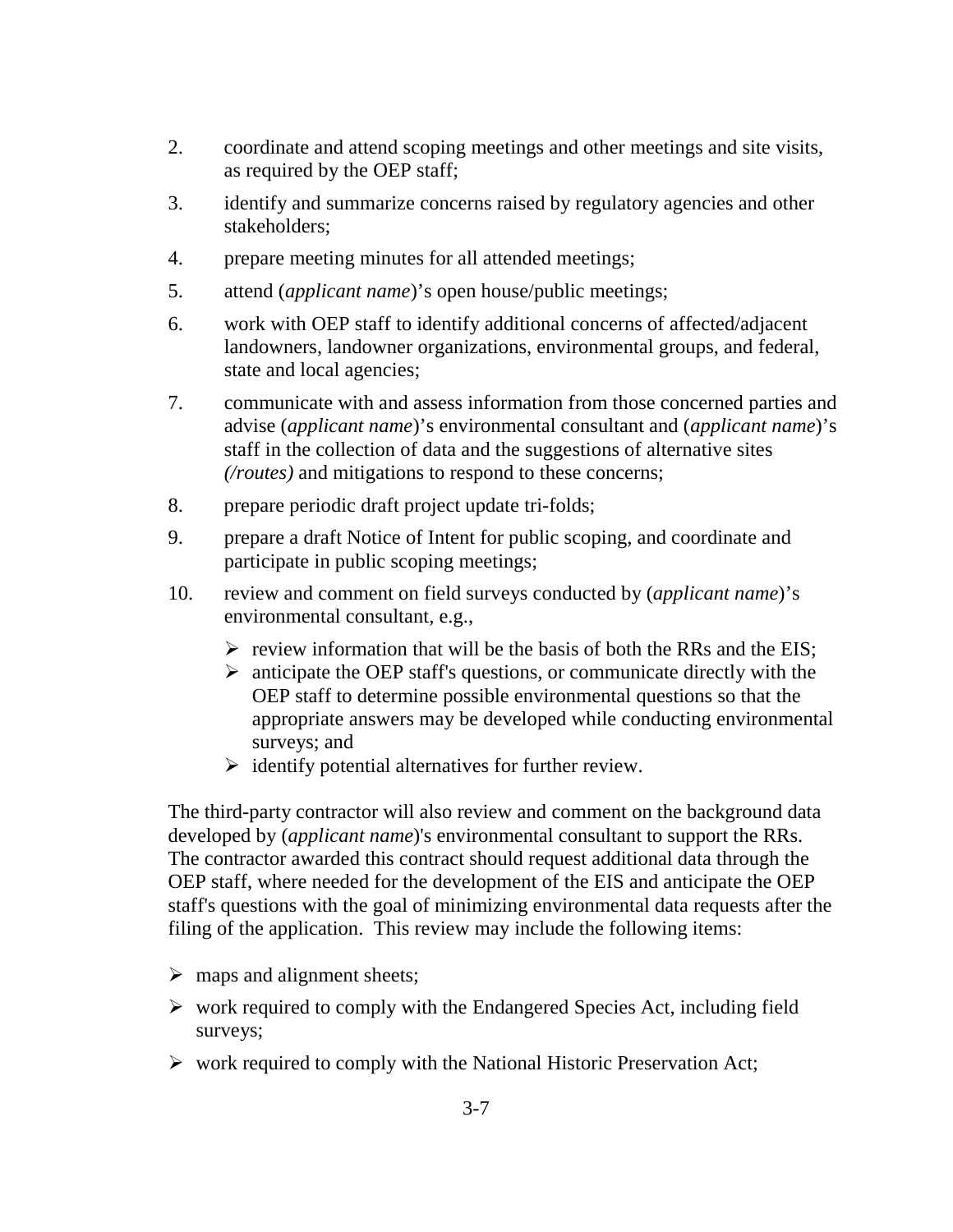- 2. coordinate and attend scoping meetings and other meetings and site visits, as required by the OEP staff;
- 3. identify and summarize concerns raised by regulatory agencies and other stakeholders;
- 4. prepare meeting minutes for all attended meetings;
- 5. attend (*applicant name*)'s open house/public meetings;
- 6. work with OEP staff to identify additional concerns of affected/adjacent landowners, landowner organizations, environmental groups, and federal, state and local agencies;
- 7. communicate with and assess information from those concerned parties and advise (*applicant name*)'s environmental consultant and (*applicant name*)'s staff in the collection of data and the suggestions of alternative sites *(/routes)* and mitigations to respond to these concerns;
- 8. prepare periodic draft project update tri-folds;
- 9. prepare a draft Notice of Intent for public scoping, and coordinate and participate in public scoping meetings;
- 10. review and comment on field surveys conducted by (*applicant name*)'s environmental consultant, e.g.,
	- $\triangleright$  review information that will be the basis of both the RRs and the EIS;
	- $\triangleright$  anticipate the OEP staff's questions, or communicate directly with the OEP staff to determine possible environmental questions so that the appropriate answers may be developed while conducting environmental surveys; and
	- $\triangleright$  identify potential alternatives for further review.

The third-party contractor will also review and comment on the background data developed by (*applicant name*)'s environmental consultant to support the RRs. The contractor awarded this contract should request additional data through the OEP staff, where needed for the development of the EIS and anticipate the OEP staff's questions with the goal of minimizing environmental data requests after the filing of the application. This review may include the following items:

- $\triangleright$  maps and alignment sheets;
- $\triangleright$  work required to comply with the Endangered Species Act, including field surveys;
- $\triangleright$  work required to comply with the National Historic Preservation Act;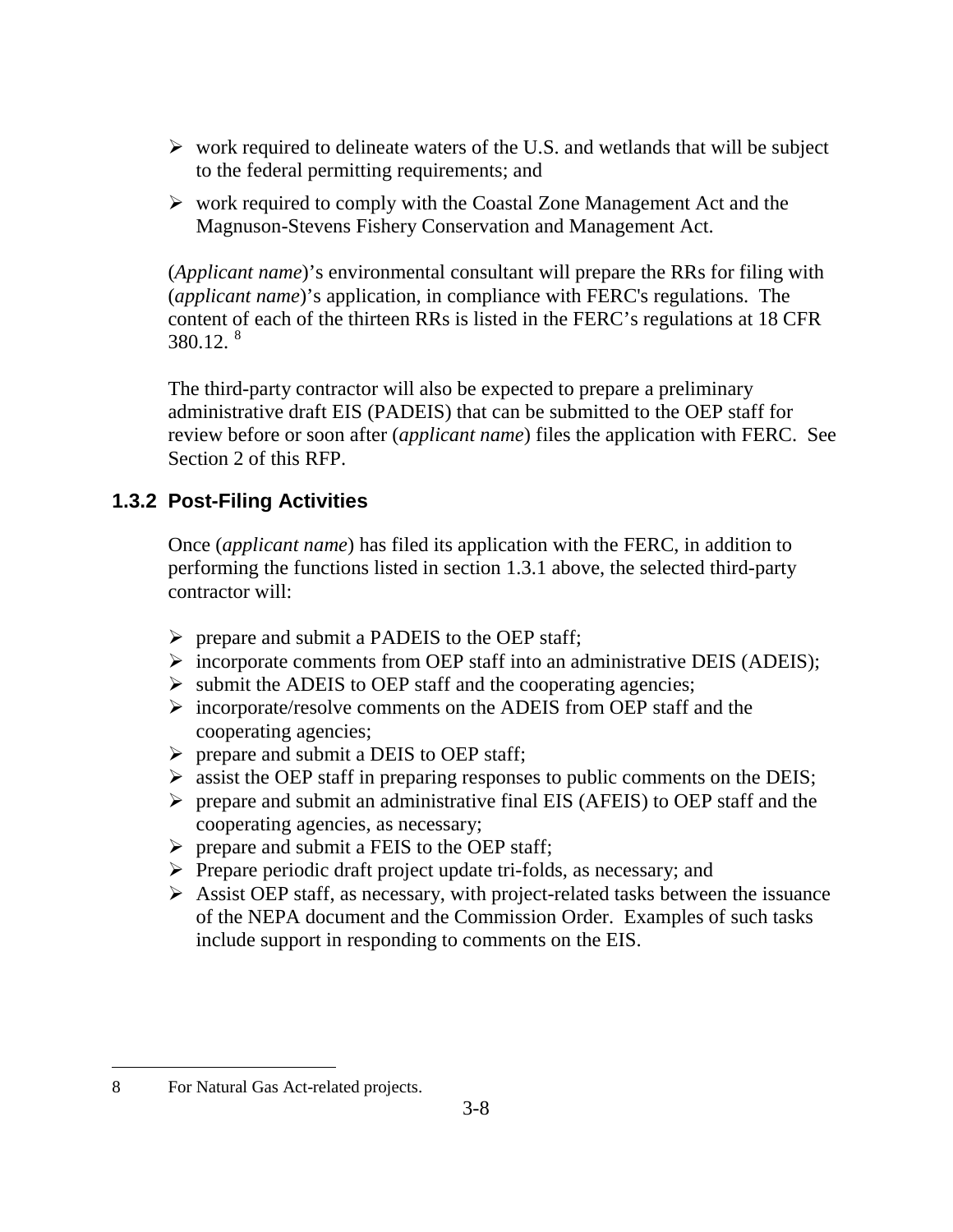- $\triangleright$  work required to delineate waters of the U.S. and wetlands that will be subject to the federal permitting requirements; and
- $\triangleright$  work required to comply with the Coastal Zone Management Act and the Magnuson-Stevens Fishery Conservation and Management Act.

(*Applicant name*)'s environmental consultant will prepare the RRs for filing with (*applicant name*)'s application, in compliance with FERC's regulations. The content of each of the thirteen RRs is listed in the FERC's regulations at 18 CFR  $380.12.^8$ 

The third-party contractor will also be expected to prepare a preliminary administrative draft EIS (PADEIS) that can be submitted to the OEP staff for review before or soon after (*applicant name*) files the application with FERC. See Section 2 of this RFP.

## **1.3.2 Post-Filing Activities**

Once (*applicant name*) has filed its application with the FERC, in addition to performing the functions listed in section 1.3.1 above, the selected third-party contractor will:

- $\triangleright$  prepare and submit a PADEIS to the OEP staff;
- $\triangleright$  incorporate comments from OEP staff into an administrative DEIS (ADEIS);
- $\triangleright$  submit the ADEIS to OEP staff and the cooperating agencies;
- $\triangleright$  incorporate/resolve comments on the ADEIS from OEP staff and the cooperating agencies;
- $\triangleright$  prepare and submit a DEIS to OEP staff;
- $\triangleright$  assist the OEP staff in preparing responses to public comments on the DEIS;
- $\triangleright$  prepare and submit an administrative final EIS (AFEIS) to OEP staff and the cooperating agencies, as necessary;
- $\triangleright$  prepare and submit a FEIS to the OEP staff;
- $\triangleright$  Prepare periodic draft project update tri-folds, as necessary; and
- $\triangleright$  Assist OEP staff, as necessary, with project-related tasks between the issuance of the NEPA document and the Commission Order. Examples of such tasks include support in responding to comments on the EIS.

 $\overline{a}$ 

<sup>8</sup> For Natural Gas Act-related projects.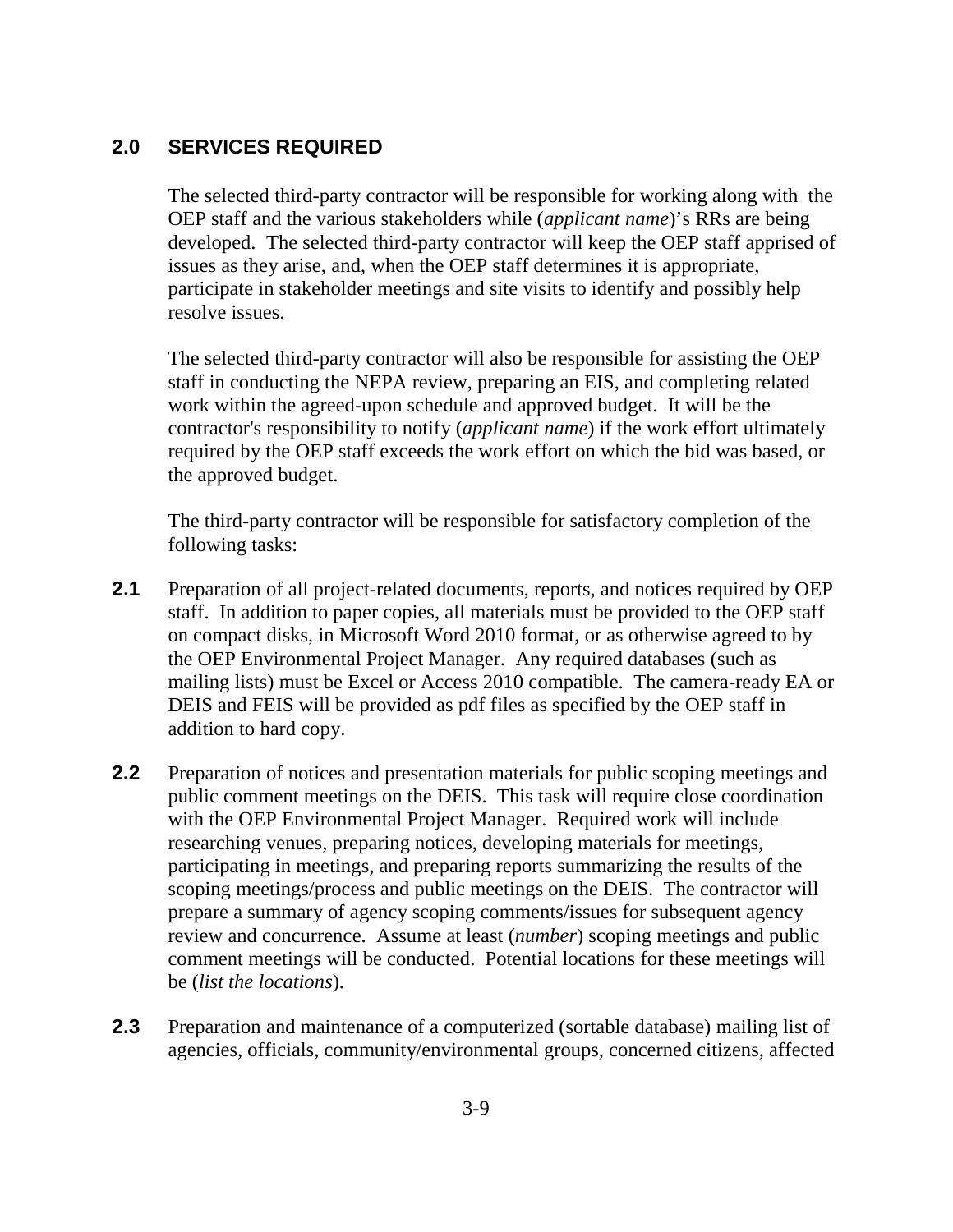## **2.0 SERVICES REQUIRED**

The selected third-party contractor will be responsible for working along with the OEP staff and the various stakeholders while (*applicant name*)'s RRs are being developed. The selected third-party contractor will keep the OEP staff apprised of issues as they arise, and, when the OEP staff determines it is appropriate, participate in stakeholder meetings and site visits to identify and possibly help resolve issues.

The selected third-party contractor will also be responsible for assisting the OEP staff in conducting the NEPA review, preparing an EIS, and completing related work within the agreed-upon schedule and approved budget. It will be the contractor's responsibility to notify (*applicant name*) if the work effort ultimately required by the OEP staff exceeds the work effort on which the bid was based, or the approved budget.

The third-party contractor will be responsible for satisfactory completion of the following tasks:

- **2.1** Preparation of all project-related documents, reports, and notices required by OEP staff. In addition to paper copies, all materials must be provided to the OEP staff on compact disks, in Microsoft Word 2010 format, or as otherwise agreed to by the OEP Environmental Project Manager. Any required databases (such as mailing lists) must be Excel or Access 2010 compatible. The camera-ready EA or DEIS and FEIS will be provided as pdf files as specified by the OEP staff in addition to hard copy.
- **2.2** Preparation of notices and presentation materials for public scoping meetings and public comment meetings on the DEIS. This task will require close coordination with the OEP Environmental Project Manager. Required work will include researching venues, preparing notices, developing materials for meetings, participating in meetings, and preparing reports summarizing the results of the scoping meetings/process and public meetings on the DEIS. The contractor will prepare a summary of agency scoping comments/issues for subsequent agency review and concurrence. Assume at least (*number*) scoping meetings and public comment meetings will be conducted. Potential locations for these meetings will be (*list the locations*).
- **2.3** Preparation and maintenance of a computerized (sortable database) mailing list of agencies, officials, community/environmental groups, concerned citizens, affected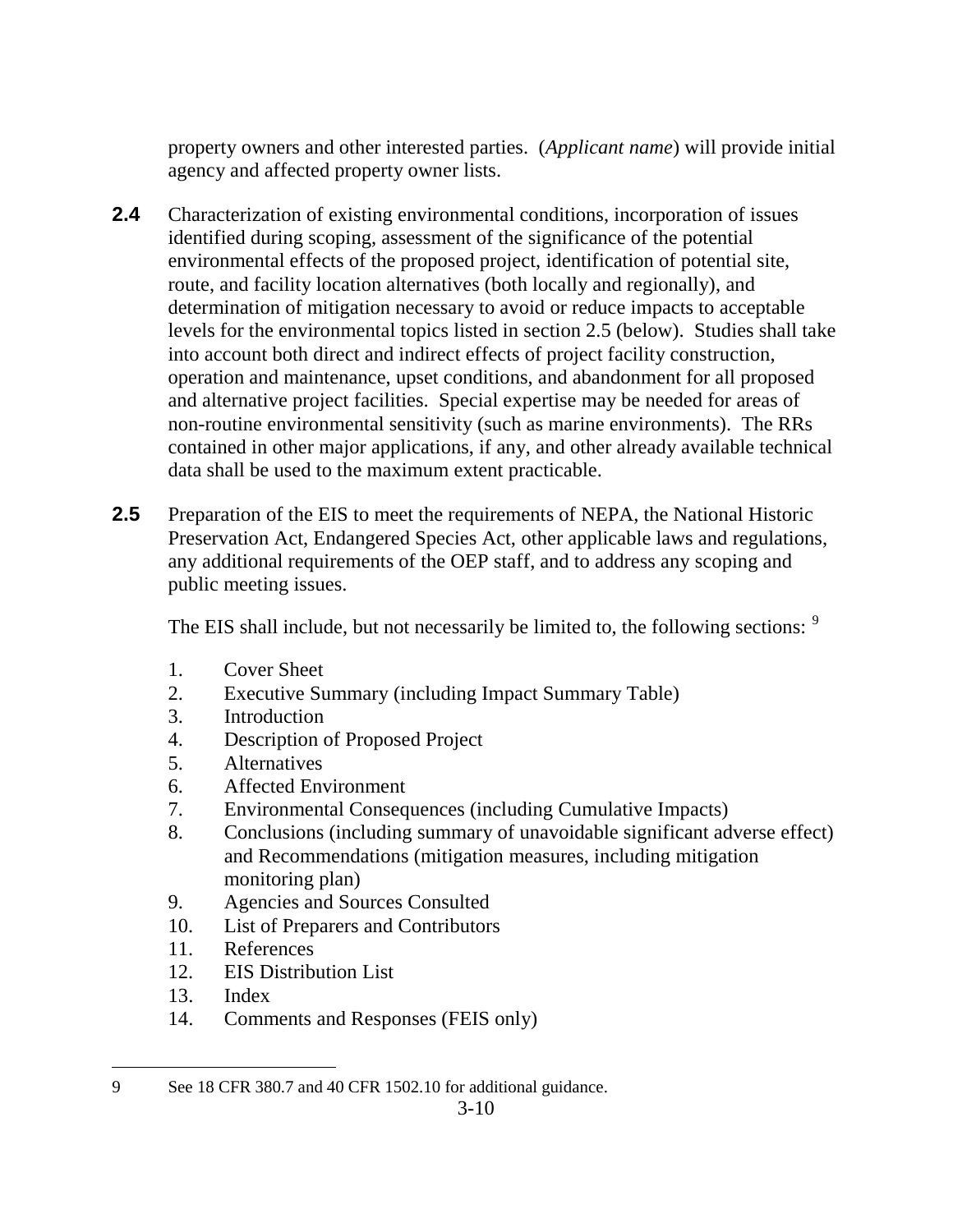property owners and other interested parties. (*Applicant name*) will provide initial agency and affected property owner lists.

- **2.4** Characterization of existing environmental conditions, incorporation of issues identified during scoping, assessment of the significance of the potential environmental effects of the proposed project, identification of potential site, route, and facility location alternatives (both locally and regionally), and determination of mitigation necessary to avoid or reduce impacts to acceptable levels for the environmental topics listed in section 2.5 (below). Studies shall take into account both direct and indirect effects of project facility construction, operation and maintenance, upset conditions, and abandonment for all proposed and alternative project facilities. Special expertise may be needed for areas of non-routine environmental sensitivity (such as marine environments). The RRs contained in other major applications, if any, and other already available technical data shall be used to the maximum extent practicable.
- **2.5** Preparation of the EIS to meet the requirements of NEPA, the National Historic Preservation Act, Endangered Species Act, other applicable laws and regulations, any additional requirements of the OEP staff, and to address any scoping and public meeting issues.

The EIS shall include, but not necessarily be limited to, the following sections: <sup>9</sup>

- 1. Cover Sheet
- 2. Executive Summary (including Impact Summary Table)
- 3. Introduction
- 4. Description of Proposed Project
- 5. Alternatives
- 6. Affected Environment
- 7. Environmental Consequences (including Cumulative Impacts)
- 8. Conclusions (including summary of unavoidable significant adverse effect) and Recommendations (mitigation measures, including mitigation monitoring plan)
- 9. Agencies and Sources Consulted
- 10. List of Preparers and Contributors
- 11. References
- 12. EIS Distribution List
- 13. Index
- 14. Comments and Responses (FEIS only)

 $\overline{a}$ 9 See 18 CFR 380.7 and 40 CFR 1502.10 for additional guidance.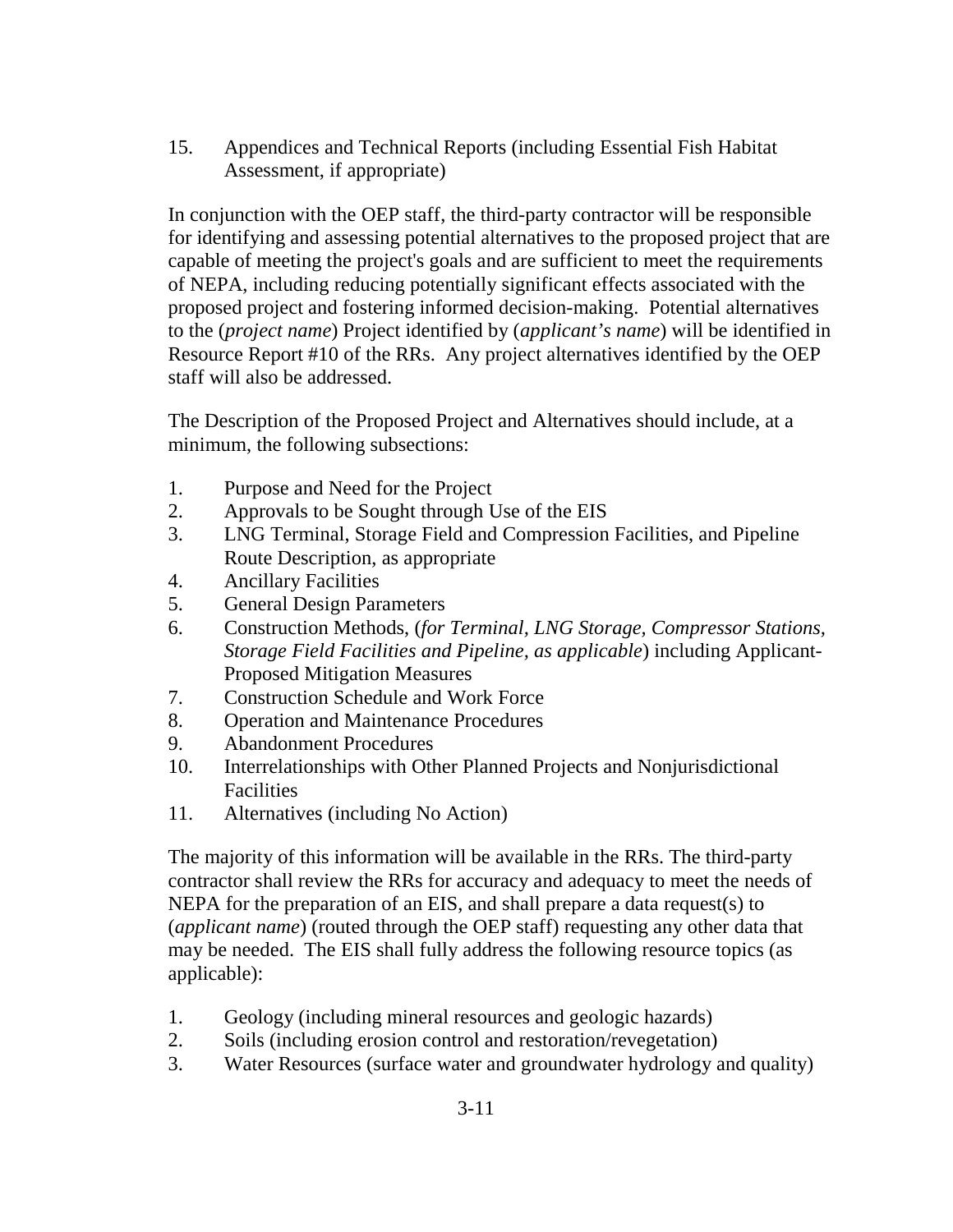15. Appendices and Technical Reports (including Essential Fish Habitat Assessment, if appropriate)

In conjunction with the OEP staff, the third-party contractor will be responsible for identifying and assessing potential alternatives to the proposed project that are capable of meeting the project's goals and are sufficient to meet the requirements of NEPA, including reducing potentially significant effects associated with the proposed project and fostering informed decision-making. Potential alternatives to the (*project name*) Project identified by (*applicant's name*) will be identified in Resource Report #10 of the RRs. Any project alternatives identified by the OEP staff will also be addressed.

The Description of the Proposed Project and Alternatives should include, at a minimum, the following subsections:

- 1. Purpose and Need for the Project
- 2. Approvals to be Sought through Use of the EIS
- 3. LNG Terminal, Storage Field and Compression Facilities, and Pipeline Route Description, as appropriate
- 4. Ancillary Facilities
- 5. General Design Parameters
- 6. Construction Methods, (*for Terminal, LNG Storage, Compressor Stations, Storage Field Facilities and Pipeline, as applicable*) including Applicant-Proposed Mitigation Measures
- 7. Construction Schedule and Work Force
- 8. Operation and Maintenance Procedures
- 9. Abandonment Procedures
- 10. Interrelationships with Other Planned Projects and Nonjurisdictional **Facilities**
- 11. Alternatives (including No Action)

The majority of this information will be available in the RRs. The third-party contractor shall review the RRs for accuracy and adequacy to meet the needs of NEPA for the preparation of an EIS, and shall prepare a data request(s) to (*applicant name*) (routed through the OEP staff) requesting any other data that may be needed. The EIS shall fully address the following resource topics (as applicable):

- 1. Geology (including mineral resources and geologic hazards)
- 2. Soils (including erosion control and restoration/revegetation)
- 3. Water Resources (surface water and groundwater hydrology and quality)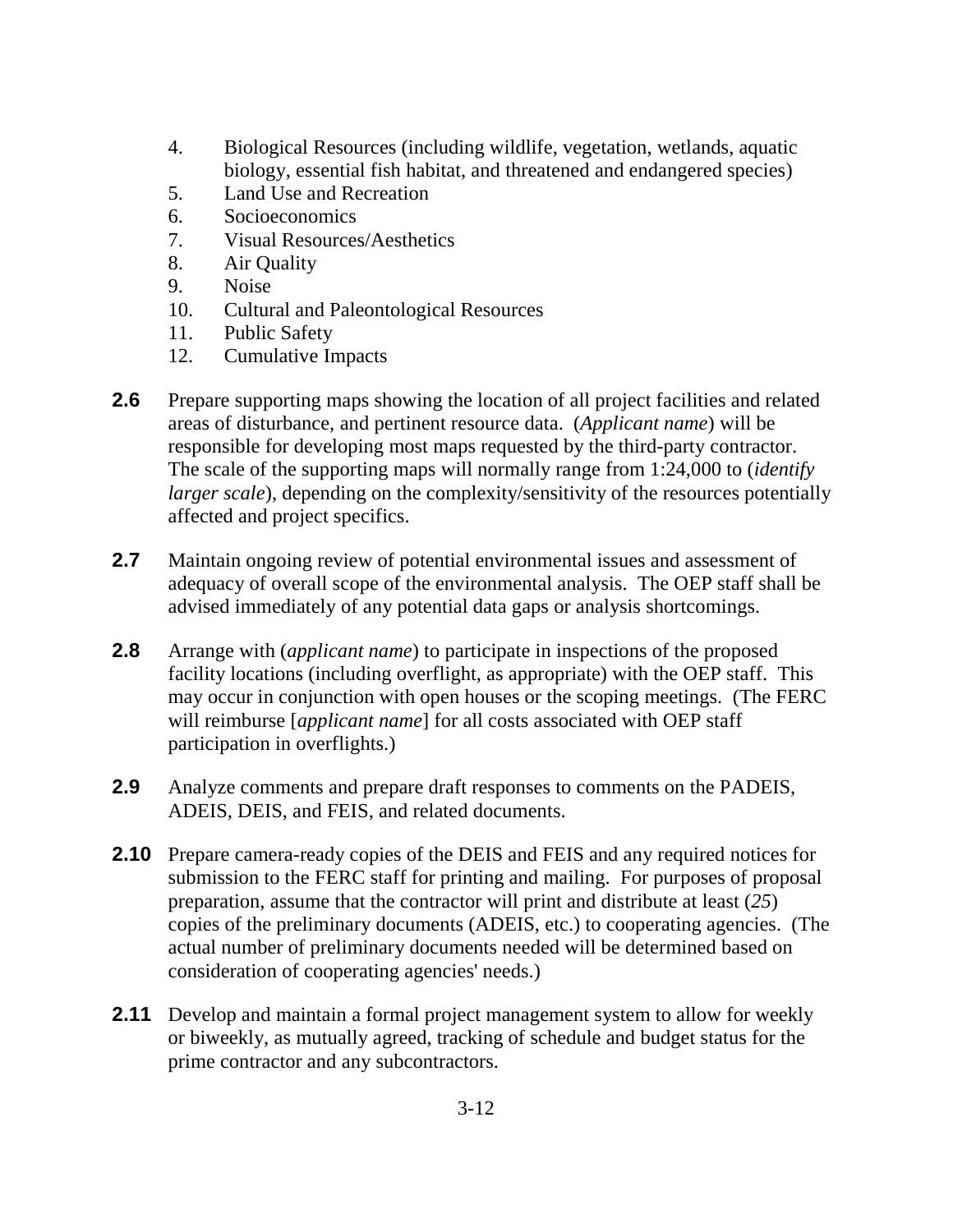- 4. Biological Resources (including wildlife, vegetation, wetlands, aquatic biology, essential fish habitat, and threatened and endangered species)
- 5. Land Use and Recreation
- 6. Socioeconomics
- 7. Visual Resources/Aesthetics
- 8. Air Quality
- 9. Noise
- 10. Cultural and Paleontological Resources
- 11. Public Safety
- 12. Cumulative Impacts
- **2.6** Prepare supporting maps showing the location of all project facilities and related areas of disturbance, and pertinent resource data. (*Applicant name*) will be responsible for developing most maps requested by the third-party contractor. The scale of the supporting maps will normally range from 1:24,000 to (*identify larger scale*), depending on the complexity/sensitivity of the resources potentially affected and project specifics.
- **2.7** Maintain ongoing review of potential environmental issues and assessment of adequacy of overall scope of the environmental analysis. The OEP staff shall be advised immediately of any potential data gaps or analysis shortcomings.
- **2.8** Arrange with (*applicant name*) to participate in inspections of the proposed facility locations (including overflight, as appropriate) with the OEP staff. This may occur in conjunction with open houses or the scoping meetings. (The FERC will reimburse [*applicant name*] for all costs associated with OEP staff participation in overflights.)
- **2.9** Analyze comments and prepare draft responses to comments on the PADEIS, ADEIS, DEIS, and FEIS, and related documents.
- **2.10** Prepare camera-ready copies of the DEIS and FEIS and any required notices for submission to the FERC staff for printing and mailing. For purposes of proposal preparation, assume that the contractor will print and distribute at least (*25*) copies of the preliminary documents (ADEIS, etc.) to cooperating agencies. (The actual number of preliminary documents needed will be determined based on consideration of cooperating agencies' needs.)
- **2.11** Develop and maintain a formal project management system to allow for weekly or biweekly, as mutually agreed, tracking of schedule and budget status for the prime contractor and any subcontractors.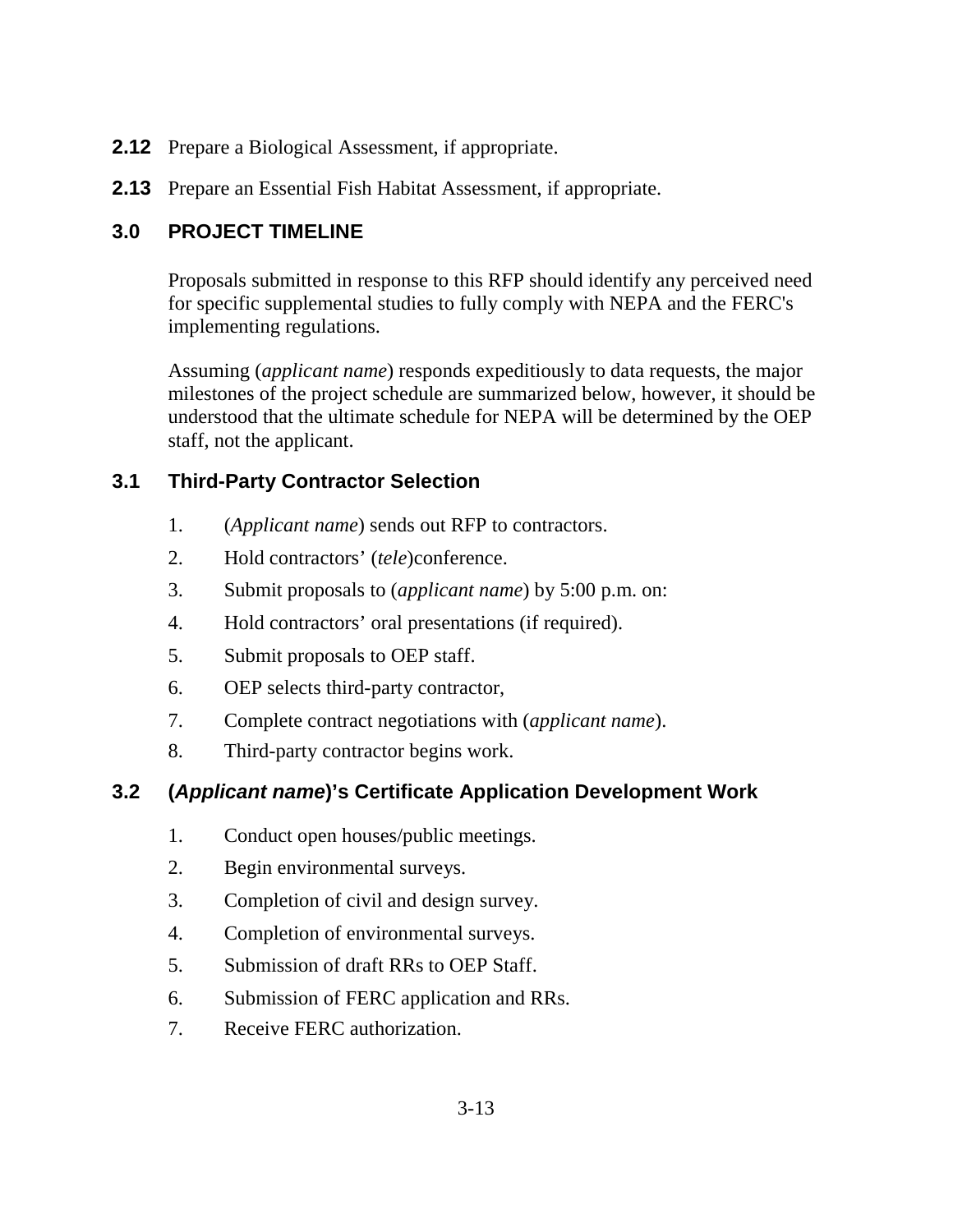- **2.12** Prepare a Biological Assessment, if appropriate.
- **2.13** Prepare an Essential Fish Habitat Assessment, if appropriate.

# **3.0 PROJECT TIMELINE**

Proposals submitted in response to this RFP should identify any perceived need for specific supplemental studies to fully comply with NEPA and the FERC's implementing regulations.

Assuming (*applicant name*) responds expeditiously to data requests, the major milestones of the project schedule are summarized below, however, it should be understood that the ultimate schedule for NEPA will be determined by the OEP staff, not the applicant.

# **3.1 Third-Party Contractor Selection**

- 1. (*Applicant name*) sends out RFP to contractors.
- 2. Hold contractors' (*tele*)conference.
- 3. Submit proposals to (*applicant name*) by 5:00 p.m. on:
- 4. Hold contractors' oral presentations (if required).
- 5. Submit proposals to OEP staff.
- 6. OEP selects third-party contractor,
- 7. Complete contract negotiations with (*applicant name*).
- 8. Third-party contractor begins work.

# **3.2 (***Applicant name***)'s Certificate Application Development Work**

- 1. Conduct open houses/public meetings.
- 2. Begin environmental surveys.
- 3. Completion of civil and design survey.
- 4. Completion of environmental surveys.
- 5. Submission of draft RRs to OEP Staff.
- 6. Submission of FERC application and RRs.
- 7. Receive FERC authorization.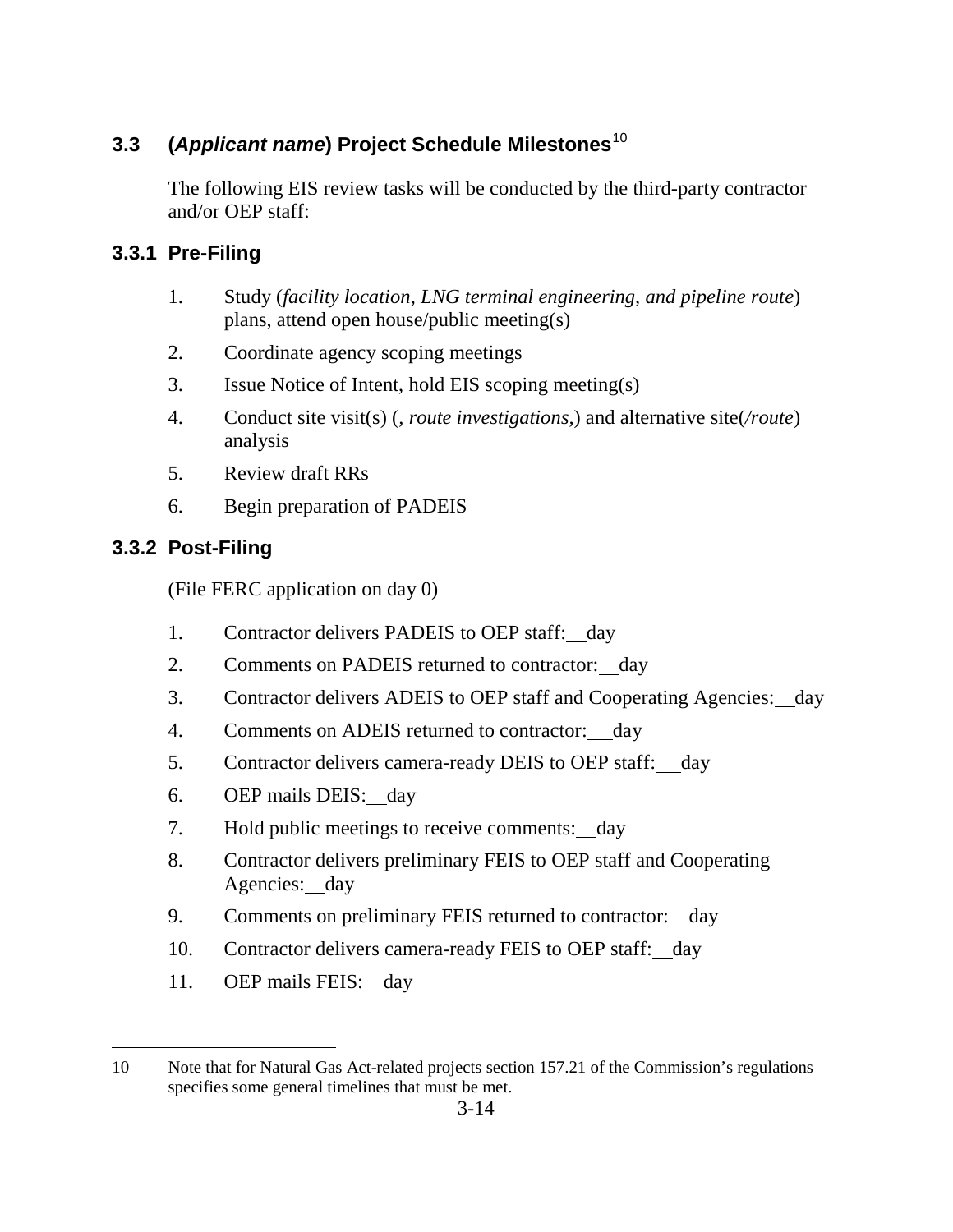# **3.3 (***Applicant name***) Project Schedule Milestones**<sup>10</sup>

The following EIS review tasks will be conducted by the third-party contractor and/or OEP staff:

## **3.3.1 Pre-Filing**

- 1. Study (*facility location, LNG terminal engineering, and pipeline route*) plans, attend open house/public meeting(s)
- 2. Coordinate agency scoping meetings
- 3. Issue Notice of Intent, hold EIS scoping meeting(s)
- 4. Conduct site visit(s) (*, route investigations,*) and alternative site(*/route*) analysis
- 5. Review draft RRs
- 6. Begin preparation of PADEIS

## **3.3.2 Post-Filing**

(File FERC application on day 0)

- 1. Contractor delivers PADEIS to OEP staff: day
- 2. Comments on PADEIS returned to contractor: day
- 3. Contractor delivers ADEIS to OEP staff and Cooperating Agencies: day
- 4. Comments on ADEIS returned to contractor: day
- 5. Contractor delivers camera-ready DEIS to OEP staff: day
- 6. OEP mails DEIS: day
- 7. Hold public meetings to receive comments: day
- 8. Contractor delivers preliminary FEIS to OEP staff and Cooperating Agencies: day
- 9. Comments on preliminary FEIS returned to contractor: day
- 10. Contractor delivers camera-ready FEIS to OEP staff: day
- 11. OEP mails FEIS: day

 $\overline{a}$ 10 Note that for Natural Gas Act-related projects section 157.21 of the Commission's regulations specifies some general timelines that must be met.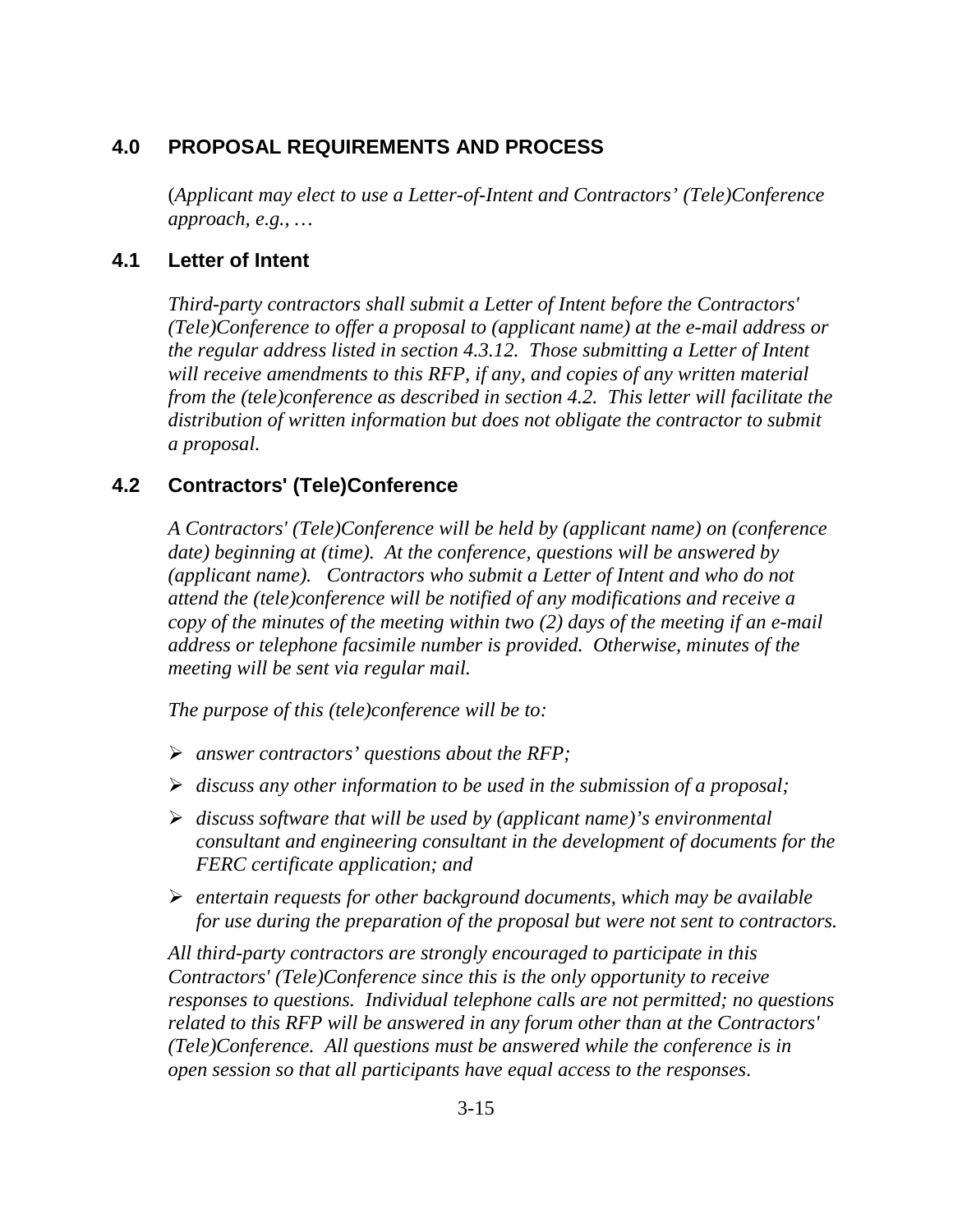# **4.0 PROPOSAL REQUIREMENTS AND PROCESS**

(*Applicant may elect to use a Letter-of-Intent and Contractors' (Tele)Conference approach, e.g., …*

## **4.1 Letter of Intent**

*Third-party contractors shall submit a Letter of Intent before the Contractors' (Tele)Conference to offer a proposal to (applicant name) at the e-mail address or the regular address listed in section 4.3.12. Those submitting a Letter of Intent will receive amendments to this RFP, if any, and copies of any written material from the (tele)conference as described in section 4.2. This letter will facilitate the distribution of written information but does not obligate the contractor to submit a proposal.*

## **4.2 Contractors' (Tele)Conference**

*A Contractors' (Tele)Conference will be held by (applicant name) on (conference date) beginning at (time). At the conference, questions will be answered by (applicant name). Contractors who submit a Letter of Intent and who do not attend the (tele)conference will be notified of any modifications and receive a copy of the minutes of the meeting within two (2) days of the meeting if an e-mail address or telephone facsimile number is provided. Otherwise, minutes of the meeting will be sent via regular mail.*

*The purpose of this (tele)conference will be to:*

- *answer contractors' questions about the RFP;*
- *discuss any other information to be used in the submission of a proposal;*
- *discuss software that will be used by (applicant name)'s environmental consultant and engineering consultant in the development of documents for the FERC certificate application; and*
- *entertain requests for other background documents, which may be available for use during the preparation of the proposal but were not sent to contractors.*

*All third-party contractors are strongly encouraged to participate in this Contractors' (Tele)Conference since this is the only opportunity to receive responses to questions. Individual telephone calls are not permitted; no questions related to this RFP will be answered in any forum other than at the Contractors' (Tele)Conference. All questions must be answered while the conference is in open session so that all participants have equal access to the responses*.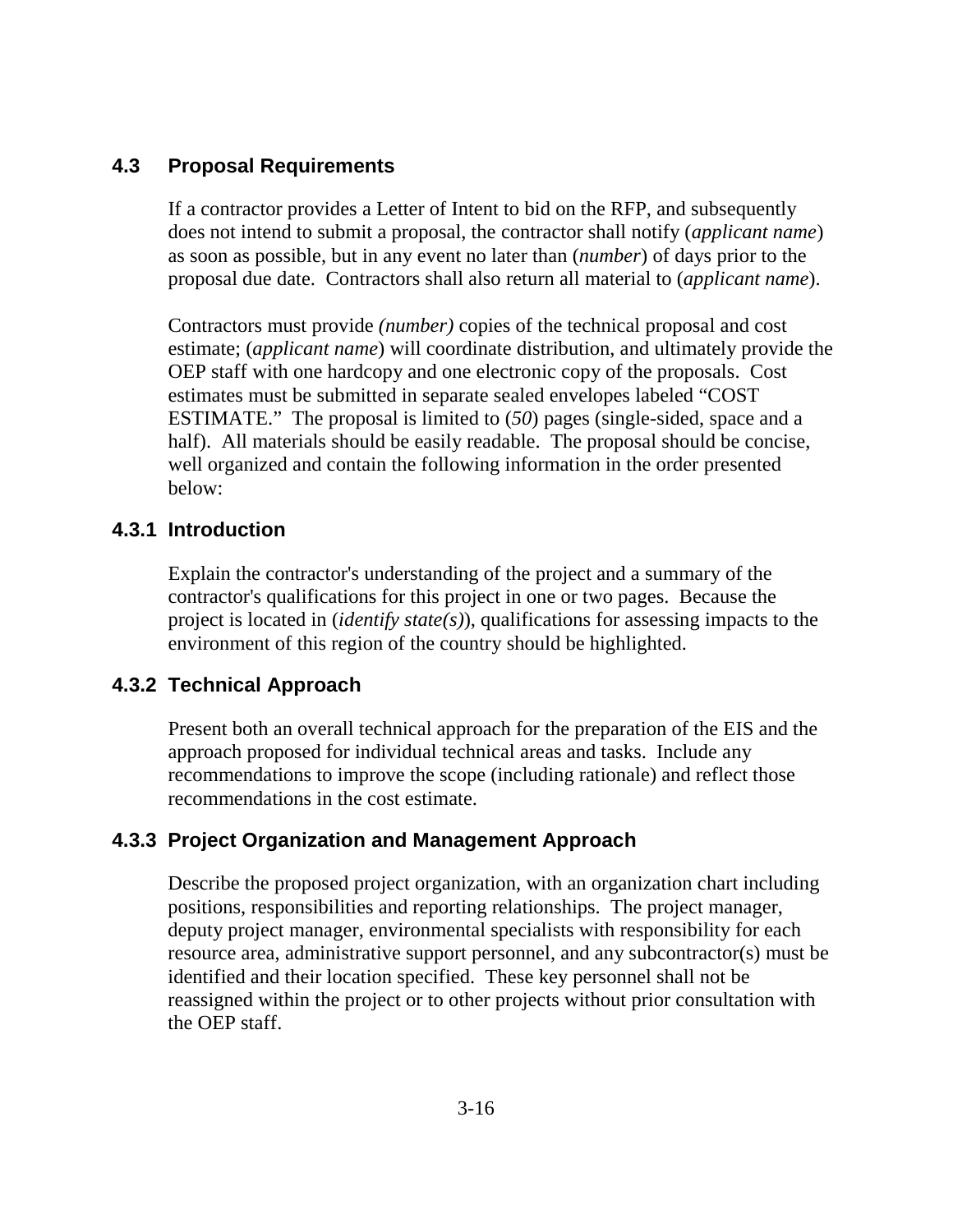## **4.3 Proposal Requirements**

If a contractor provides a Letter of Intent to bid on the RFP, and subsequently does not intend to submit a proposal, the contractor shall notify (*applicant name*) as soon as possible, but in any event no later than (*number*) of days prior to the proposal due date. Contractors shall also return all material to (*applicant name*).

Contractors must provide *(number)* copies of the technical proposal and cost estimate; (*applicant name*) will coordinate distribution, and ultimately provide the OEP staff with one hardcopy and one electronic copy of the proposals. Cost estimates must be submitted in separate sealed envelopes labeled "COST ESTIMATE." The proposal is limited to (*50*) pages (single-sided, space and a half). All materials should be easily readable. The proposal should be concise, well organized and contain the following information in the order presented below:

## **4.3.1 Introduction**

Explain the contractor's understanding of the project and a summary of the contractor's qualifications for this project in one or two pages. Because the project is located in (*identify state(s)*), qualifications for assessing impacts to the environment of this region of the country should be highlighted.

## **4.3.2 Technical Approach**

Present both an overall technical approach for the preparation of the EIS and the approach proposed for individual technical areas and tasks. Include any recommendations to improve the scope (including rationale) and reflect those recommendations in the cost estimate.

## **4.3.3 Project Organization and Management Approach**

Describe the proposed project organization, with an organization chart including positions, responsibilities and reporting relationships. The project manager, deputy project manager, environmental specialists with responsibility for each resource area, administrative support personnel, and any subcontractor(s) must be identified and their location specified. These key personnel shall not be reassigned within the project or to other projects without prior consultation with the OEP staff.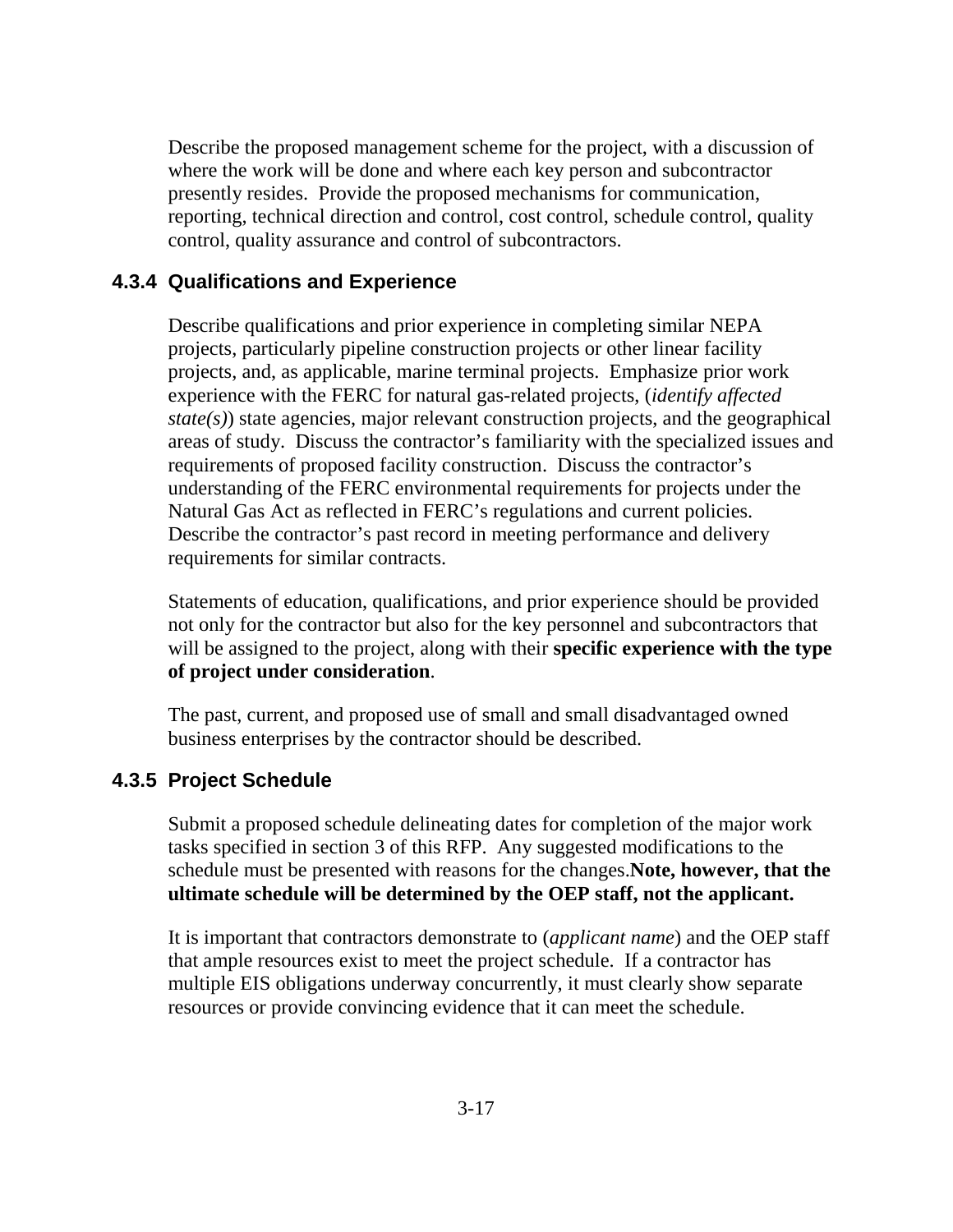Describe the proposed management scheme for the project, with a discussion of where the work will be done and where each key person and subcontractor presently resides. Provide the proposed mechanisms for communication, reporting, technical direction and control, cost control, schedule control, quality control, quality assurance and control of subcontractors.

## **4.3.4 Qualifications and Experience**

Describe qualifications and prior experience in completing similar NEPA projects, particularly pipeline construction projects or other linear facility projects, and, as applicable, marine terminal projects. Emphasize prior work experience with the FERC for natural gas-related projects, (*identify affected state(s)*) state agencies, major relevant construction projects, and the geographical areas of study. Discuss the contractor's familiarity with the specialized issues and requirements of proposed facility construction. Discuss the contractor's understanding of the FERC environmental requirements for projects under the Natural Gas Act as reflected in FERC's regulations and current policies. Describe the contractor's past record in meeting performance and delivery requirements for similar contracts.

Statements of education, qualifications, and prior experience should be provided not only for the contractor but also for the key personnel and subcontractors that will be assigned to the project, along with their **specific experience with the type of project under consideration**.

The past, current, and proposed use of small and small disadvantaged owned business enterprises by the contractor should be described.

## **4.3.5 Project Schedule**

Submit a proposed schedule delineating dates for completion of the major work tasks specified in section 3 of this RFP. Any suggested modifications to the schedule must be presented with reasons for the changes.**Note, however, that the ultimate schedule will be determined by the OEP staff, not the applicant.**

It is important that contractors demonstrate to (*applicant name*) and the OEP staff that ample resources exist to meet the project schedule. If a contractor has multiple EIS obligations underway concurrently, it must clearly show separate resources or provide convincing evidence that it can meet the schedule.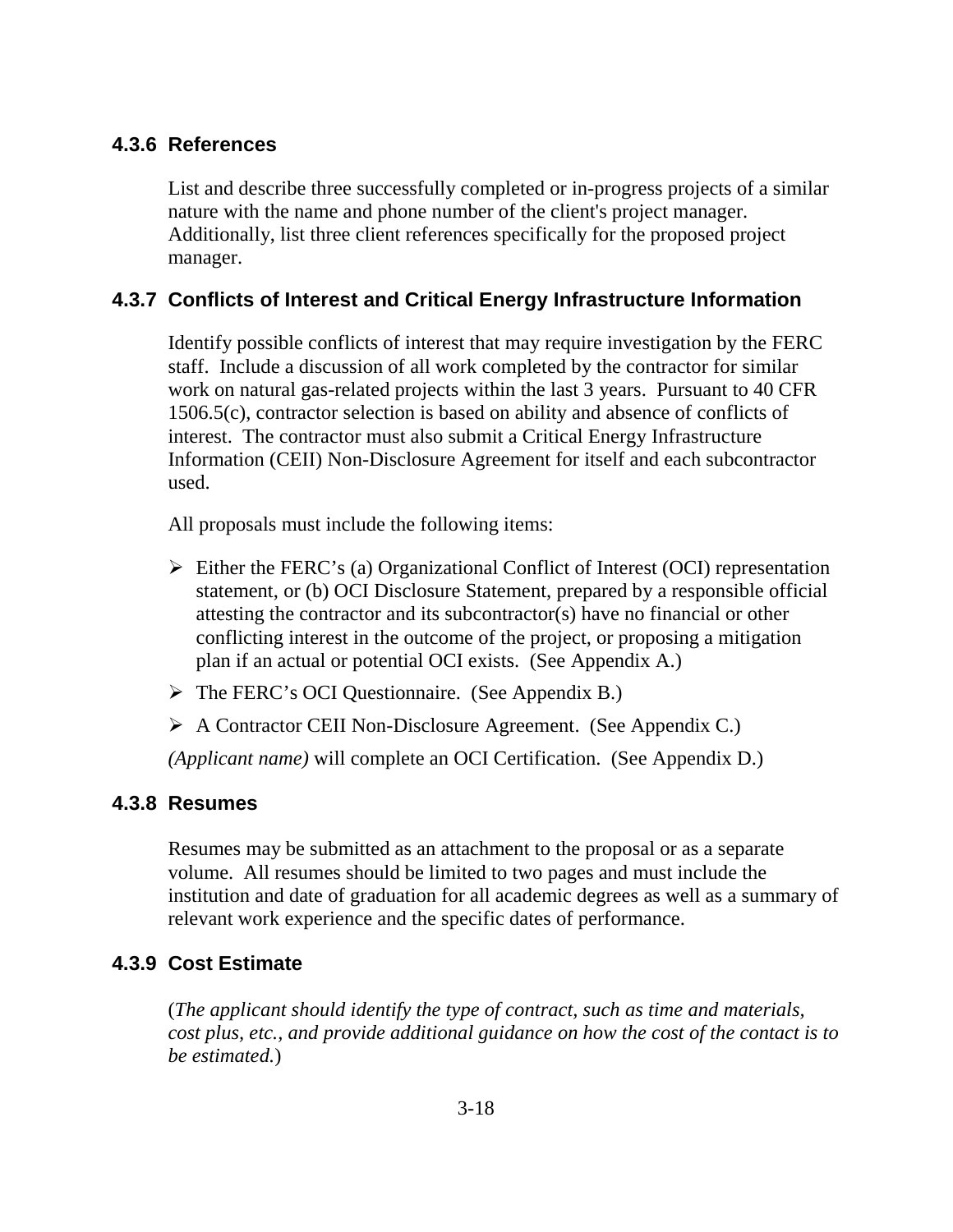## **4.3.6 References**

List and describe three successfully completed or in-progress projects of a similar nature with the name and phone number of the client's project manager. Additionally, list three client references specifically for the proposed project manager.

## **4.3.7 Conflicts of Interest and Critical Energy Infrastructure Information**

Identify possible conflicts of interest that may require investigation by the FERC staff. Include a discussion of all work completed by the contractor for similar work on natural gas-related projects within the last 3 years. Pursuant to 40 CFR 1506.5(c), contractor selection is based on ability and absence of conflicts of interest. The contractor must also submit a Critical Energy Infrastructure Information (CEII) Non-Disclosure Agreement for itself and each subcontractor used.

All proposals must include the following items:

- $\triangleright$  Either the FERC's (a) Organizational Conflict of Interest (OCI) representation statement, or (b) OCI Disclosure Statement, prepared by a responsible official attesting the contractor and its subcontractor(s) have no financial or other conflicting interest in the outcome of the project, or proposing a mitigation plan if an actual or potential OCI exists. (See Appendix A.)
- The FERC's OCI Questionnaire. (See Appendix B.)
- A Contractor CEII Non-Disclosure Agreement. (See Appendix C.)

*(Applicant name)* will complete an OCI Certification. (See Appendix D.)

## **4.3.8 Resumes**

Resumes may be submitted as an attachment to the proposal or as a separate volume. All resumes should be limited to two pages and must include the institution and date of graduation for all academic degrees as well as a summary of relevant work experience and the specific dates of performance.

## **4.3.9 Cost Estimate**

(*The applicant should identify the type of contract, such as time and materials, cost plus, etc., and provide additional guidance on how the cost of the contact is to be estimated.*)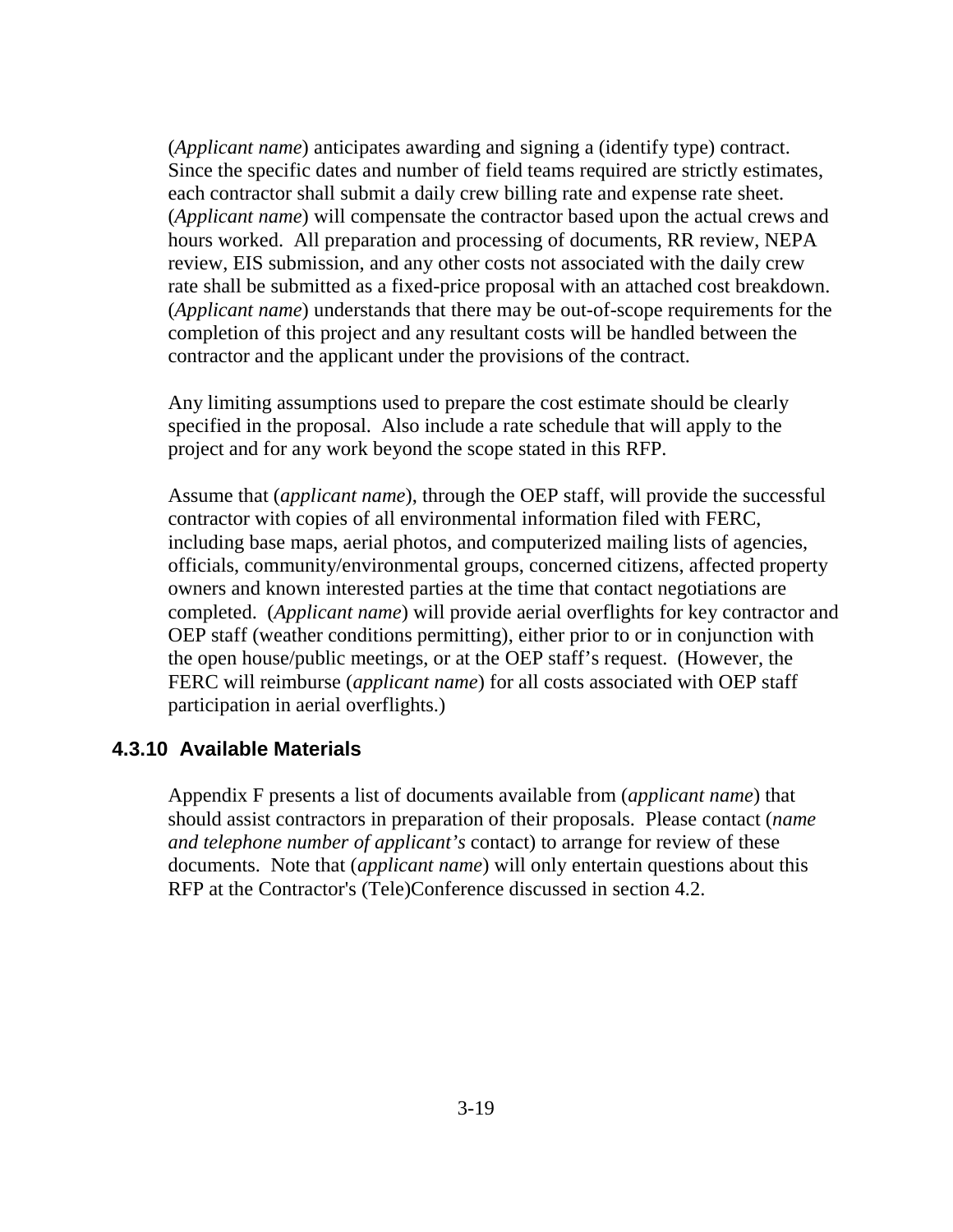(*Applicant name*) anticipates awarding and signing a (identify type) contract. Since the specific dates and number of field teams required are strictly estimates, each contractor shall submit a daily crew billing rate and expense rate sheet. (*Applicant name*) will compensate the contractor based upon the actual crews and hours worked. All preparation and processing of documents, RR review, NEPA review, EIS submission, and any other costs not associated with the daily crew rate shall be submitted as a fixed-price proposal with an attached cost breakdown. (*Applicant name*) understands that there may be out-of-scope requirements for the completion of this project and any resultant costs will be handled between the contractor and the applicant under the provisions of the contract.

Any limiting assumptions used to prepare the cost estimate should be clearly specified in the proposal. Also include a rate schedule that will apply to the project and for any work beyond the scope stated in this RFP.

Assume that (*applicant name*), through the OEP staff, will provide the successful contractor with copies of all environmental information filed with FERC, including base maps, aerial photos, and computerized mailing lists of agencies, officials, community/environmental groups, concerned citizens, affected property owners and known interested parties at the time that contact negotiations are completed. (*Applicant name*) will provide aerial overflights for key contractor and OEP staff (weather conditions permitting), either prior to or in conjunction with the open house/public meetings, or at the OEP staff's request. (However, the FERC will reimburse (*applicant name*) for all costs associated with OEP staff participation in aerial overflights.)

#### **4.3.10 Available Materials**

Appendix F presents a list of documents available from (*applicant name*) that should assist contractors in preparation of their proposals. Please contact (*name and telephone number of applicant's* contact) to arrange for review of these documents. Note that (*applicant name*) will only entertain questions about this RFP at the Contractor's (Tele)Conference discussed in section 4.2.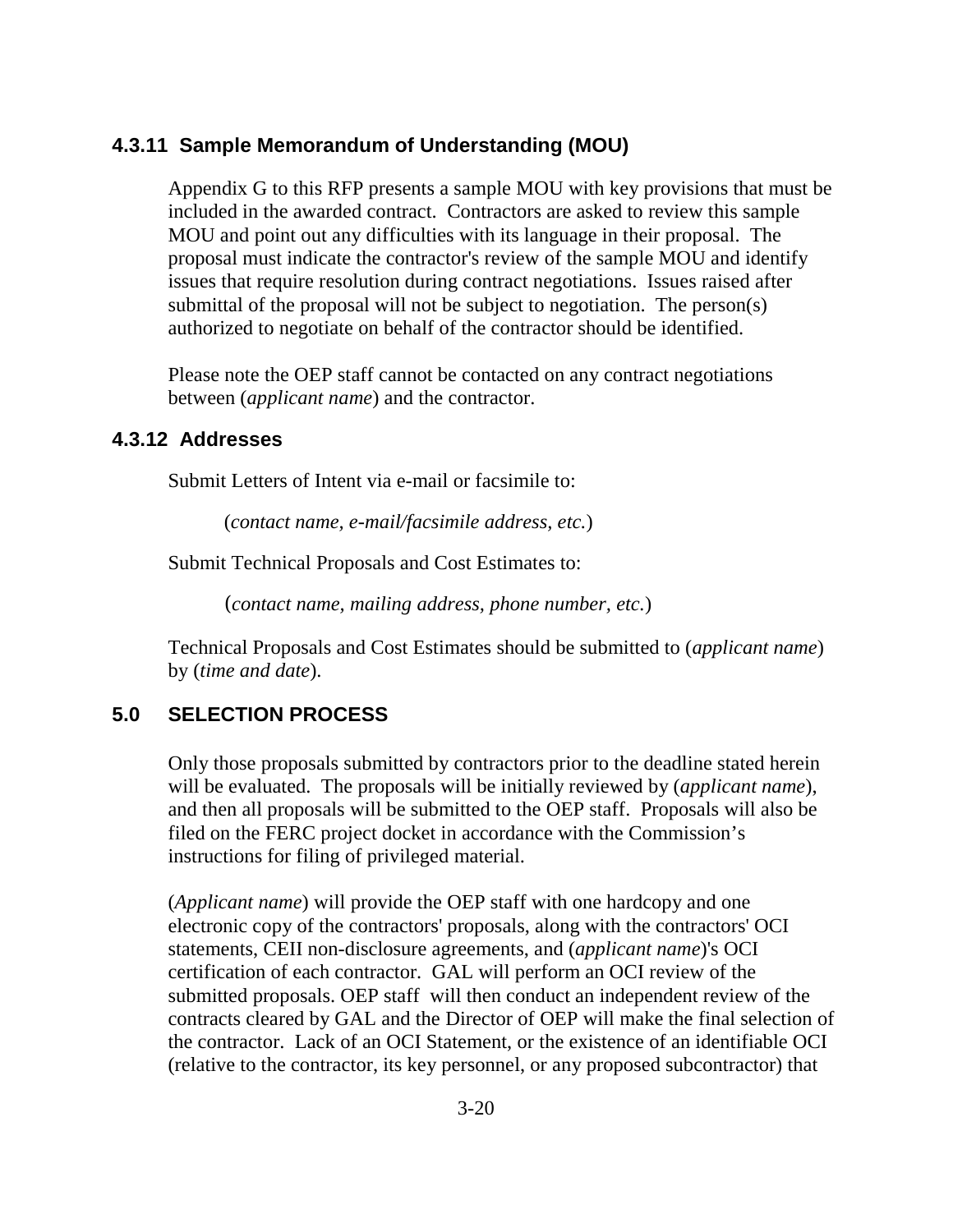### **4.3.11 Sample Memorandum of Understanding (MOU)**

Appendix G to this RFP presents a sample MOU with key provisions that must be included in the awarded contract. Contractors are asked to review this sample MOU and point out any difficulties with its language in their proposal. The proposal must indicate the contractor's review of the sample MOU and identify issues that require resolution during contract negotiations. Issues raised after submittal of the proposal will not be subject to negotiation. The person(s) authorized to negotiate on behalf of the contractor should be identified.

Please note the OEP staff cannot be contacted on any contract negotiations between (*applicant name*) and the contractor.

#### **4.3.12 Addresses**

Submit Letters of Intent via e-mail or facsimile to:

(*contact name, e-mail/facsimile address, etc.*)

Submit Technical Proposals and Cost Estimates to:

(*contact name, mailing address, phone number, etc.*)

Technical Proposals and Cost Estimates should be submitted to (*applicant name*) by (*time and date*).

## **5.0 SELECTION PROCESS**

Only those proposals submitted by contractors prior to the deadline stated herein will be evaluated. The proposals will be initially reviewed by (*applicant name*), and then all proposals will be submitted to the OEP staff. Proposals will also be filed on the FERC project docket in accordance with the Commission's instructions for filing of privileged material.

(*Applicant name*) will provide the OEP staff with one hardcopy and one electronic copy of the contractors' proposals, along with the contractors' OCI statements, CEII non-disclosure agreements, and (*applicant name*)'s OCI certification of each contractor. GAL will perform an OCI review of the submitted proposals. OEP staff will then conduct an independent review of the contracts cleared by GAL and the Director of OEP will make the final selection of the contractor. Lack of an OCI Statement, or the existence of an identifiable OCI (relative to the contractor, its key personnel, or any proposed subcontractor) that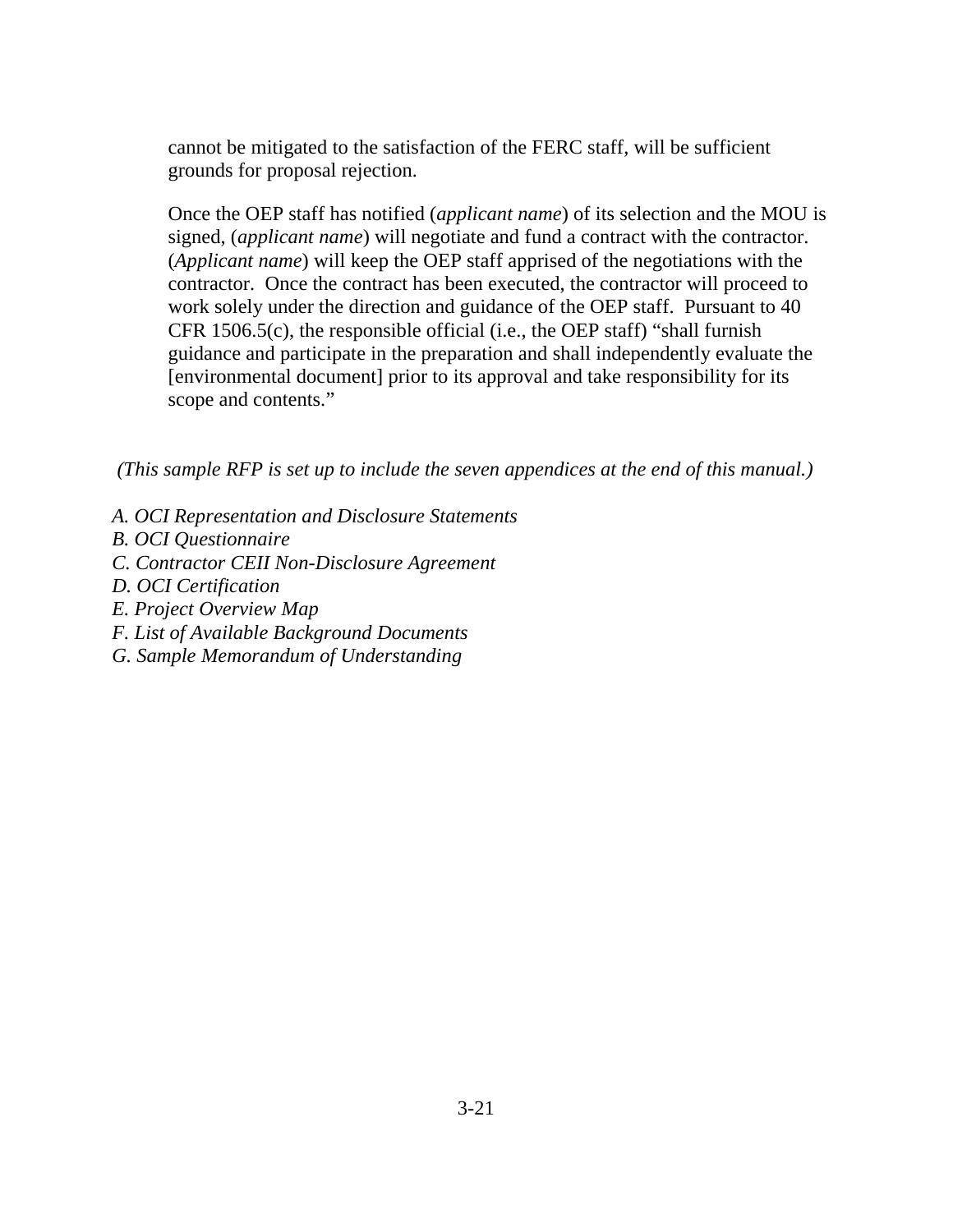cannot be mitigated to the satisfaction of the FERC staff, will be sufficient grounds for proposal rejection.

Once the OEP staff has notified (*applicant name*) of its selection and the MOU is signed, (*applicant name*) will negotiate and fund a contract with the contractor. (*Applicant name*) will keep the OEP staff apprised of the negotiations with the contractor. Once the contract has been executed, the contractor will proceed to work solely under the direction and guidance of the OEP staff. Pursuant to 40 CFR 1506.5(c), the responsible official (i.e., the OEP staff) "shall furnish guidance and participate in the preparation and shall independently evaluate the [environmental document] prior to its approval and take responsibility for its scope and contents."

*(This sample RFP is set up to include the seven appendices at the end of this manual.)*

- *A. OCI Representation and Disclosure Statements*
- *B. OCI Questionnaire*
- *C. Contractor CEII Non-Disclosure Agreement*
- *D. OCI Certification*
- *E. Project Overview Map*
- *F. List of Available Background Documents*
- *G. Sample Memorandum of Understanding*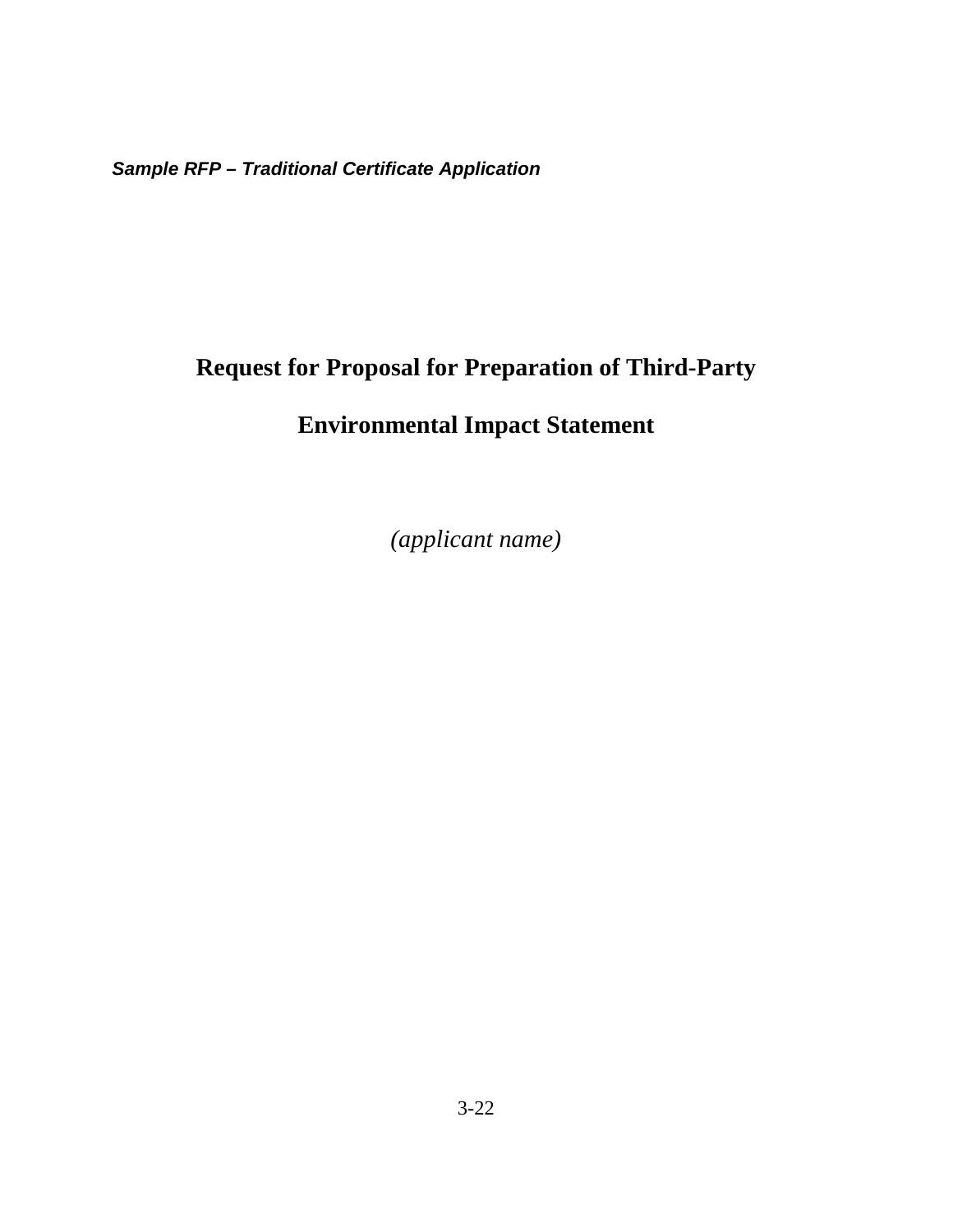*Sample RFP – Traditional Certificate Application*

# **Request for Proposal for Preparation of Third-Party**

# **Environmental Impact Statement**

*(applicant name)*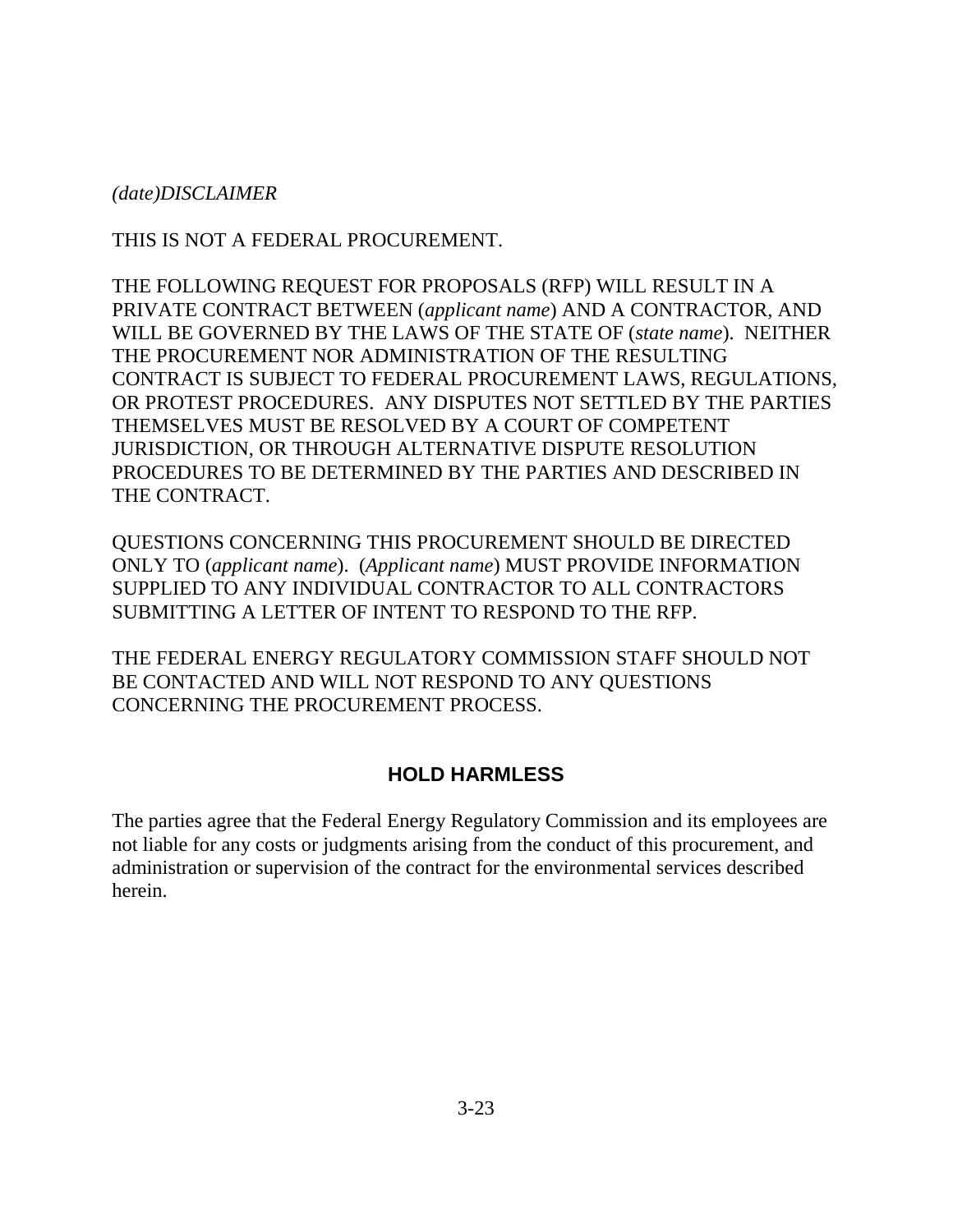*(date)DISCLAIMER*

THIS IS NOT A FEDERAL PROCUREMENT.

THE FOLLOWING REQUEST FOR PROPOSALS (RFP) WILL RESULT IN A PRIVATE CONTRACT BETWEEN (*applicant name*) AND A CONTRACTOR, AND WILL BE GOVERNED BY THE LAWS OF THE STATE OF (*state name*). NEITHER THE PROCUREMENT NOR ADMINISTRATION OF THE RESULTING CONTRACT IS SUBJECT TO FEDERAL PROCUREMENT LAWS, REGULATIONS, OR PROTEST PROCEDURES. ANY DISPUTES NOT SETTLED BY THE PARTIES THEMSELVES MUST BE RESOLVED BY A COURT OF COMPETENT JURISDICTION, OR THROUGH ALTERNATIVE DISPUTE RESOLUTION PROCEDURES TO BE DETERMINED BY THE PARTIES AND DESCRIBED IN THE CONTRACT.

QUESTIONS CONCERNING THIS PROCUREMENT SHOULD BE DIRECTED ONLY TO (*applicant name*). (*Applicant name*) MUST PROVIDE INFORMATION SUPPLIED TO ANY INDIVIDUAL CONTRACTOR TO ALL CONTRACTORS SUBMITTING A LETTER OF INTENT TO RESPOND TO THE RFP.

THE FEDERAL ENERGY REGULATORY COMMISSION STAFF SHOULD NOT BE CONTACTED AND WILL NOT RESPOND TO ANY QUESTIONS CONCERNING THE PROCUREMENT PROCESS.

### **HOLD HARMLESS**

The parties agree that the Federal Energy Regulatory Commission and its employees are not liable for any costs or judgments arising from the conduct of this procurement, and administration or supervision of the contract for the environmental services described herein.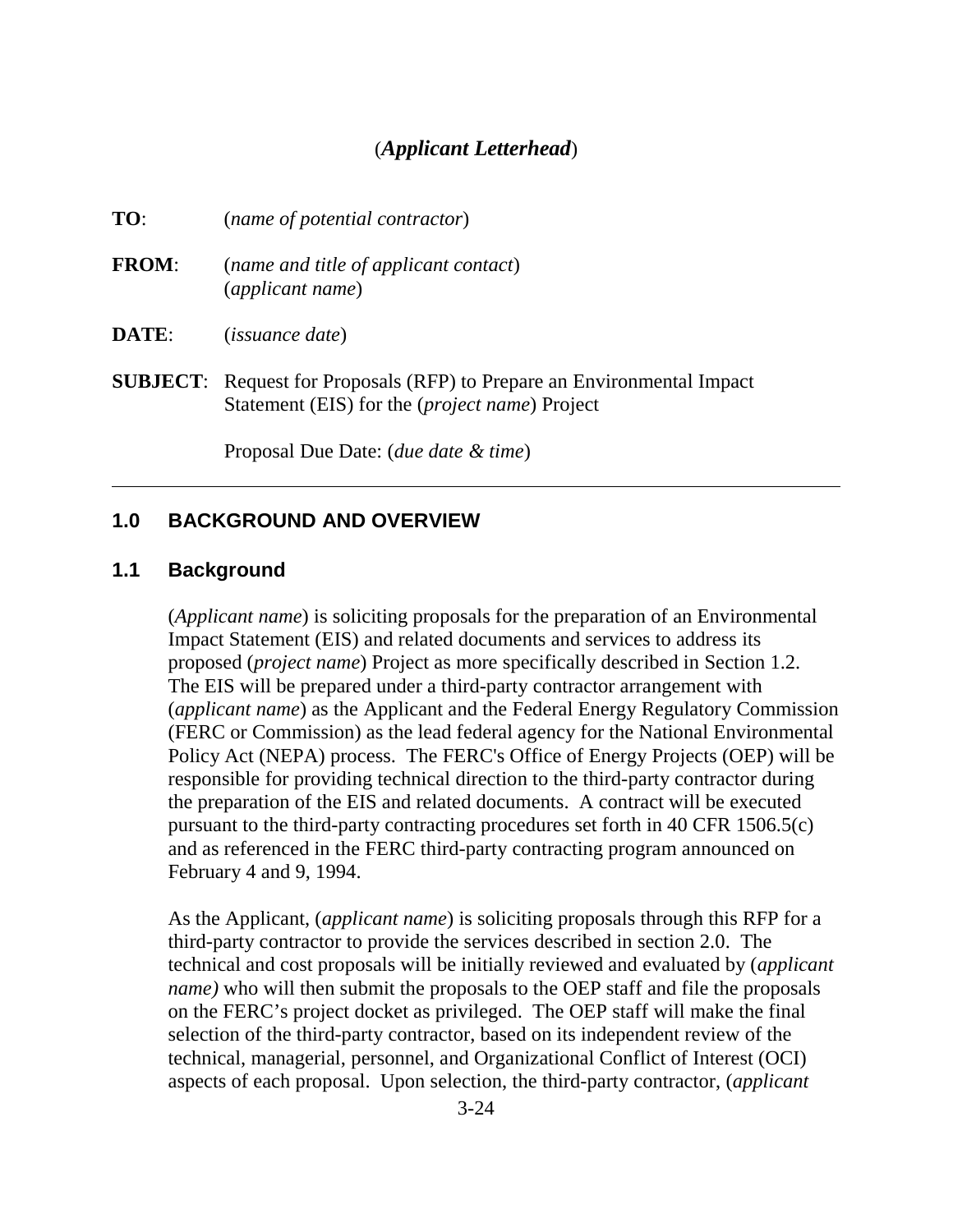# (*Applicant Letterhead*)

| TO:          | (name of potential contractor)                                                                                                            |
|--------------|-------------------------------------------------------------------------------------------------------------------------------------------|
| <b>FROM:</b> | (name and title of applicant contact)<br>(applicant name)                                                                                 |
| <b>DATE:</b> | <i>(issuance date)</i>                                                                                                                    |
|              | <b>SUBJECT:</b> Request for Proposals (RFP) to Prepare an Environmental Impact<br>Statement (EIS) for the ( <i>project name</i> ) Project |

Proposal Due Date: (*due date & time*)

#### **1.0 BACKGROUND AND OVERVIEW**

#### **1.1 Background**

(*Applicant name*) is soliciting proposals for the preparation of an Environmental Impact Statement (EIS) and related documents and services to address its proposed (*project name*) Project as more specifically described in Section 1.2. The EIS will be prepared under a third-party contractor arrangement with (*applicant name*) as the Applicant and the Federal Energy Regulatory Commission (FERC or Commission) as the lead federal agency for the National Environmental Policy Act (NEPA) process. The FERC's Office of Energy Projects (OEP) will be responsible for providing technical direction to the third-party contractor during the preparation of the EIS and related documents. A contract will be executed pursuant to the third-party contracting procedures set forth in 40 CFR 1506.5(c) and as referenced in the FERC third-party contracting program announced on February 4 and 9, 1994.

As the Applicant, (*applicant name*) is soliciting proposals through this RFP for a third-party contractor to provide the services described in section 2.0. The technical and cost proposals will be initially reviewed and evaluated by (*applicant name)* who will then submit the proposals to the OEP staff and file the proposals on the FERC's project docket as privileged. The OEP staff will make the final selection of the third-party contractor, based on its independent review of the technical, managerial, personnel, and Organizational Conflict of Interest (OCI) aspects of each proposal. Upon selection, the third-party contractor, (*applicant*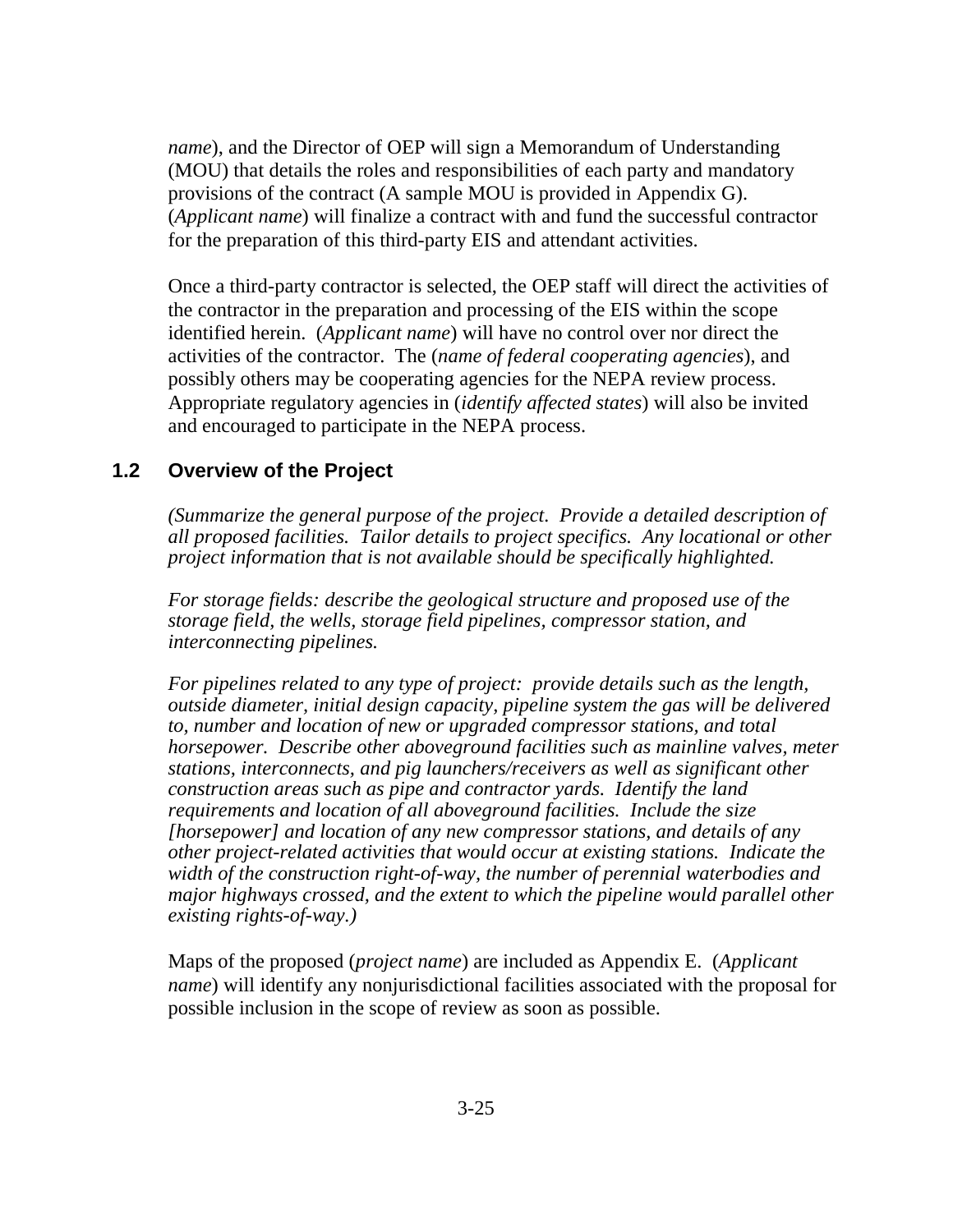*name*), and the Director of OEP will sign a Memorandum of Understanding (MOU) that details the roles and responsibilities of each party and mandatory provisions of the contract (A sample MOU is provided in Appendix G). (*Applicant name*) will finalize a contract with and fund the successful contractor for the preparation of this third-party EIS and attendant activities.

Once a third-party contractor is selected, the OEP staff will direct the activities of the contractor in the preparation and processing of the EIS within the scope identified herein. (*Applicant name*) will have no control over nor direct the activities of the contractor. The (*name of federal cooperating agencies*), and possibly others may be cooperating agencies for the NEPA review process. Appropriate regulatory agencies in (*identify affected states*) will also be invited and encouraged to participate in the NEPA process.

### **1.2 Overview of the Project**

*(Summarize the general purpose of the project. Provide a detailed description of all proposed facilities. Tailor details to project specifics. Any locational or other project information that is not available should be specifically highlighted.* 

*For storage fields: describe the geological structure and proposed use of the storage field, the wells, storage field pipelines, compressor station, and interconnecting pipelines.* 

*For pipelines related to any type of project: provide details such as the length, outside diameter, initial design capacity, pipeline system the gas will be delivered to, number and location of new or upgraded compressor stations, and total horsepower. Describe other aboveground facilities such as mainline valves, meter stations, interconnects, and pig launchers/receivers as well as significant other construction areas such as pipe and contractor yards. Identify the land requirements and location of all aboveground facilities. Include the size [horsepower] and location of any new compressor stations, and details of any other project-related activities that would occur at existing stations. Indicate the width of the construction right-of-way, the number of perennial waterbodies and major highways crossed, and the extent to which the pipeline would parallel other existing rights-of-way.)*

Maps of the proposed (*project name*) are included as Appendix E. (*Applicant name*) will identify any nonjurisdictional facilities associated with the proposal for possible inclusion in the scope of review as soon as possible.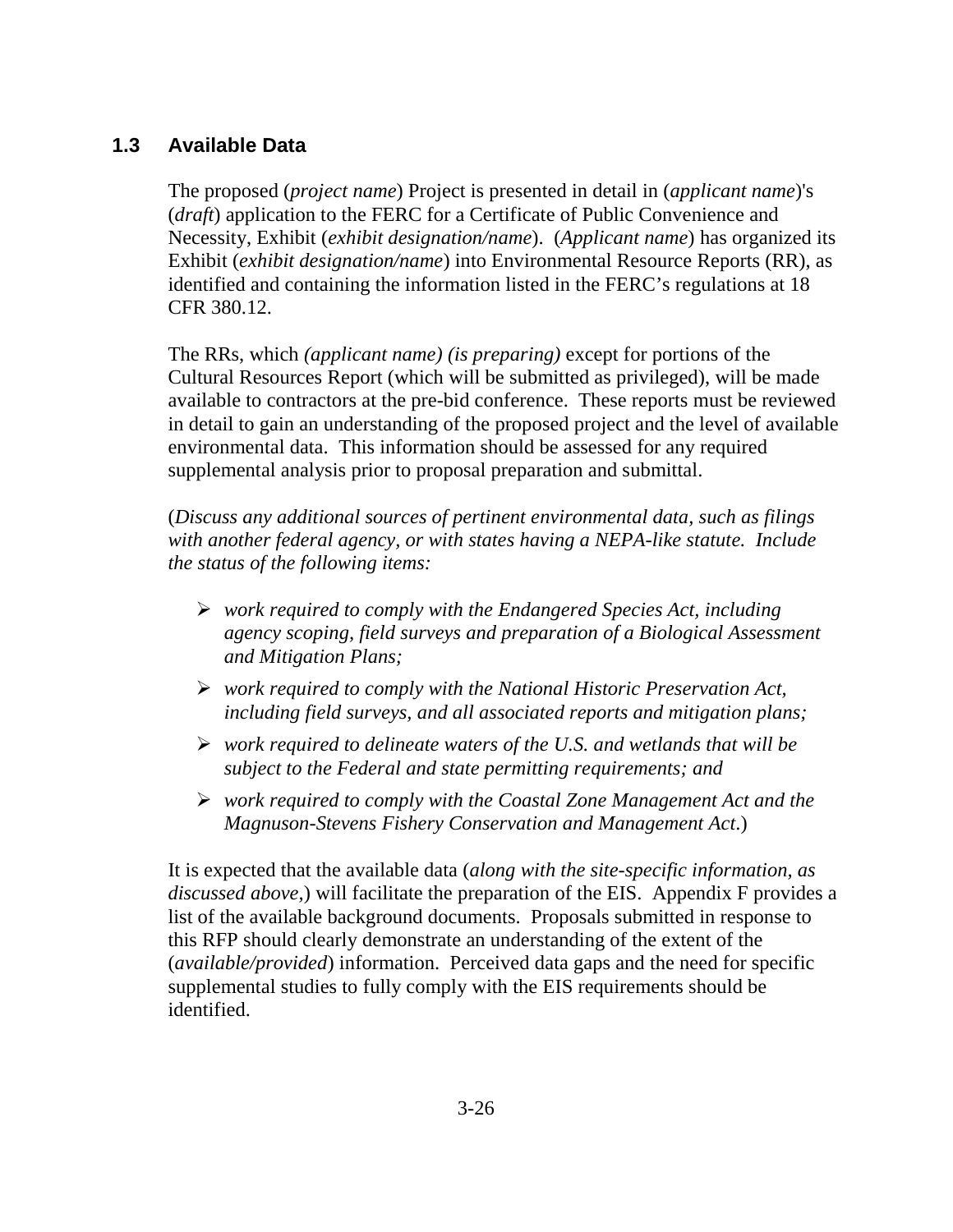# **1.3 Available Data**

The proposed (*project name*) Project is presented in detail in (*applicant name*)'s (*draft*) application to the FERC for a Certificate of Public Convenience and Necessity, Exhibit (*exhibit designation/name*). (*Applicant name*) has organized its Exhibit (*exhibit designation/name*) into Environmental Resource Reports (RR), as identified and containing the information listed in the FERC's regulations at 18 CFR 380.12.

The RRs, which *(applicant name) (is preparing)* except for portions of the Cultural Resources Report (which will be submitted as privileged), will be made available to contractors at the pre-bid conference. These reports must be reviewed in detail to gain an understanding of the proposed project and the level of available environmental data. This information should be assessed for any required supplemental analysis prior to proposal preparation and submittal.

(*Discuss any additional sources of pertinent environmental data, such as filings with another federal agency, or with states having a NEPA-like statute. Include the status of the following items:*

- *work required to comply with the Endangered Species Act, including agency scoping, field surveys and preparation of a Biological Assessment and Mitigation Plans;*
- *work required to comply with the National Historic Preservation Act, including field surveys, and all associated reports and mitigation plans;*
- *work required to delineate waters of the U.S. and wetlands that will be subject to the Federal and state permitting requirements; and*
- *work required to comply with the Coastal Zone Management Act and the Magnuson-Stevens Fishery Conservation and Management Act*.)

It is expected that the available data (*along with the site-specific information, as discussed above,*) will facilitate the preparation of the EIS. Appendix F provides a list of the available background documents. Proposals submitted in response to this RFP should clearly demonstrate an understanding of the extent of the (*available/provided*) information. Perceived data gaps and the need for specific supplemental studies to fully comply with the EIS requirements should be identified.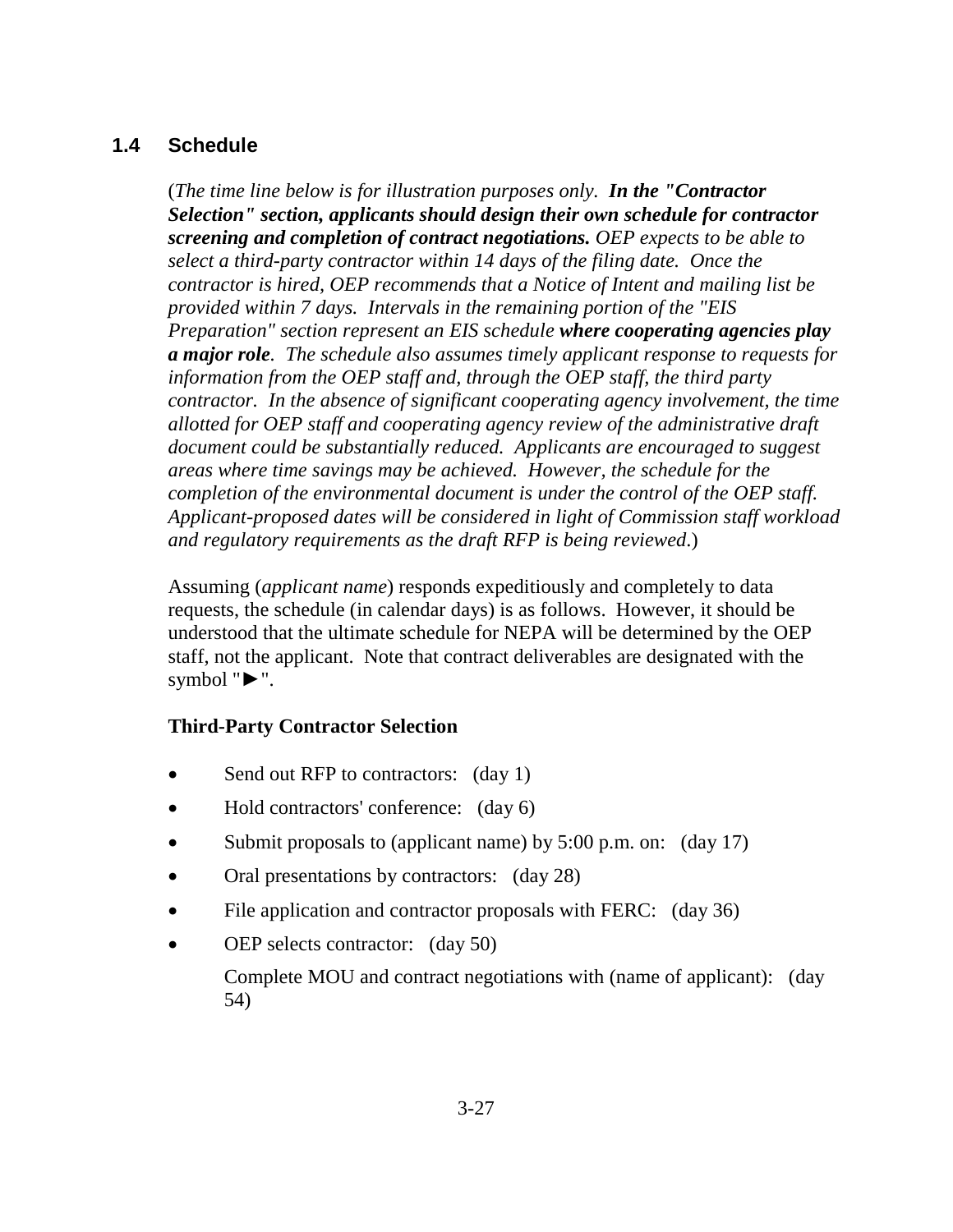## **1.4 Schedule**

(*The time line below is for illustration purposes only. In the "Contractor Selection" section, applicants should design their own schedule for contractor screening and completion of contract negotiations. OEP expects to be able to select a third-party contractor within 14 days of the filing date. Once the contractor is hired, OEP recommends that a Notice of Intent and mailing list be provided within 7 days. Intervals in the remaining portion of the "EIS Preparation" section represent an EIS schedule where cooperating agencies play a major role. The schedule also assumes timely applicant response to requests for information from the OEP staff and, through the OEP staff, the third party contractor. In the absence of significant cooperating agency involvement, the time allotted for OEP staff and cooperating agency review of the administrative draft document could be substantially reduced. Applicants are encouraged to suggest areas where time savings may be achieved. However, the schedule for the completion of the environmental document is under the control of the OEP staff. Applicant-proposed dates will be considered in light of Commission staff workload and regulatory requirements as the draft RFP is being reviewed*.)

Assuming (*applicant name*) responds expeditiously and completely to data requests, the schedule (in calendar days) is as follows. However, it should be understood that the ultimate schedule for NEPA will be determined by the OEP staff, not the applicant. Note that contract deliverables are designated with the symbol "**►**".

### **Third-Party Contractor Selection**

- Send out RFP to contractors: (day 1)
- Hold contractors' conference: (day 6)
- Submit proposals to (applicant name) by 5:00 p.m. on: (day 17)
- Oral presentations by contractors: (day 28)
- File application and contractor proposals with FERC: (day 36)
- OEP selects contractor: (day 50) Complete MOU and contract negotiations with (name of applicant): (day 54)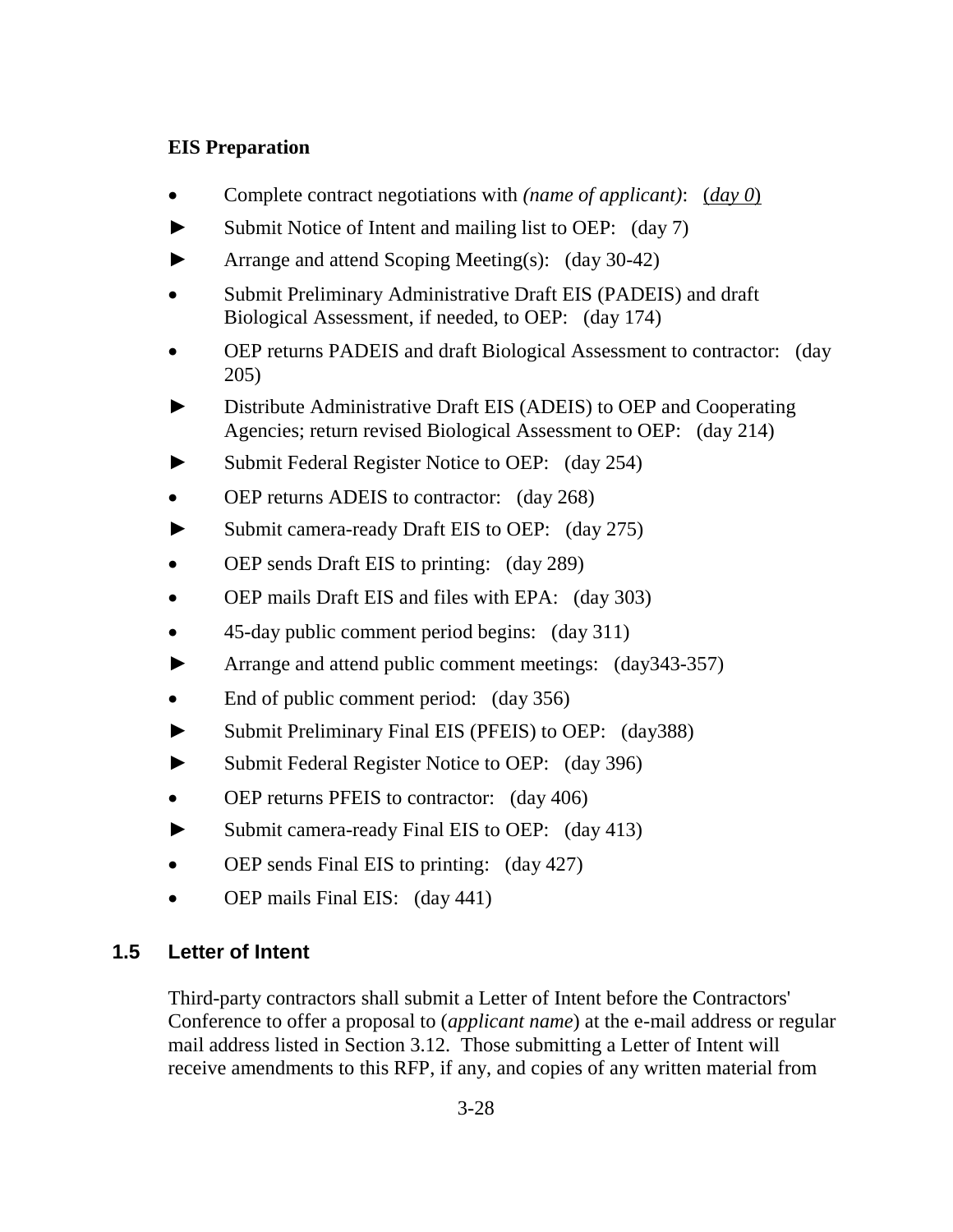#### **EIS Preparation**

- Complete contract negotiations with *(name of applicant)*: (*day 0*)
- **►** Submit Notice of Intent and mailing list to OEP: (day 7)
- **►** Arrange and attend Scoping Meeting(s): (day 30-42)
- Submit Preliminary Administrative Draft EIS (PADEIS) and draft Biological Assessment, if needed, to OEP: (day 174)
- OEP returns PADEIS and draft Biological Assessment to contractor: (day 205)
- Distribute Administrative Draft EIS (ADEIS) to OEP and Cooperating Agencies; return revised Biological Assessment to OEP: (day 214)
- Submit Federal Register Notice to OEP: (day 254)
- OEP returns ADEIS to contractor: (day 268)
- **►** Submit camera-ready Draft EIS to OEP: (day 275)
- OEP sends Draft EIS to printing: (day 289)
- OEP mails Draft EIS and files with EPA: (day 303)
- 45-day public comment period begins: (day 311)
- **►** Arrange and attend public comment meetings: (day343-357)
- End of public comment period: (day 356)
- **►** Submit Preliminary Final EIS (PFEIS) to OEP: (day388)
- **►** Submit Federal Register Notice to OEP: (day 396)
- OEP returns PFEIS to contractor: (day 406)
- **►** Submit camera-ready Final EIS to OEP: (day 413)
- OEP sends Final EIS to printing: (day 427)
- OEP mails Final EIS: (day 441)

### **1.5 Letter of Intent**

Third-party contractors shall submit a Letter of Intent before the Contractors' Conference to offer a proposal to (*applicant name*) at the e-mail address or regular mail address listed in Section 3.12. Those submitting a Letter of Intent will receive amendments to this RFP, if any, and copies of any written material from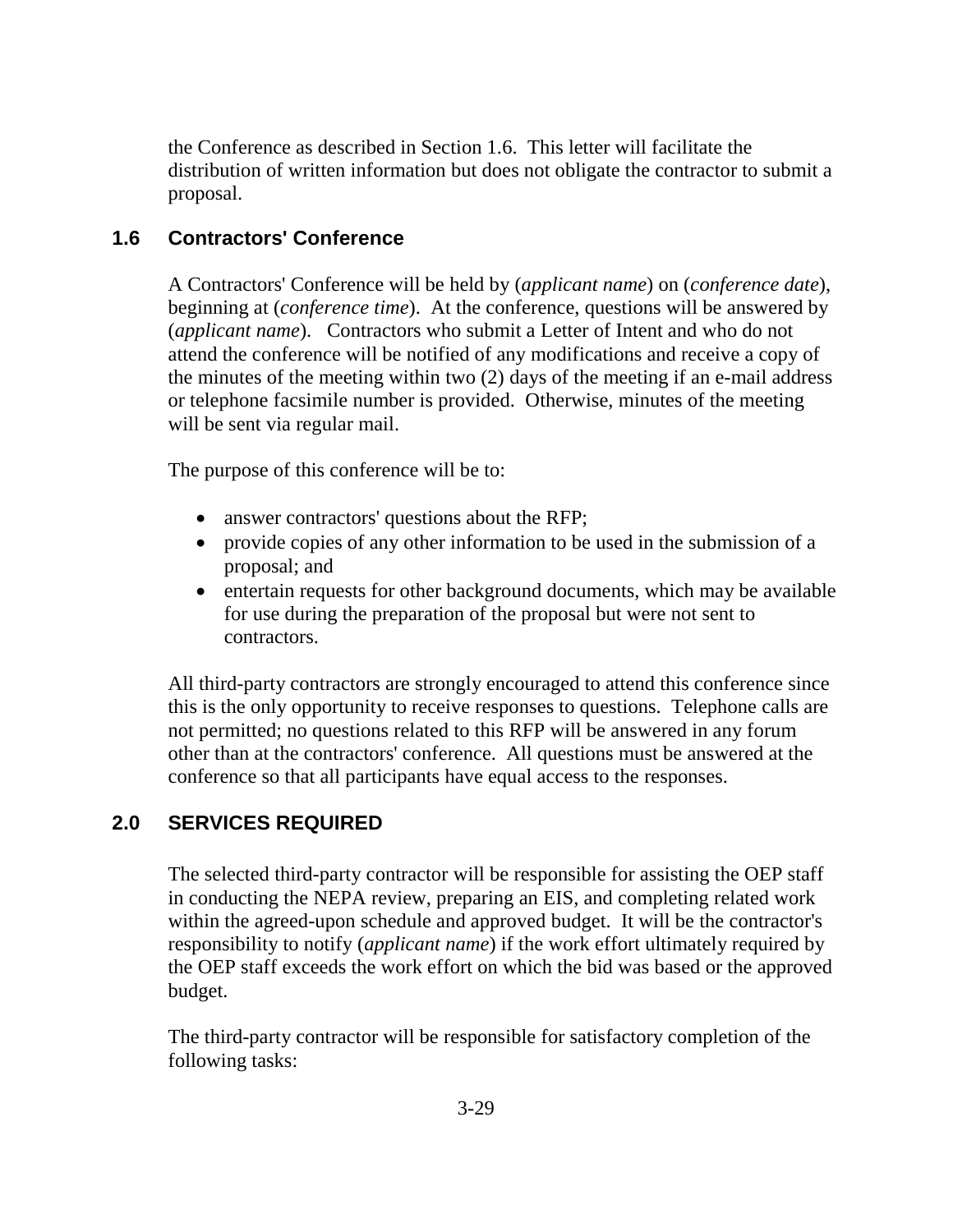the Conference as described in Section 1.6. This letter will facilitate the distribution of written information but does not obligate the contractor to submit a proposal.

# **1.6 Contractors' Conference**

A Contractors' Conference will be held by (*applicant name*) on (*conference date*), beginning at (*conference time*). At the conference, questions will be answered by (*applicant name*). Contractors who submit a Letter of Intent and who do not attend the conference will be notified of any modifications and receive a copy of the minutes of the meeting within two (2) days of the meeting if an e-mail address or telephone facsimile number is provided. Otherwise, minutes of the meeting will be sent via regular mail.

The purpose of this conference will be to:

- answer contractors' questions about the RFP;
- provide copies of any other information to be used in the submission of a proposal; and
- entertain requests for other background documents, which may be available for use during the preparation of the proposal but were not sent to contractors.

All third-party contractors are strongly encouraged to attend this conference since this is the only opportunity to receive responses to questions. Telephone calls are not permitted; no questions related to this RFP will be answered in any forum other than at the contractors' conference. All questions must be answered at the conference so that all participants have equal access to the responses.

# **2.0 SERVICES REQUIRED**

The selected third-party contractor will be responsible for assisting the OEP staff in conducting the NEPA review, preparing an EIS, and completing related work within the agreed-upon schedule and approved budget. It will be the contractor's responsibility to notify (*applicant name*) if the work effort ultimately required by the OEP staff exceeds the work effort on which the bid was based or the approved budget.

The third-party contractor will be responsible for satisfactory completion of the following tasks: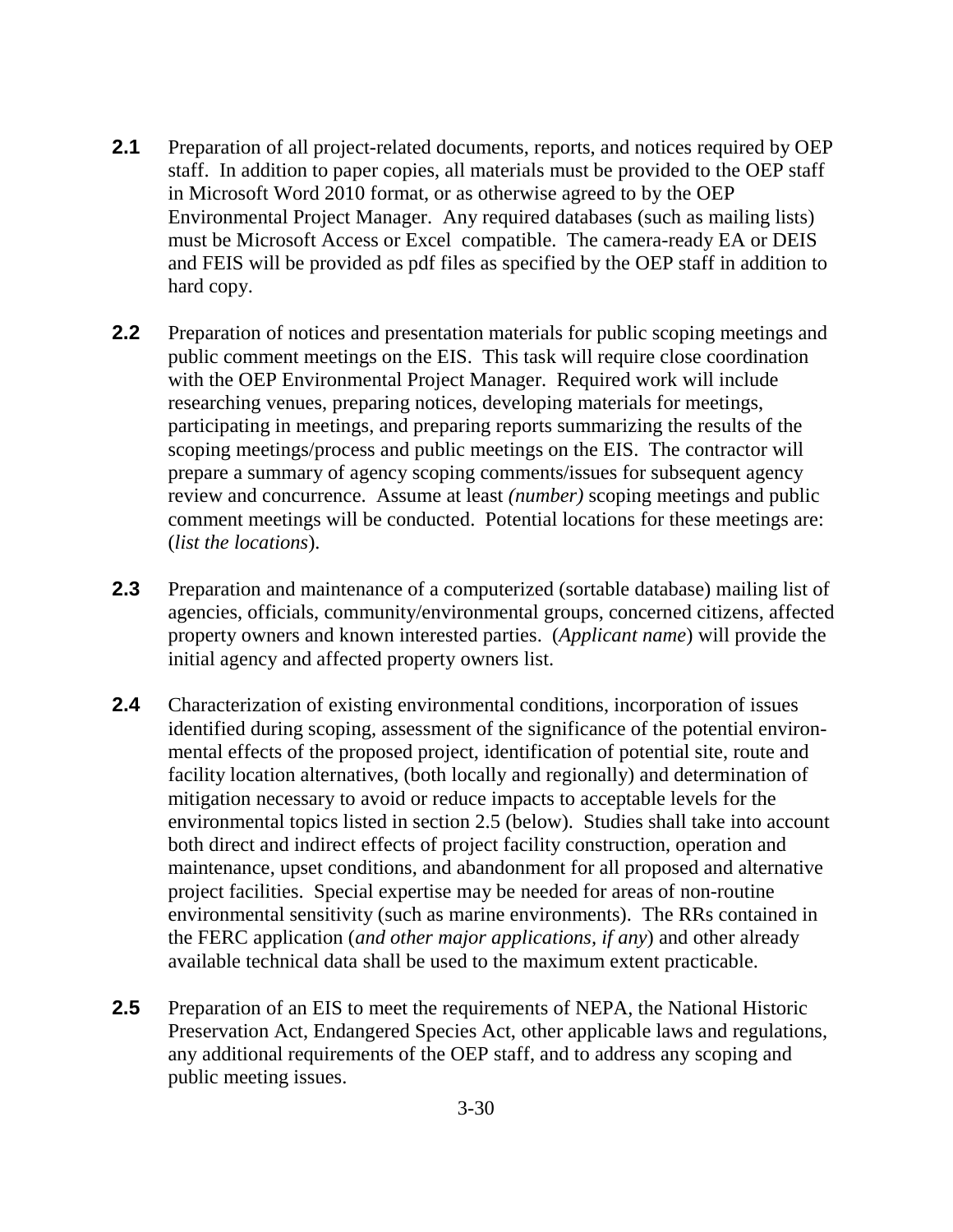- **2.1** Preparation of all project-related documents, reports, and notices required by OEP staff. In addition to paper copies, all materials must be provided to the OEP staff in Microsoft Word 2010 format, or as otherwise agreed to by the OEP Environmental Project Manager. Any required databases (such as mailing lists) must be Microsoft Access or Excel compatible. The camera-ready EA or DEIS and FEIS will be provided as pdf files as specified by the OEP staff in addition to hard copy.
- **2.2** Preparation of notices and presentation materials for public scoping meetings and public comment meetings on the EIS. This task will require close coordination with the OEP Environmental Project Manager. Required work will include researching venues, preparing notices, developing materials for meetings, participating in meetings, and preparing reports summarizing the results of the scoping meetings/process and public meetings on the EIS. The contractor will prepare a summary of agency scoping comments/issues for subsequent agency review and concurrence. Assume at least *(number)* scoping meetings and public comment meetings will be conducted. Potential locations for these meetings are: (*list the locations*).
- **2.3** Preparation and maintenance of a computerized (sortable database) mailing list of agencies, officials, community/environmental groups, concerned citizens, affected property owners and known interested parties. (*Applicant name*) will provide the initial agency and affected property owners list.
- **2.4** Characterization of existing environmental conditions, incorporation of issues identified during scoping, assessment of the significance of the potential environmental effects of the proposed project, identification of potential site, route and facility location alternatives, (both locally and regionally) and determination of mitigation necessary to avoid or reduce impacts to acceptable levels for the environmental topics listed in section 2.5 (below). Studies shall take into account both direct and indirect effects of project facility construction, operation and maintenance, upset conditions, and abandonment for all proposed and alternative project facilities. Special expertise may be needed for areas of non-routine environmental sensitivity (such as marine environments). The RRs contained in the FERC application (*and other major applications, if any*) and other already available technical data shall be used to the maximum extent practicable.
- **2.5** Preparation of an EIS to meet the requirements of NEPA, the National Historic Preservation Act, Endangered Species Act, other applicable laws and regulations, any additional requirements of the OEP staff, and to address any scoping and public meeting issues.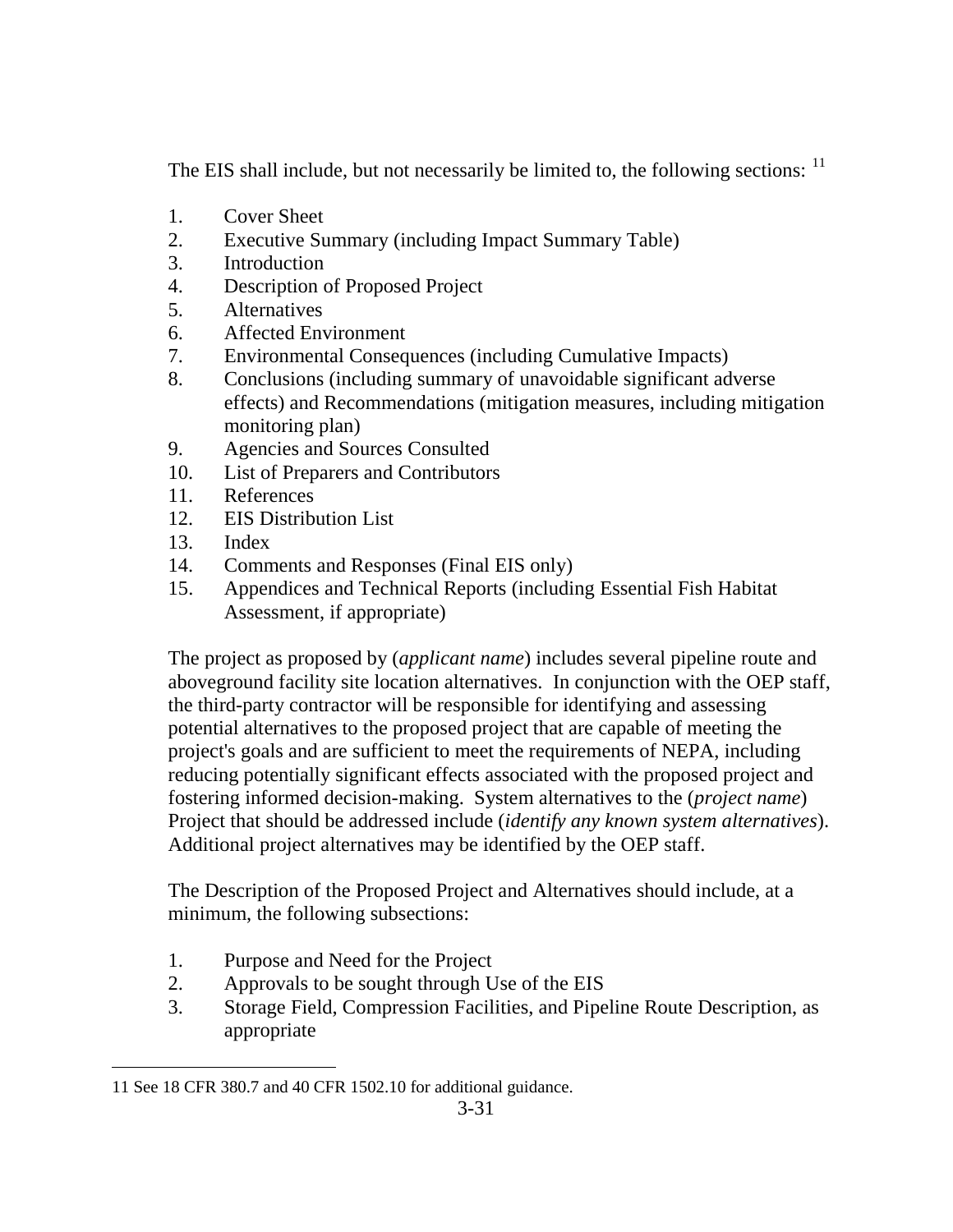The EIS shall include, but not necessarily be limited to, the following sections: <sup>11</sup>

- 1. Cover Sheet
- 2. Executive Summary (including Impact Summary Table)
- 3. Introduction
- 4. Description of Proposed Project
- 5. Alternatives
- 6. Affected Environment
- 7. Environmental Consequences (including Cumulative Impacts)
- 8. Conclusions (including summary of unavoidable significant adverse effects) and Recommendations (mitigation measures, including mitigation monitoring plan)
- 9. Agencies and Sources Consulted
- 10. List of Preparers and Contributors
- 11. References
- 12. EIS Distribution List
- 13. Index
- 14. Comments and Responses (Final EIS only)
- 15. Appendices and Technical Reports (including Essential Fish Habitat Assessment, if appropriate)

The project as proposed by (*applicant name*) includes several pipeline route and aboveground facility site location alternatives. In conjunction with the OEP staff, the third-party contractor will be responsible for identifying and assessing potential alternatives to the proposed project that are capable of meeting the project's goals and are sufficient to meet the requirements of NEPA, including reducing potentially significant effects associated with the proposed project and fostering informed decision-making. System alternatives to the (*project name*) Project that should be addressed include (*identify any known system alternatives*). Additional project alternatives may be identified by the OEP staff.

The Description of the Proposed Project and Alternatives should include, at a minimum, the following subsections:

- 1. Purpose and Need for the Project
- 2. Approvals to be sought through Use of the EIS
- 3. Storage Field, Compression Facilities, and Pipeline Route Description, as appropriate

 $\overline{a}$ 11 See 18 CFR 380.7 and 40 CFR 1502.10 for additional guidance.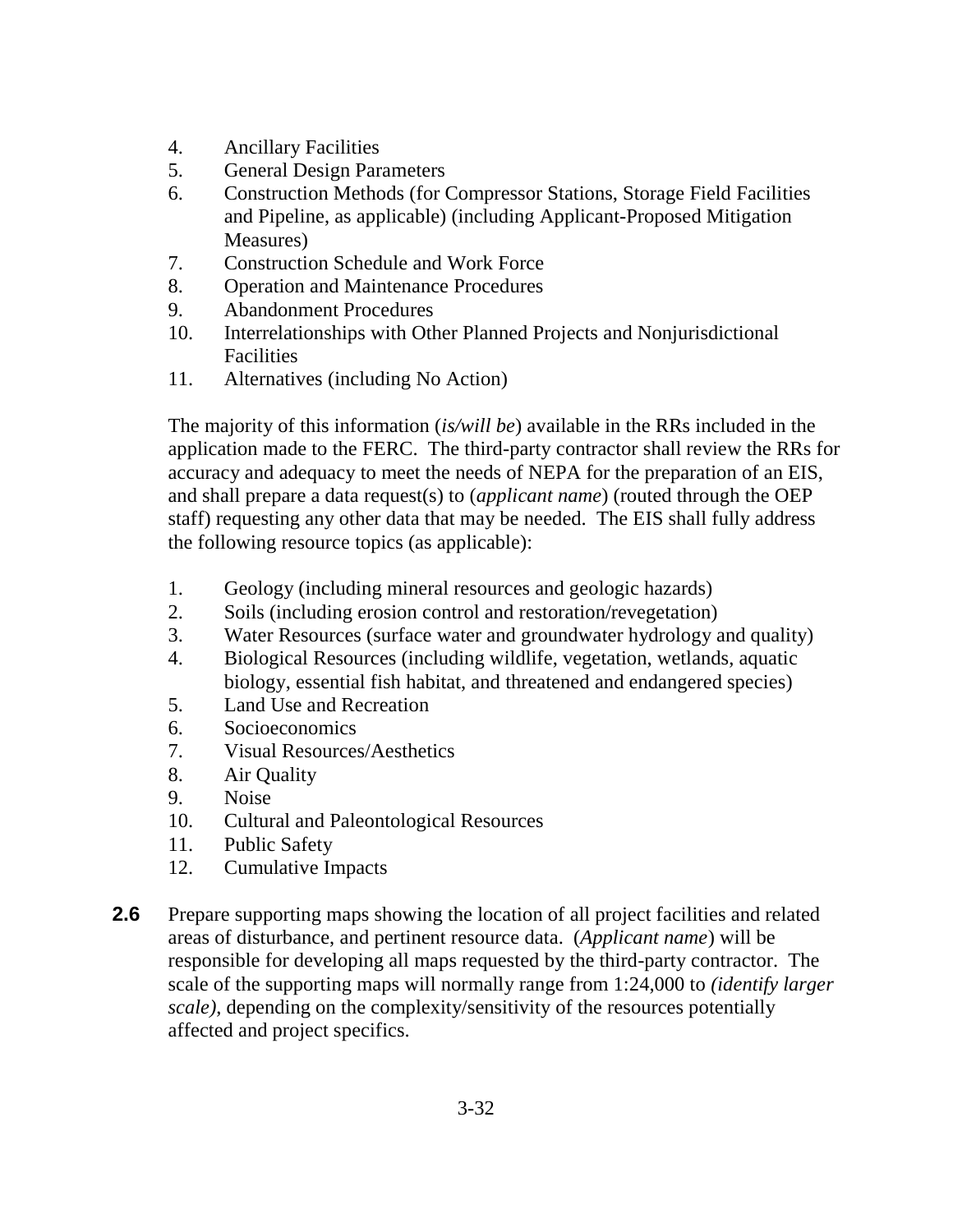- 4. Ancillary Facilities
- 5. General Design Parameters
- 6. Construction Methods (for Compressor Stations, Storage Field Facilities and Pipeline, as applicable) (including Applicant-Proposed Mitigation Measures)
- 7. Construction Schedule and Work Force
- 8. Operation and Maintenance Procedures
- 9. Abandonment Procedures
- 10. Interrelationships with Other Planned Projects and Nonjurisdictional Facilities
- 11. Alternatives (including No Action)

The majority of this information (*is/will be*) available in the RRs included in the application made to the FERC. The third-party contractor shall review the RRs for accuracy and adequacy to meet the needs of NEPA for the preparation of an EIS, and shall prepare a data request(s) to (*applicant name*) (routed through the OEP staff) requesting any other data that may be needed. The EIS shall fully address the following resource topics (as applicable):

- 1. Geology (including mineral resources and geologic hazards)
- 2. Soils (including erosion control and restoration/revegetation)
- 3. Water Resources (surface water and groundwater hydrology and quality)
- 4. Biological Resources (including wildlife, vegetation, wetlands, aquatic biology, essential fish habitat, and threatened and endangered species)
- 5. Land Use and Recreation
- 6. Socioeconomics
- 7. Visual Resources/Aesthetics
- 8. Air Quality
- 9. Noise
- 10. Cultural and Paleontological Resources
- 11. Public Safety
- 12. Cumulative Impacts
- **2.6** Prepare supporting maps showing the location of all project facilities and related areas of disturbance, and pertinent resource data. (*Applicant name*) will be responsible for developing all maps requested by the third-party contractor. The scale of the supporting maps will normally range from 1:24,000 to *(identify larger scale)*, depending on the complexity/sensitivity of the resources potentially affected and project specifics.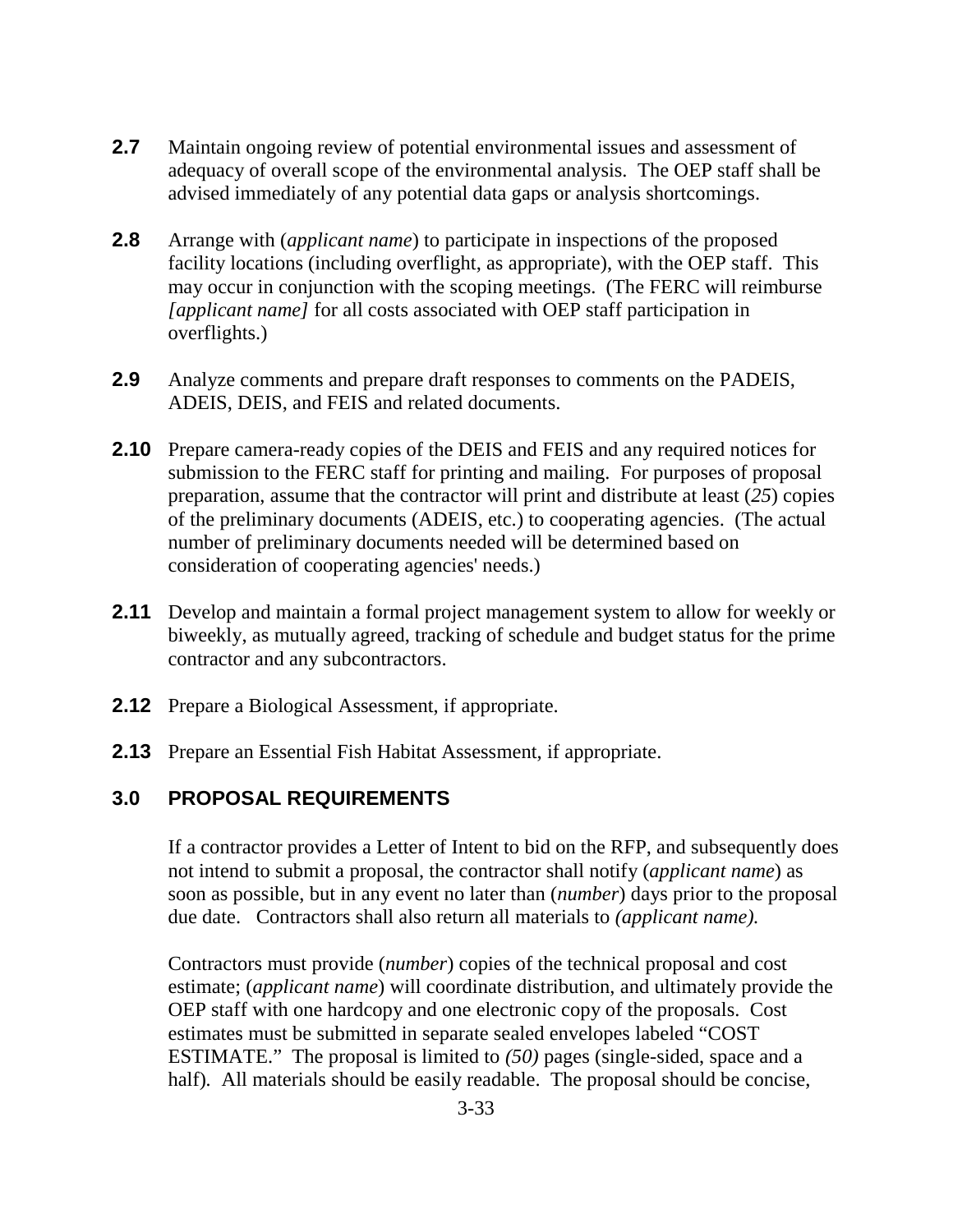- **2.7** Maintain ongoing review of potential environmental issues and assessment of adequacy of overall scope of the environmental analysis. The OEP staff shall be advised immediately of any potential data gaps or analysis shortcomings.
- **2.8** Arrange with (*applicant name*) to participate in inspections of the proposed facility locations (including overflight, as appropriate), with the OEP staff. This may occur in conjunction with the scoping meetings. (The FERC will reimburse *[applicant name]* for all costs associated with OEP staff participation in overflights.)
- **2.9** Analyze comments and prepare draft responses to comments on the PADEIS, ADEIS, DEIS, and FEIS and related documents.
- **2.10** Prepare camera-ready copies of the DEIS and FEIS and any required notices for submission to the FERC staff for printing and mailing. For purposes of proposal preparation, assume that the contractor will print and distribute at least (*25*) copies of the preliminary documents (ADEIS, etc.) to cooperating agencies. (The actual number of preliminary documents needed will be determined based on consideration of cooperating agencies' needs.)
- **2.11** Develop and maintain a formal project management system to allow for weekly or biweekly, as mutually agreed, tracking of schedule and budget status for the prime contractor and any subcontractors.
- **2.12** Prepare a Biological Assessment, if appropriate.
- **2.13** Prepare an Essential Fish Habitat Assessment, if appropriate.

### **3.0 PROPOSAL REQUIREMENTS**

If a contractor provides a Letter of Intent to bid on the RFP, and subsequently does not intend to submit a proposal, the contractor shall notify (*applicant name*) as soon as possible, but in any event no later than (*number*) days prior to the proposal due date. Contractors shall also return all materials to *(applicant name).* 

Contractors must provide (*number*) copies of the technical proposal and cost estimate; (*applicant name*) will coordinate distribution, and ultimately provide the OEP staff with one hardcopy and one electronic copy of the proposals. Cost estimates must be submitted in separate sealed envelopes labeled "COST ESTIMATE." The proposal is limited to *(50)* pages (single-sided, space and a half)*.* All materials should be easily readable. The proposal should be concise,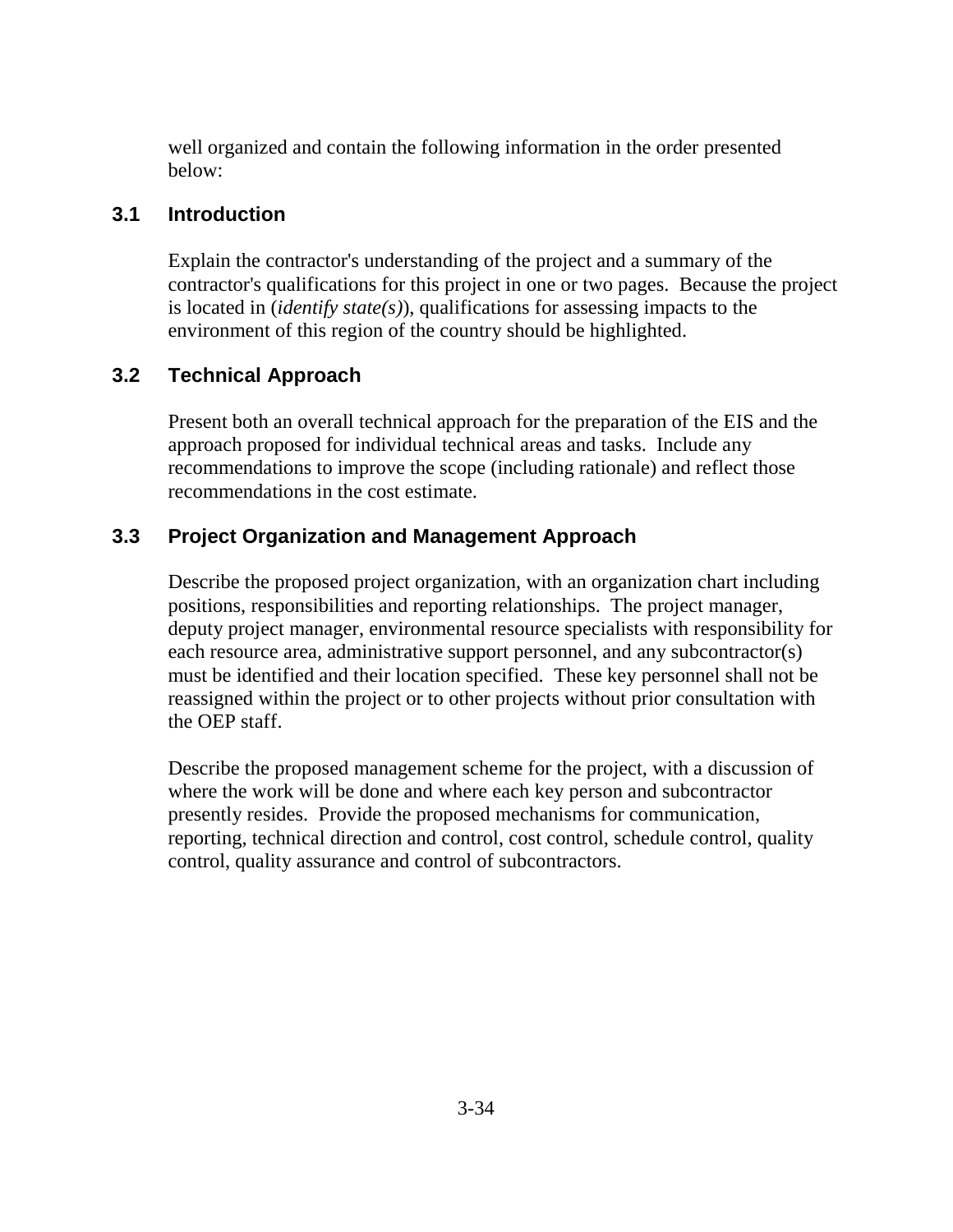well organized and contain the following information in the order presented below:

#### **3.1 Introduction**

Explain the contractor's understanding of the project and a summary of the contractor's qualifications for this project in one or two pages. Because the project is located in (*identify state(s)*), qualifications for assessing impacts to the environment of this region of the country should be highlighted.

# **3.2 Technical Approach**

Present both an overall technical approach for the preparation of the EIS and the approach proposed for individual technical areas and tasks. Include any recommendations to improve the scope (including rationale) and reflect those recommendations in the cost estimate.

### **3.3 Project Organization and Management Approach**

Describe the proposed project organization, with an organization chart including positions, responsibilities and reporting relationships. The project manager, deputy project manager, environmental resource specialists with responsibility for each resource area, administrative support personnel, and any subcontractor(s) must be identified and their location specified. These key personnel shall not be reassigned within the project or to other projects without prior consultation with the OEP staff.

Describe the proposed management scheme for the project, with a discussion of where the work will be done and where each key person and subcontractor presently resides. Provide the proposed mechanisms for communication, reporting, technical direction and control, cost control, schedule control, quality control, quality assurance and control of subcontractors.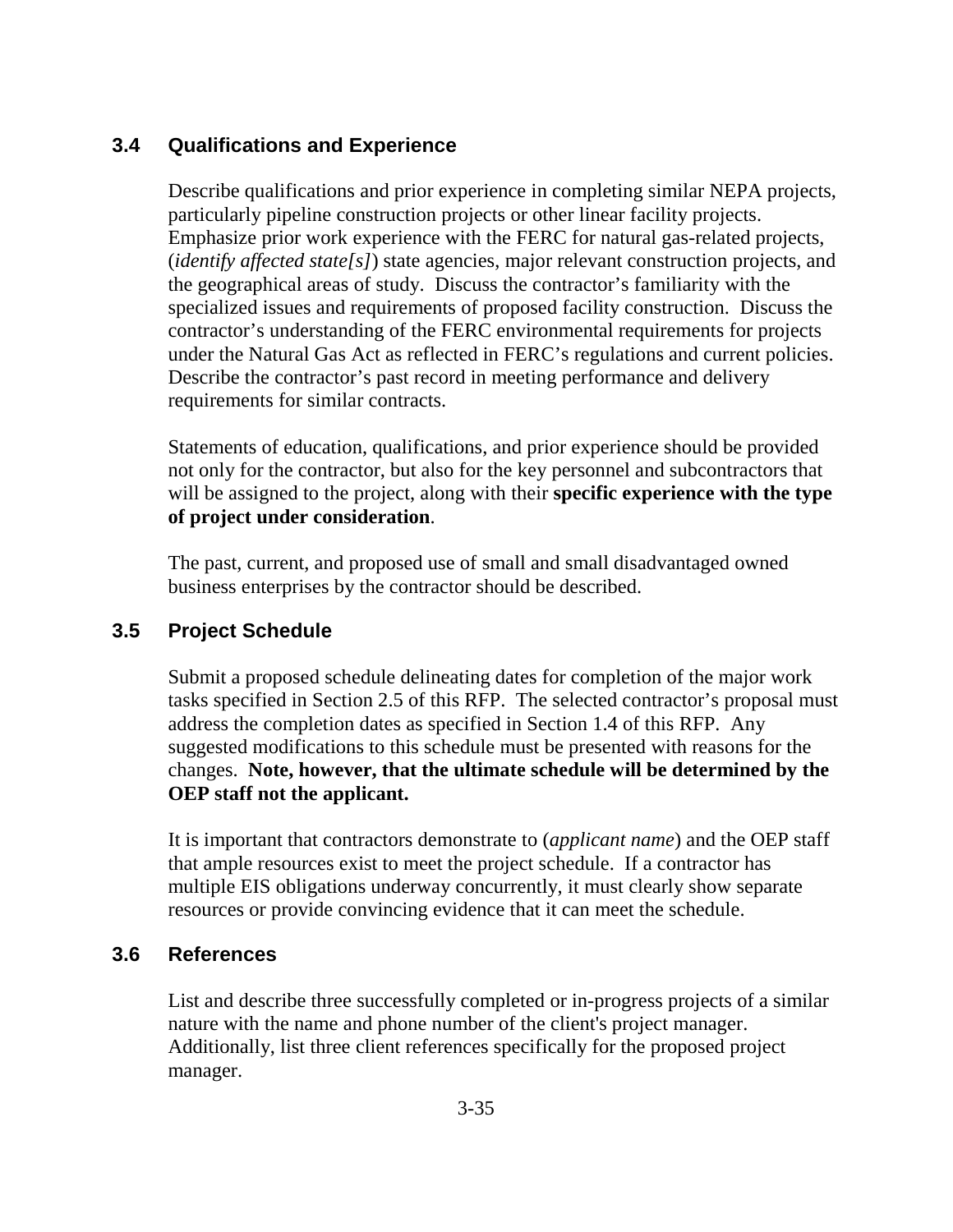# **3.4 Qualifications and Experience**

Describe qualifications and prior experience in completing similar NEPA projects, particularly pipeline construction projects or other linear facility projects. Emphasize prior work experience with the FERC for natural gas-related projects, (*identify affected state[s]*) state agencies, major relevant construction projects, and the geographical areas of study. Discuss the contractor's familiarity with the specialized issues and requirements of proposed facility construction. Discuss the contractor's understanding of the FERC environmental requirements for projects under the Natural Gas Act as reflected in FERC's regulations and current policies. Describe the contractor's past record in meeting performance and delivery requirements for similar contracts.

Statements of education, qualifications, and prior experience should be provided not only for the contractor, but also for the key personnel and subcontractors that will be assigned to the project, along with their **specific experience with the type of project under consideration**.

The past, current, and proposed use of small and small disadvantaged owned business enterprises by the contractor should be described.

### **3.5 Project Schedule**

Submit a proposed schedule delineating dates for completion of the major work tasks specified in Section 2.5 of this RFP. The selected contractor's proposal must address the completion dates as specified in Section 1.4 of this RFP. Any suggested modifications to this schedule must be presented with reasons for the changes. **Note, however, that the ultimate schedule will be determined by the OEP staff not the applicant.**

It is important that contractors demonstrate to (*applicant name*) and the OEP staff that ample resources exist to meet the project schedule. If a contractor has multiple EIS obligations underway concurrently, it must clearly show separate resources or provide convincing evidence that it can meet the schedule.

### **3.6 References**

List and describe three successfully completed or in-progress projects of a similar nature with the name and phone number of the client's project manager. Additionally, list three client references specifically for the proposed project manager.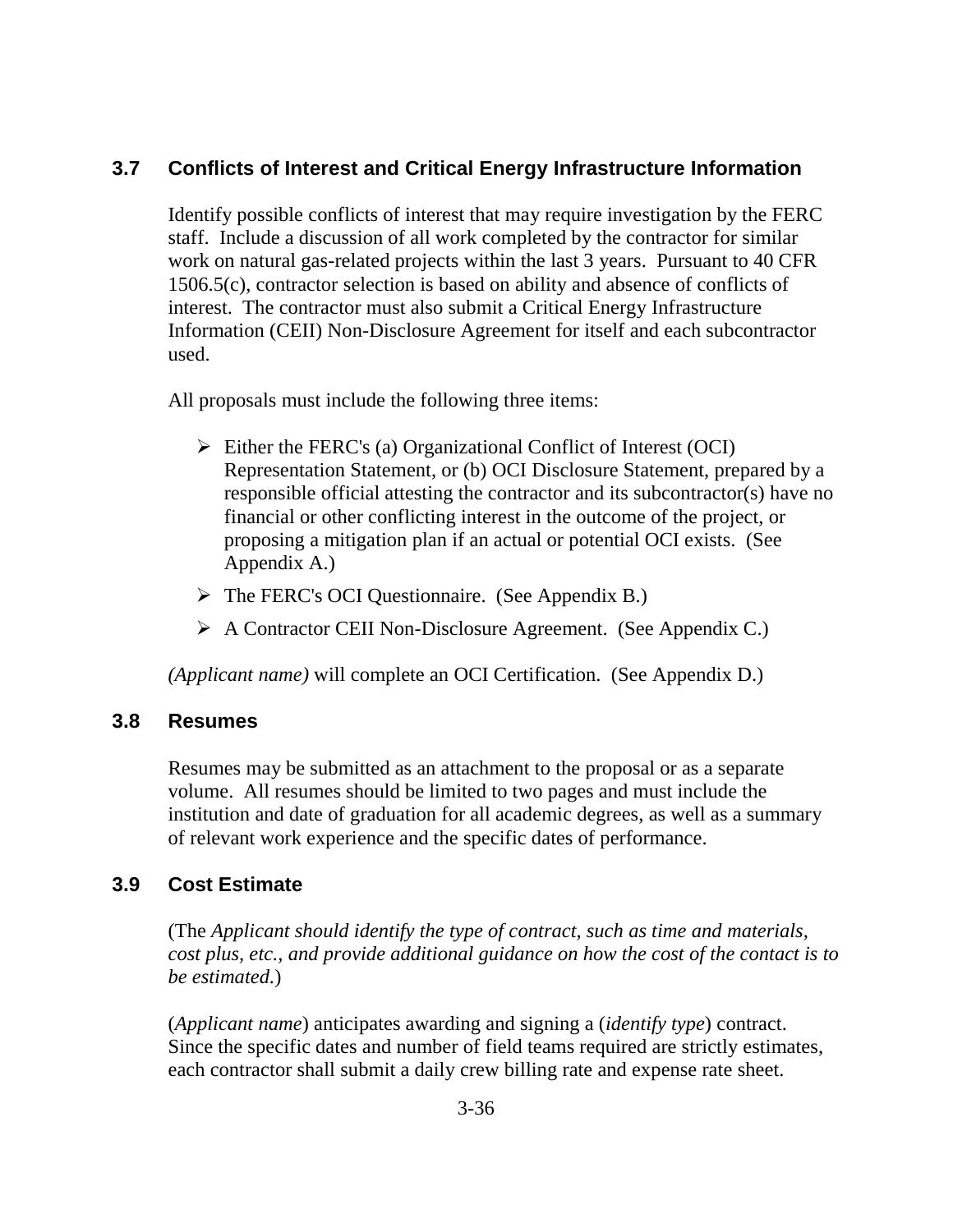# **3.7 Conflicts of Interest and Critical Energy Infrastructure Information**

Identify possible conflicts of interest that may require investigation by the FERC staff. Include a discussion of all work completed by the contractor for similar work on natural gas-related projects within the last 3 years. Pursuant to 40 CFR 1506.5(c), contractor selection is based on ability and absence of conflicts of interest. The contractor must also submit a Critical Energy Infrastructure Information (CEII) Non-Disclosure Agreement for itself and each subcontractor used.

All proposals must include the following three items:

- $\triangleright$  Either the FERC's (a) Organizational Conflict of Interest (OCI) Representation Statement, or (b) OCI Disclosure Statement, prepared by a responsible official attesting the contractor and its subcontractor(s) have no financial or other conflicting interest in the outcome of the project, or proposing a mitigation plan if an actual or potential OCI exists. (See Appendix A.)
- The FERC's OCI Questionnaire. (See Appendix B.)
- A Contractor CEII Non-Disclosure Agreement. (See Appendix C.)

*(Applicant name)* will complete an OCI Certification. (See Appendix D.)

### **3.8 Resumes**

Resumes may be submitted as an attachment to the proposal or as a separate volume. All resumes should be limited to two pages and must include the institution and date of graduation for all academic degrees, as well as a summary of relevant work experience and the specific dates of performance.

# **3.9 Cost Estimate**

(The *Applicant should identify the type of contract, such as time and materials, cost plus, etc., and provide additional guidance on how the cost of the contact is to be estimated.*)

(*Applicant name*) anticipates awarding and signing a (*identify type*) contract. Since the specific dates and number of field teams required are strictly estimates, each contractor shall submit a daily crew billing rate and expense rate sheet.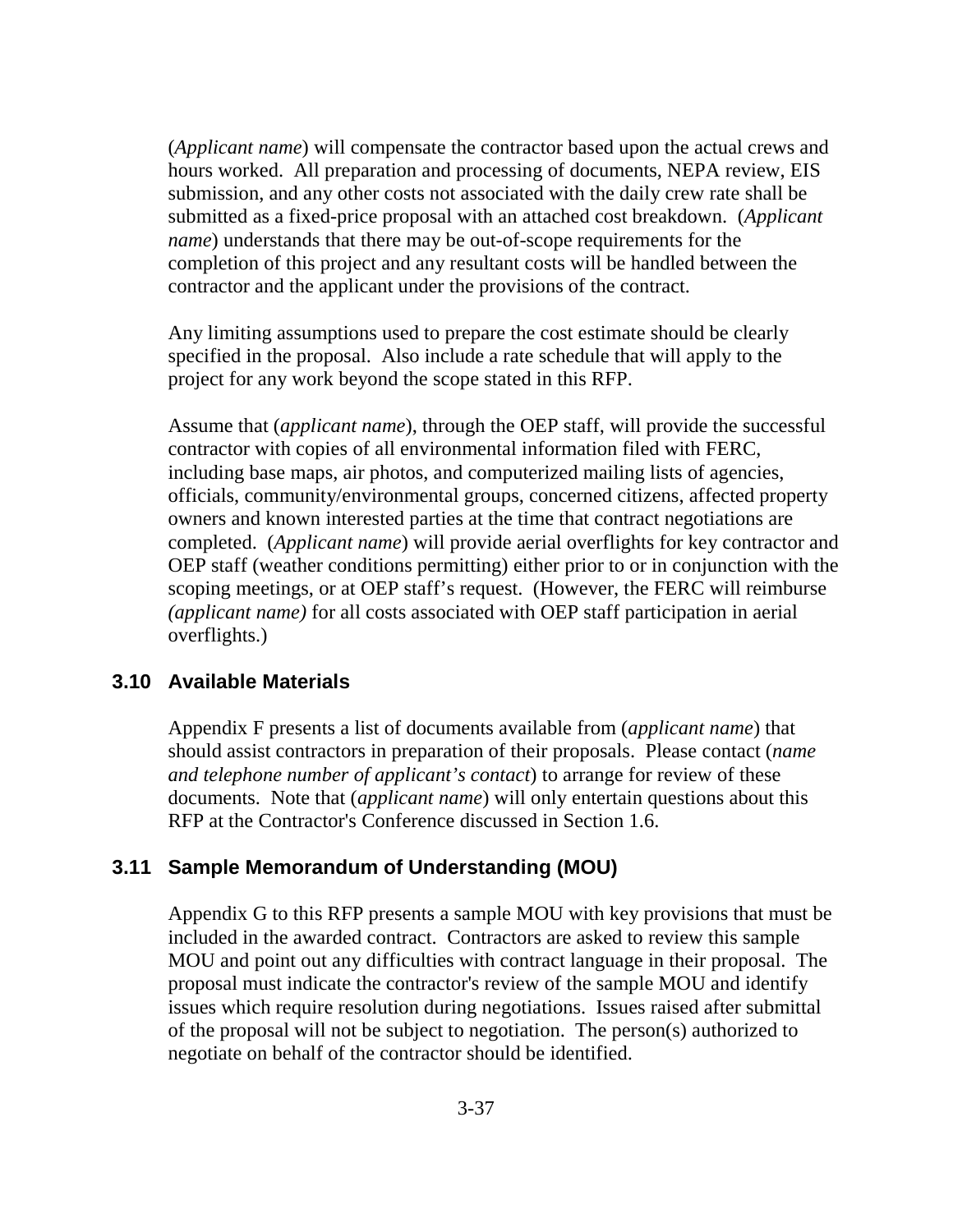(*Applicant name*) will compensate the contractor based upon the actual crews and hours worked. All preparation and processing of documents, NEPA review, EIS submission, and any other costs not associated with the daily crew rate shall be submitted as a fixed-price proposal with an attached cost breakdown. (*Applicant name*) understands that there may be out-of-scope requirements for the completion of this project and any resultant costs will be handled between the contractor and the applicant under the provisions of the contract.

Any limiting assumptions used to prepare the cost estimate should be clearly specified in the proposal. Also include a rate schedule that will apply to the project for any work beyond the scope stated in this RFP.

Assume that (*applicant name*), through the OEP staff, will provide the successful contractor with copies of all environmental information filed with FERC, including base maps, air photos, and computerized mailing lists of agencies, officials, community/environmental groups, concerned citizens, affected property owners and known interested parties at the time that contract negotiations are completed. (*Applicant name*) will provide aerial overflights for key contractor and OEP staff (weather conditions permitting) either prior to or in conjunction with the scoping meetings, or at OEP staff's request. (However, the FERC will reimburse *(applicant name)* for all costs associated with OEP staff participation in aerial overflights.)

#### **3.10 Available Materials**

Appendix F presents a list of documents available from (*applicant name*) that should assist contractors in preparation of their proposals. Please contact (*name and telephone number of applicant's contact*) to arrange for review of these documents. Note that (*applicant name*) will only entertain questions about this RFP at the Contractor's Conference discussed in Section 1.6.

#### **3.11 Sample Memorandum of Understanding (MOU)**

Appendix G to this RFP presents a sample MOU with key provisions that must be included in the awarded contract. Contractors are asked to review this sample MOU and point out any difficulties with contract language in their proposal. The proposal must indicate the contractor's review of the sample MOU and identify issues which require resolution during negotiations. Issues raised after submittal of the proposal will not be subject to negotiation. The person(s) authorized to negotiate on behalf of the contractor should be identified.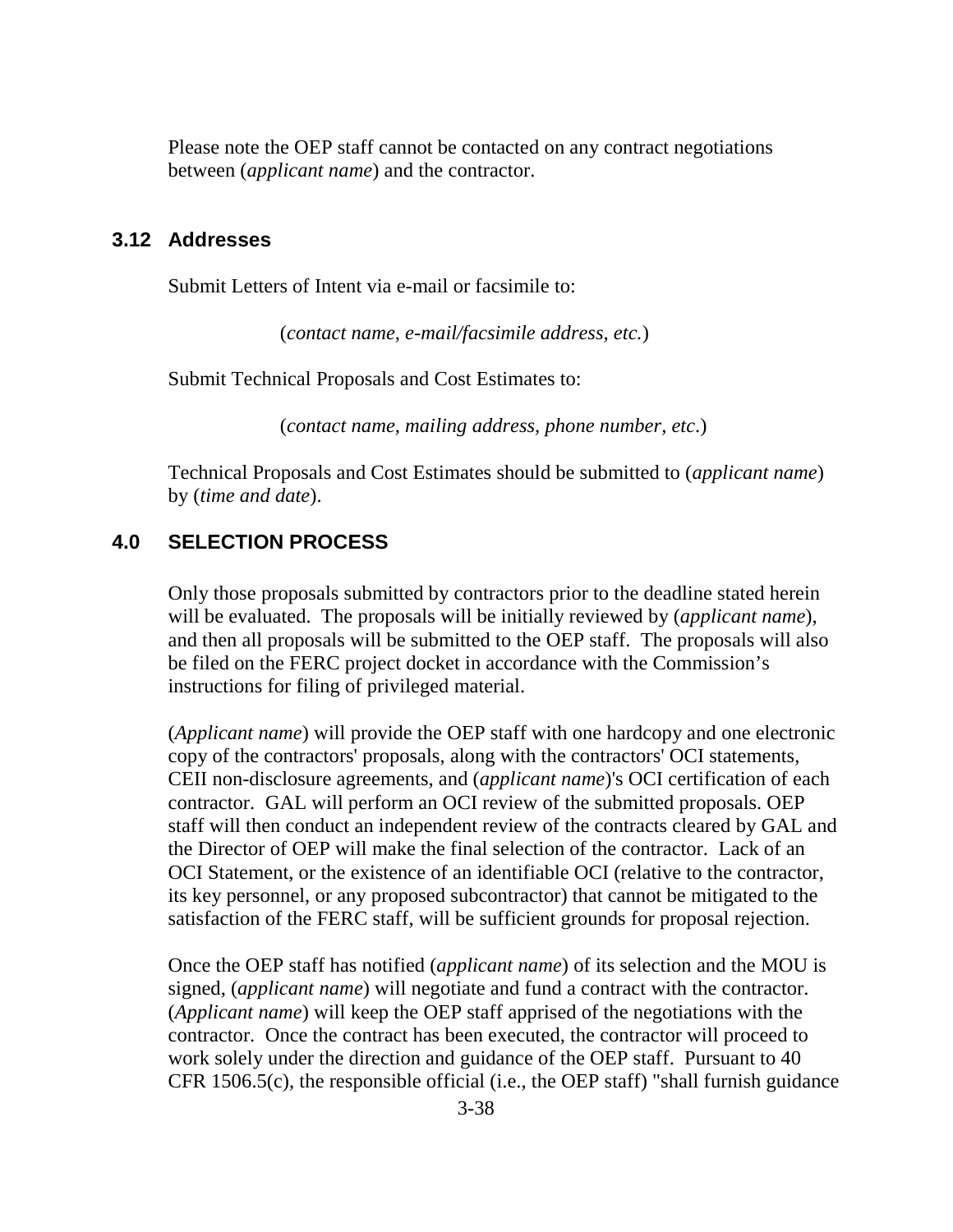Please note the OEP staff cannot be contacted on any contract negotiations between (*applicant name*) and the contractor.

#### **3.12 Addresses**

Submit Letters of Intent via e-mail or facsimile to:

(*contact name, e-mail/facsimile address, etc.*)

Submit Technical Proposals and Cost Estimates to:

(*contact name, mailing address, phone number, etc*.)

Technical Proposals and Cost Estimates should be submitted to (*applicant name*) by (*time and date*).

#### **4.0 SELECTION PROCESS**

Only those proposals submitted by contractors prior to the deadline stated herein will be evaluated. The proposals will be initially reviewed by (*applicant name*), and then all proposals will be submitted to the OEP staff. The proposals will also be filed on the FERC project docket in accordance with the Commission's instructions for filing of privileged material.

(*Applicant name*) will provide the OEP staff with one hardcopy and one electronic copy of the contractors' proposals, along with the contractors' OCI statements, CEII non-disclosure agreements, and (*applicant name*)'s OCI certification of each contractor. GAL will perform an OCI review of the submitted proposals. OEP staff will then conduct an independent review of the contracts cleared by GAL and the Director of OEP will make the final selection of the contractor. Lack of an OCI Statement, or the existence of an identifiable OCI (relative to the contractor, its key personnel, or any proposed subcontractor) that cannot be mitigated to the satisfaction of the FERC staff, will be sufficient grounds for proposal rejection.

Once the OEP staff has notified (*applicant name*) of its selection and the MOU is signed, (*applicant name*) will negotiate and fund a contract with the contractor. (*Applicant name*) will keep the OEP staff apprised of the negotiations with the contractor. Once the contract has been executed, the contractor will proceed to work solely under the direction and guidance of the OEP staff. Pursuant to 40 CFR 1506.5(c), the responsible official (i.e., the OEP staff) "shall furnish guidance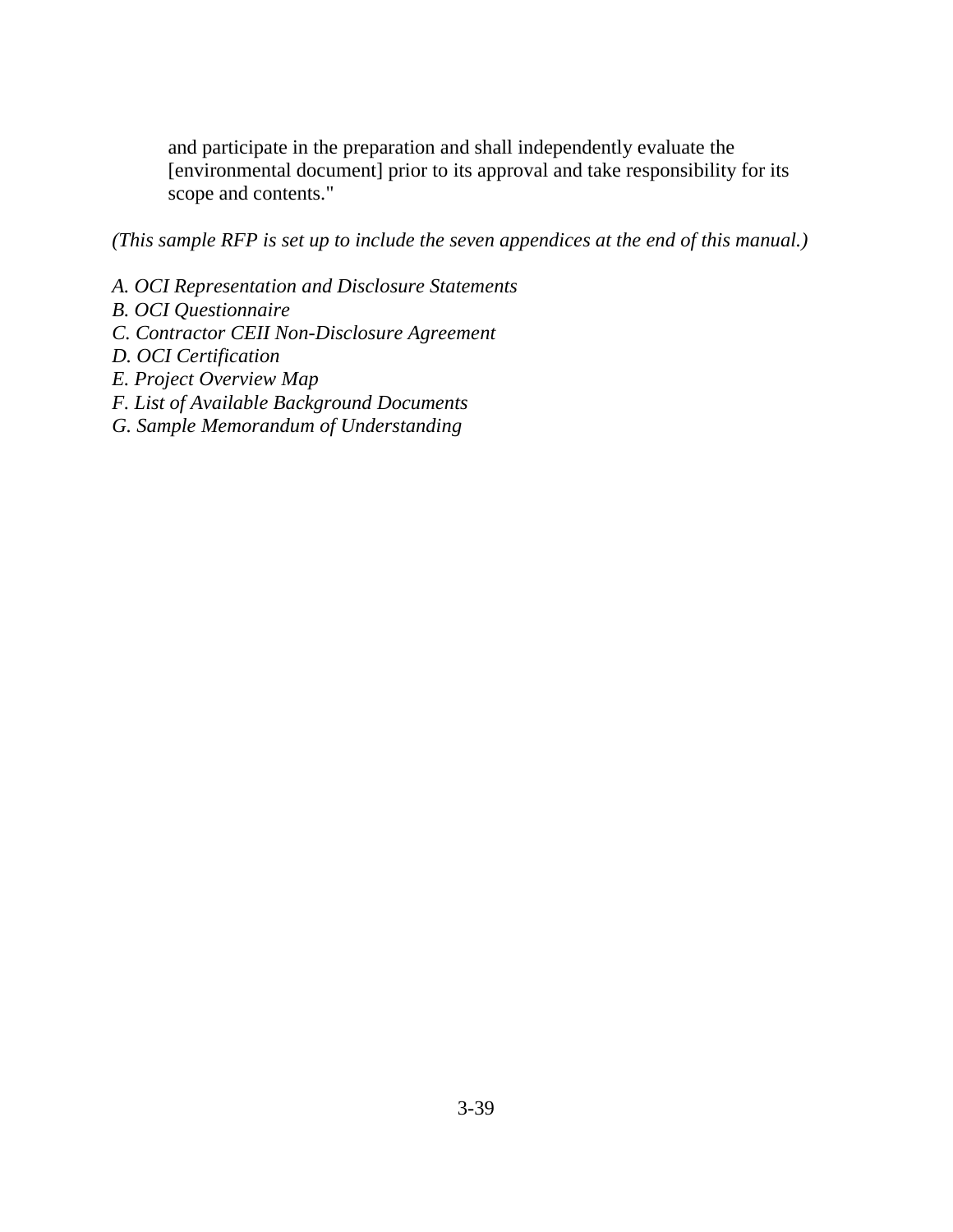and participate in the preparation and shall independently evaluate the [environmental document] prior to its approval and take responsibility for its scope and contents."

*(This sample RFP is set up to include the seven appendices at the end of this manual.)*

- *A. OCI Representation and Disclosure Statements*
- *B. OCI Questionnaire*
- *C. Contractor CEII Non-Disclosure Agreement*
- *D. OCI Certification*
- *E. Project Overview Map*
- *F. List of Available Background Documents*
- *G. Sample Memorandum of Understanding*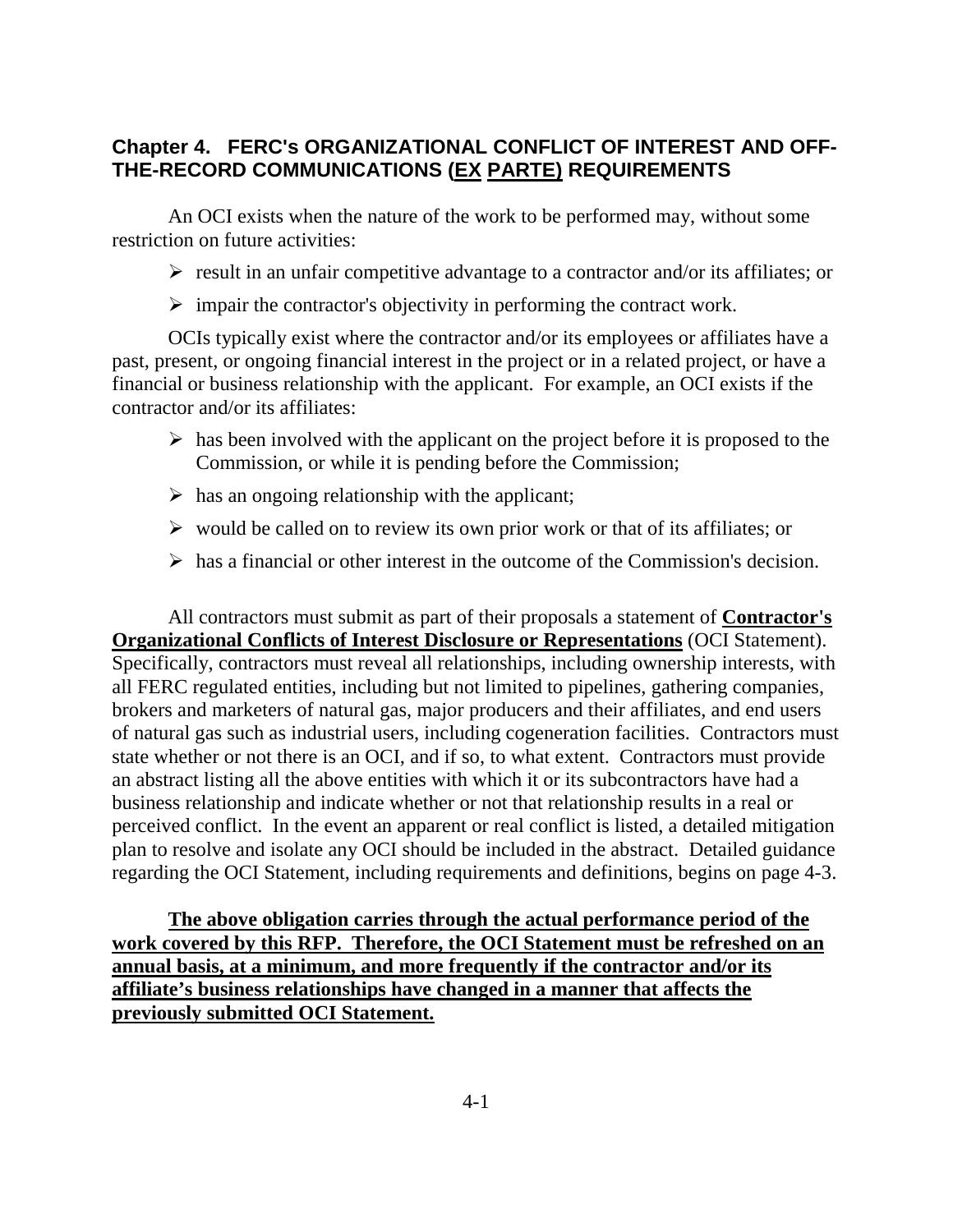### **Chapter 4. FERC's ORGANIZATIONAL CONFLICT OF INTEREST AND OFF-THE-RECORD COMMUNICATIONS (EX PARTE) REQUIREMENTS**

An OCI exists when the nature of the work to be performed may, without some restriction on future activities:

 $\triangleright$  result in an unfair competitive advantage to a contractor and/or its affiliates; or

 $\triangleright$  impair the contractor's objectivity in performing the contract work.

OCIs typically exist where the contractor and/or its employees or affiliates have a past, present, or ongoing financial interest in the project or in a related project, or have a financial or business relationship with the applicant. For example, an OCI exists if the contractor and/or its affiliates:

- $\triangleright$  has been involved with the applicant on the project before it is proposed to the Commission, or while it is pending before the Commission;
- $\triangleright$  has an ongoing relationship with the applicant;
- $\triangleright$  would be called on to review its own prior work or that of its affiliates; or
- $\triangleright$  has a financial or other interest in the outcome of the Commission's decision.

All contractors must submit as part of their proposals a statement of **Contractor's Organizational Conflicts of Interest Disclosure or Representations** (OCI Statement). Specifically, contractors must reveal all relationships, including ownership interests, with all FERC regulated entities, including but not limited to pipelines, gathering companies, brokers and marketers of natural gas, major producers and their affiliates, and end users of natural gas such as industrial users, including cogeneration facilities. Contractors must state whether or not there is an OCI, and if so, to what extent. Contractors must provide an abstract listing all the above entities with which it or its subcontractors have had a business relationship and indicate whether or not that relationship results in a real or perceived conflict. In the event an apparent or real conflict is listed, a detailed mitigation plan to resolve and isolate any OCI should be included in the abstract. Detailed guidance regarding the OCI Statement, including requirements and definitions, begins on page 4-3.

**The above obligation carries through the actual performance period of the work covered by this RFP. Therefore, the OCI Statement must be refreshed on an annual basis, at a minimum, and more frequently if the contractor and/or its affiliate's business relationships have changed in a manner that affects the previously submitted OCI Statement.**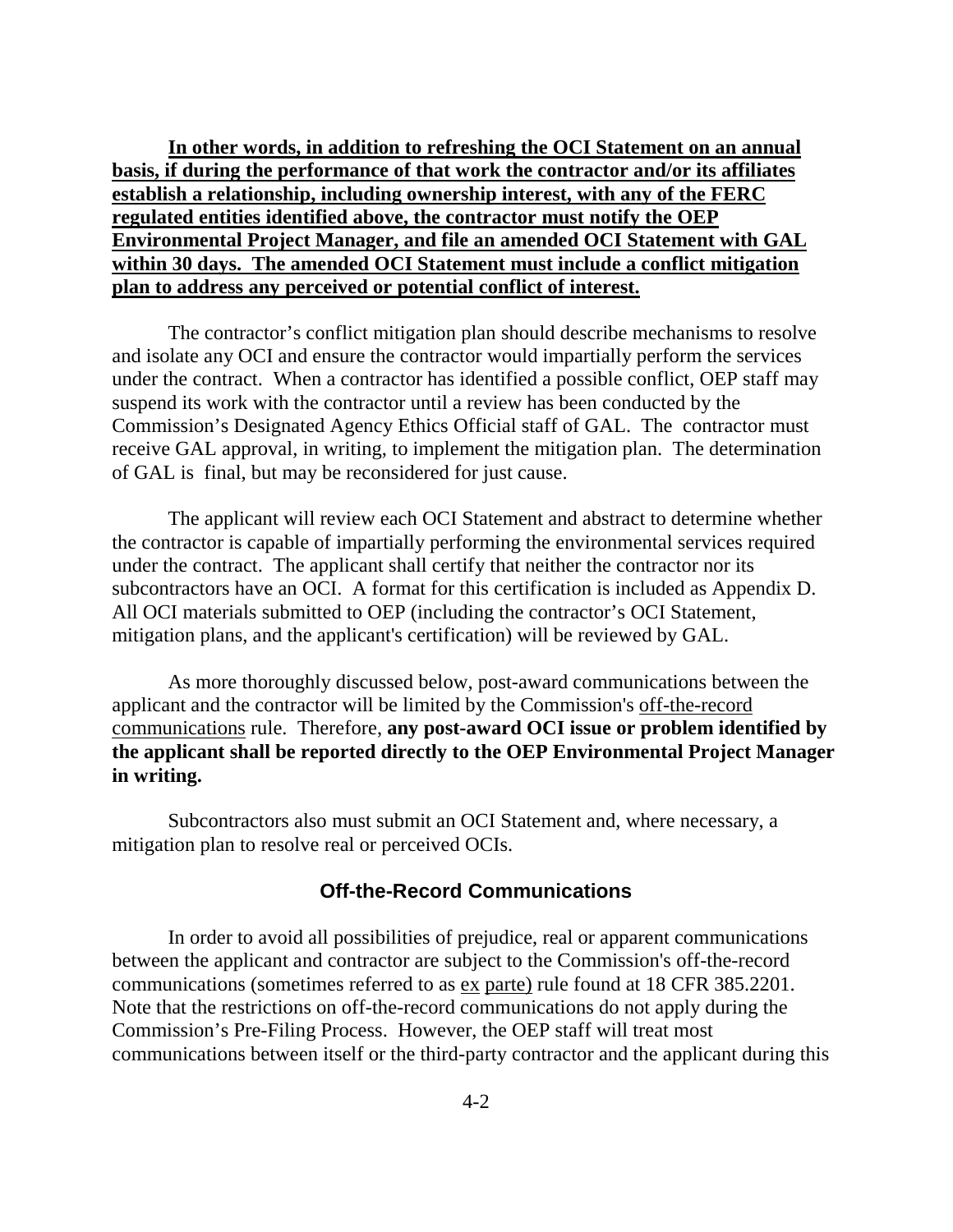**In other words, in addition to refreshing the OCI Statement on an annual basis, if during the performance of that work the contractor and/or its affiliates establish a relationship, including ownership interest, with any of the FERC regulated entities identified above, the contractor must notify the OEP Environmental Project Manager, and file an amended OCI Statement with GAL within 30 days. The amended OCI Statement must include a conflict mitigation plan to address any perceived or potential conflict of interest.**

The contractor's conflict mitigation plan should describe mechanisms to resolve and isolate any OCI and ensure the contractor would impartially perform the services under the contract. When a contractor has identified a possible conflict, OEP staff may suspend its work with the contractor until a review has been conducted by the Commission's Designated Agency Ethics Official staff of GAL. The contractor must receive GAL approval, in writing, to implement the mitigation plan. The determination of GAL is final, but may be reconsidered for just cause.

The applicant will review each OCI Statement and abstract to determine whether the contractor is capable of impartially performing the environmental services required under the contract. The applicant shall certify that neither the contractor nor its subcontractors have an OCI. A format for this certification is included as Appendix D. All OCI materials submitted to OEP (including the contractor's OCI Statement, mitigation plans, and the applicant's certification) will be reviewed by GAL.

As more thoroughly discussed below, post-award communications between the applicant and the contractor will be limited by the Commission's off-the-record communications rule. Therefore, **any post-award OCI issue or problem identified by the applicant shall be reported directly to the OEP Environmental Project Manager in writing.**

Subcontractors also must submit an OCI Statement and, where necessary, a mitigation plan to resolve real or perceived OCIs.

#### **Off-the-Record Communications**

In order to avoid all possibilities of prejudice, real or apparent communications between the applicant and contractor are subject to the Commission's off-the-record communications (sometimes referred to as ex parte) rule found at 18 CFR 385.2201. Note that the restrictions on off-the-record communications do not apply during the Commission's Pre-Filing Process. However, the OEP staff will treat most communications between itself or the third-party contractor and the applicant during this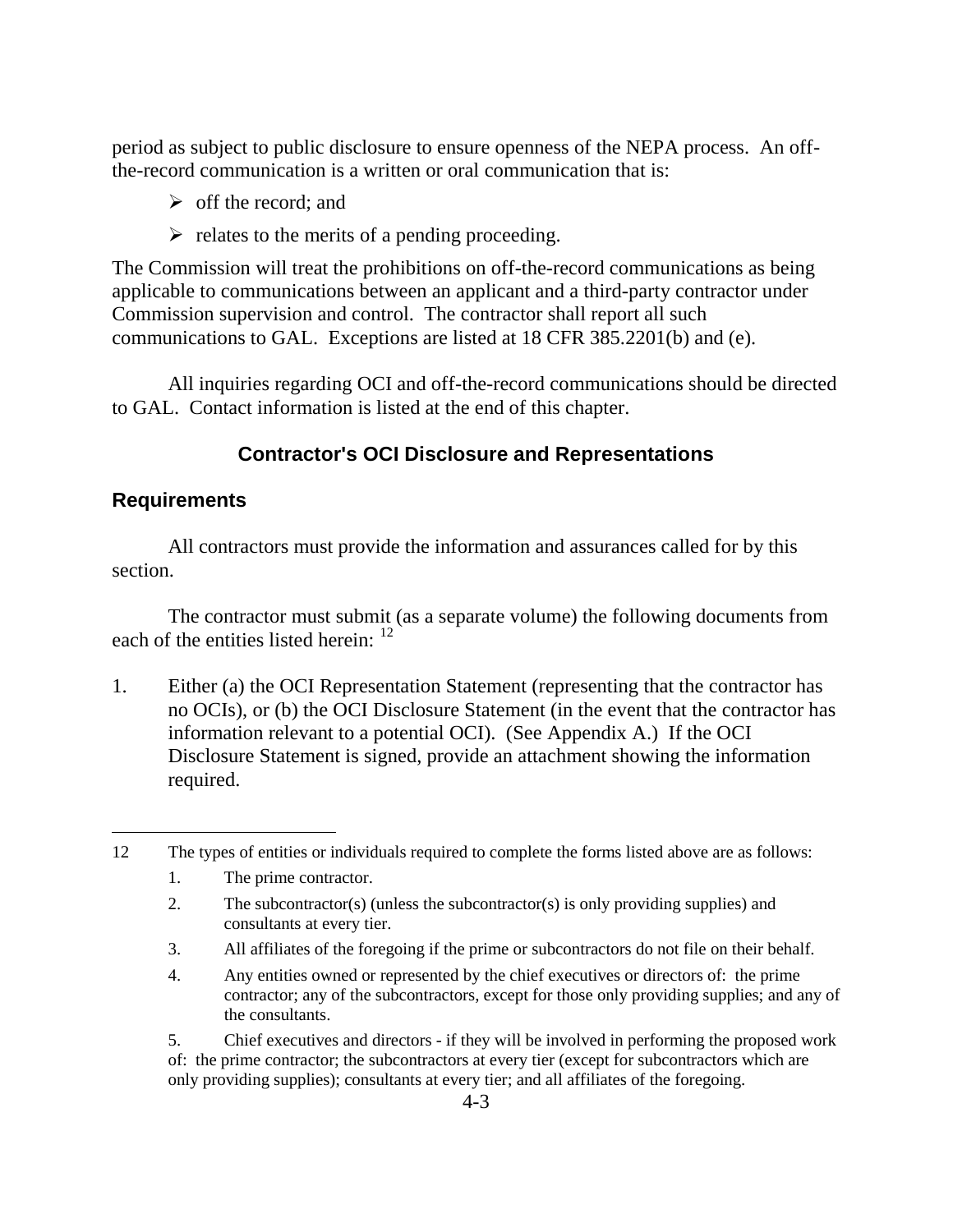period as subject to public disclosure to ensure openness of the NEPA process. An offthe-record communication is a written or oral communication that is:

- $\triangleright$  off the record; and
- $\triangleright$  relates to the merits of a pending proceeding.

The Commission will treat the prohibitions on off-the-record communications as being applicable to communications between an applicant and a third-party contractor under Commission supervision and control. The contractor shall report all such communications to GAL. Exceptions are listed at 18 CFR 385.2201(b) and (e).

All inquiries regarding OCI and off-the-record communications should be directed to GAL. Contact information is listed at the end of this chapter.

# **Contractor's OCI Disclosure and Representations**

#### **Requirements**

All contractors must provide the information and assurances called for by this section.

The contractor must submit (as a separate volume) the following documents from each of the entities listed herein: <sup>12</sup>

1. Either (a) the OCI Representation Statement (representing that the contractor has no OCIs), or (b) the OCI Disclosure Statement (in the event that the contractor has information relevant to a potential OCI). (See Appendix A.) If the OCI Disclosure Statement is signed, provide an attachment showing the information required.

- 1. The prime contractor.
- 2. The subcontractor(s) (unless the subcontractor(s) is only providing supplies) and consultants at every tier.
- 3. All affiliates of the foregoing if the prime or subcontractors do not file on their behalf.
- 4. Any entities owned or represented by the chief executives or directors of: the prime contractor; any of the subcontractors, except for those only providing supplies; and any of the consultants.

5. Chief executives and directors - if they will be involved in performing the proposed work of: the prime contractor; the subcontractors at every tier (except for subcontractors which are only providing supplies); consultants at every tier; and all affiliates of the foregoing.

 $\overline{a}$ 12 The types of entities or individuals required to complete the forms listed above are as follows: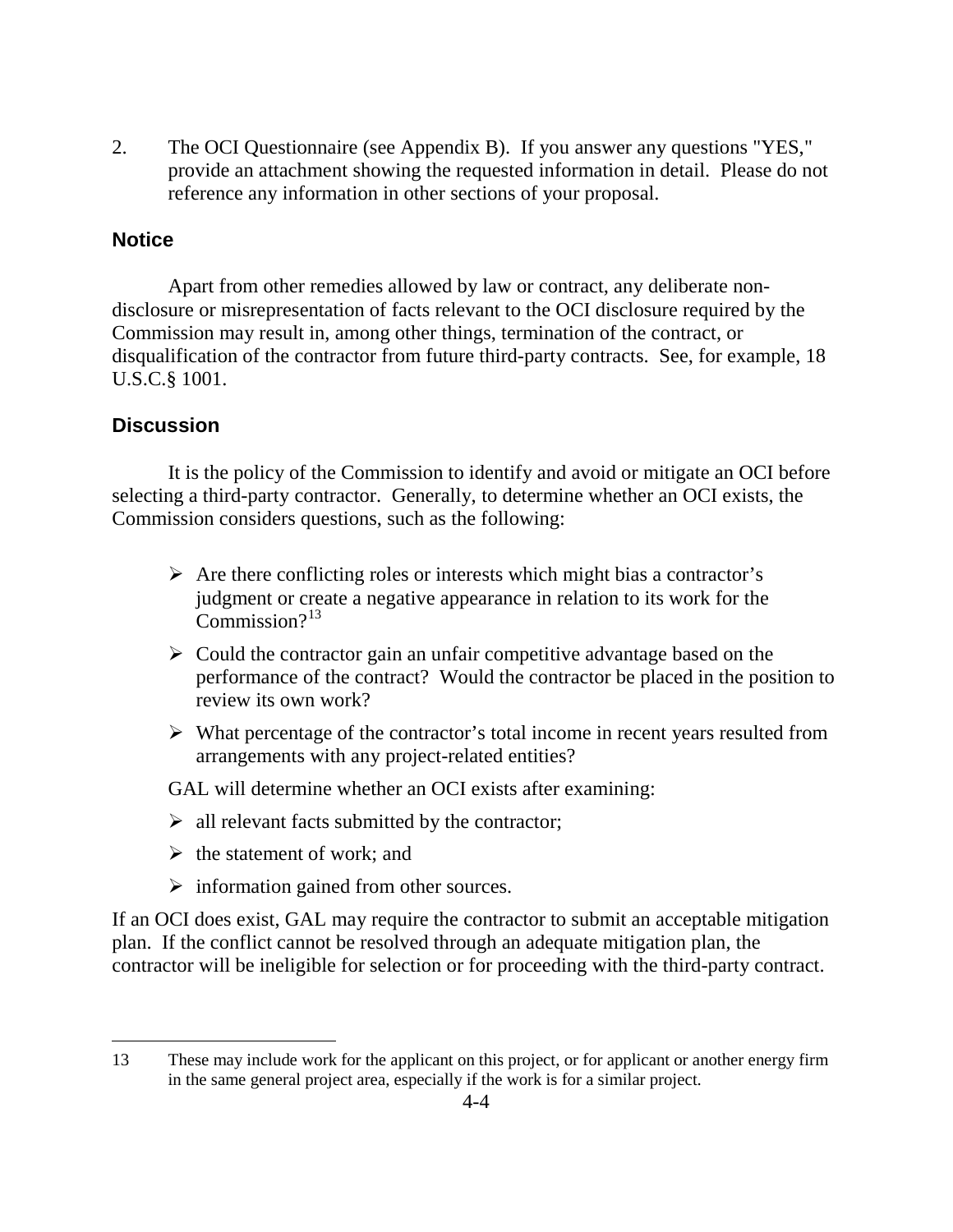2. The OCI Questionnaire (see Appendix B). If you answer any questions "YES," provide an attachment showing the requested information in detail. Please do not reference any information in other sections of your proposal.

#### **Notice**

Apart from other remedies allowed by law or contract, any deliberate nondisclosure or misrepresentation of facts relevant to the OCI disclosure required by the Commission may result in, among other things, termination of the contract, or disqualification of the contractor from future third-party contracts. See, for example, 18 U.S.C.§ 1001.

#### **Discussion**

 $\overline{a}$ 

It is the policy of the Commission to identify and avoid or mitigate an OCI before selecting a third-party contractor. Generally, to determine whether an OCI exists, the Commission considers questions, such as the following:

- $\triangleright$  Are there conflicting roles or interests which might bias a contractor's judgment or create a negative appearance in relation to its work for the  $Common<sup>13</sup>$
- $\triangleright$  Could the contractor gain an unfair competitive advantage based on the performance of the contract? Would the contractor be placed in the position to review its own work?
- $\triangleright$  What percentage of the contractor's total income in recent years resulted from arrangements with any project-related entities?
- GAL will determine whether an OCI exists after examining:
- $\triangleright$  all relevant facts submitted by the contractor;
- $\triangleright$  the statement of work; and
- $\triangleright$  information gained from other sources.

If an OCI does exist, GAL may require the contractor to submit an acceptable mitigation plan. If the conflict cannot be resolved through an adequate mitigation plan, the contractor will be ineligible for selection or for proceeding with the third-party contract.

<sup>13</sup> These may include work for the applicant on this project, or for applicant or another energy firm in the same general project area, especially if the work is for a similar project.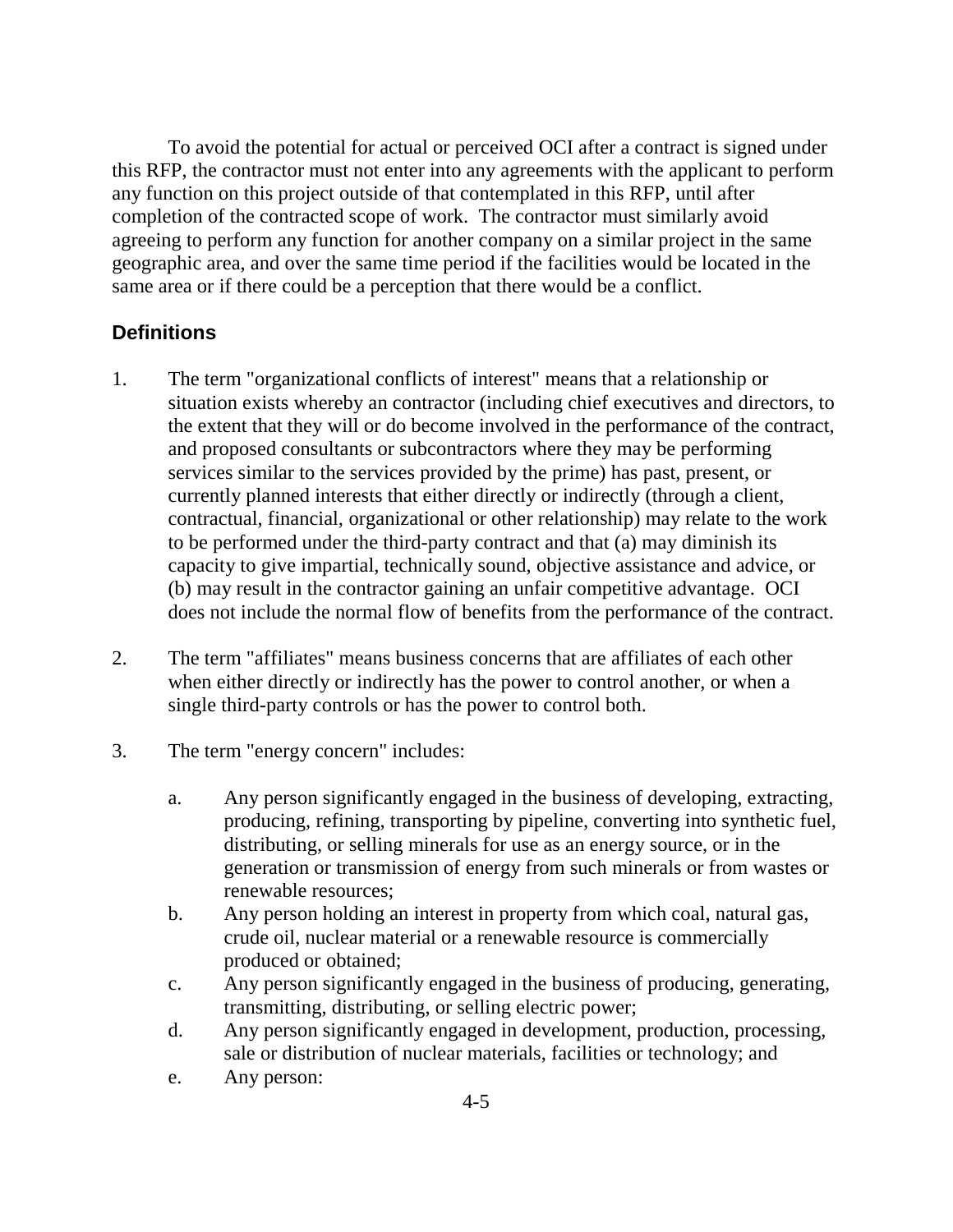To avoid the potential for actual or perceived OCI after a contract is signed under this RFP, the contractor must not enter into any agreements with the applicant to perform any function on this project outside of that contemplated in this RFP, until after completion of the contracted scope of work. The contractor must similarly avoid agreeing to perform any function for another company on a similar project in the same geographic area, and over the same time period if the facilities would be located in the same area or if there could be a perception that there would be a conflict.

#### **Definitions**

- 1. The term "organizational conflicts of interest" means that a relationship or situation exists whereby an contractor (including chief executives and directors, to the extent that they will or do become involved in the performance of the contract, and proposed consultants or subcontractors where they may be performing services similar to the services provided by the prime) has past, present, or currently planned interests that either directly or indirectly (through a client, contractual, financial, organizational or other relationship) may relate to the work to be performed under the third-party contract and that (a) may diminish its capacity to give impartial, technically sound, objective assistance and advice, or (b) may result in the contractor gaining an unfair competitive advantage. OCI does not include the normal flow of benefits from the performance of the contract.
- 2. The term "affiliates" means business concerns that are affiliates of each other when either directly or indirectly has the power to control another, or when a single third-party controls or has the power to control both.
- 3. The term "energy concern" includes:
	- a. Any person significantly engaged in the business of developing, extracting, producing, refining, transporting by pipeline, converting into synthetic fuel, distributing, or selling minerals for use as an energy source, or in the generation or transmission of energy from such minerals or from wastes or renewable resources;
	- b. Any person holding an interest in property from which coal, natural gas, crude oil, nuclear material or a renewable resource is commercially produced or obtained;
	- c. Any person significantly engaged in the business of producing, generating, transmitting, distributing, or selling electric power;
	- d. Any person significantly engaged in development, production, processing, sale or distribution of nuclear materials, facilities or technology; and
	- e. Any person: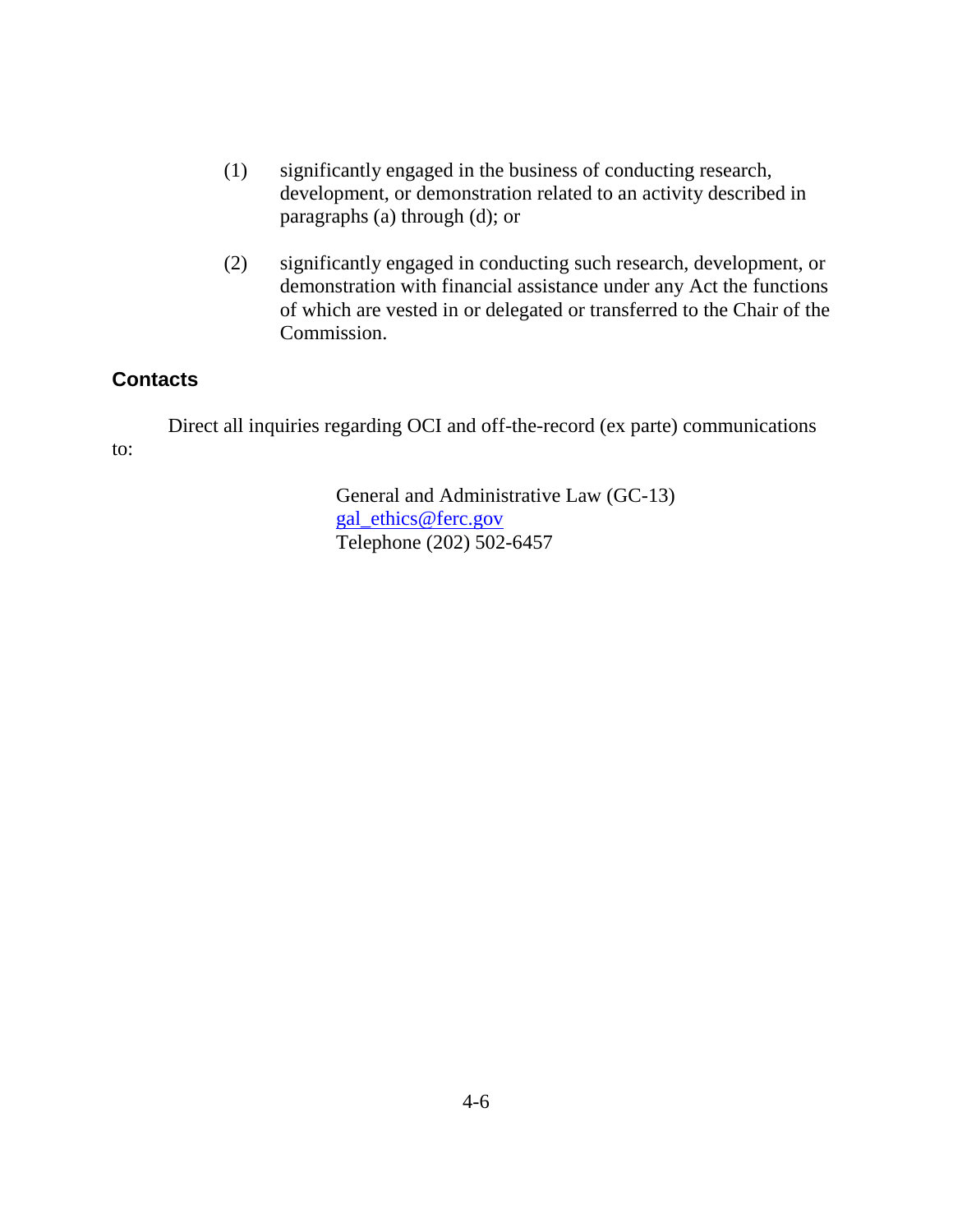- (1) significantly engaged in the business of conducting research, development, or demonstration related to an activity described in paragraphs (a) through (d); or
- (2) significantly engaged in conducting such research, development, or demonstration with financial assistance under any Act the functions of which are vested in or delegated or transferred to the Chair of the Commission.

#### **Contacts**

Direct all inquiries regarding OCI and off-the-record (ex parte) communications to:

> General and Administrative Law (GC-13) gal\_ethics@ferc.gov Telephone (202) 502-6457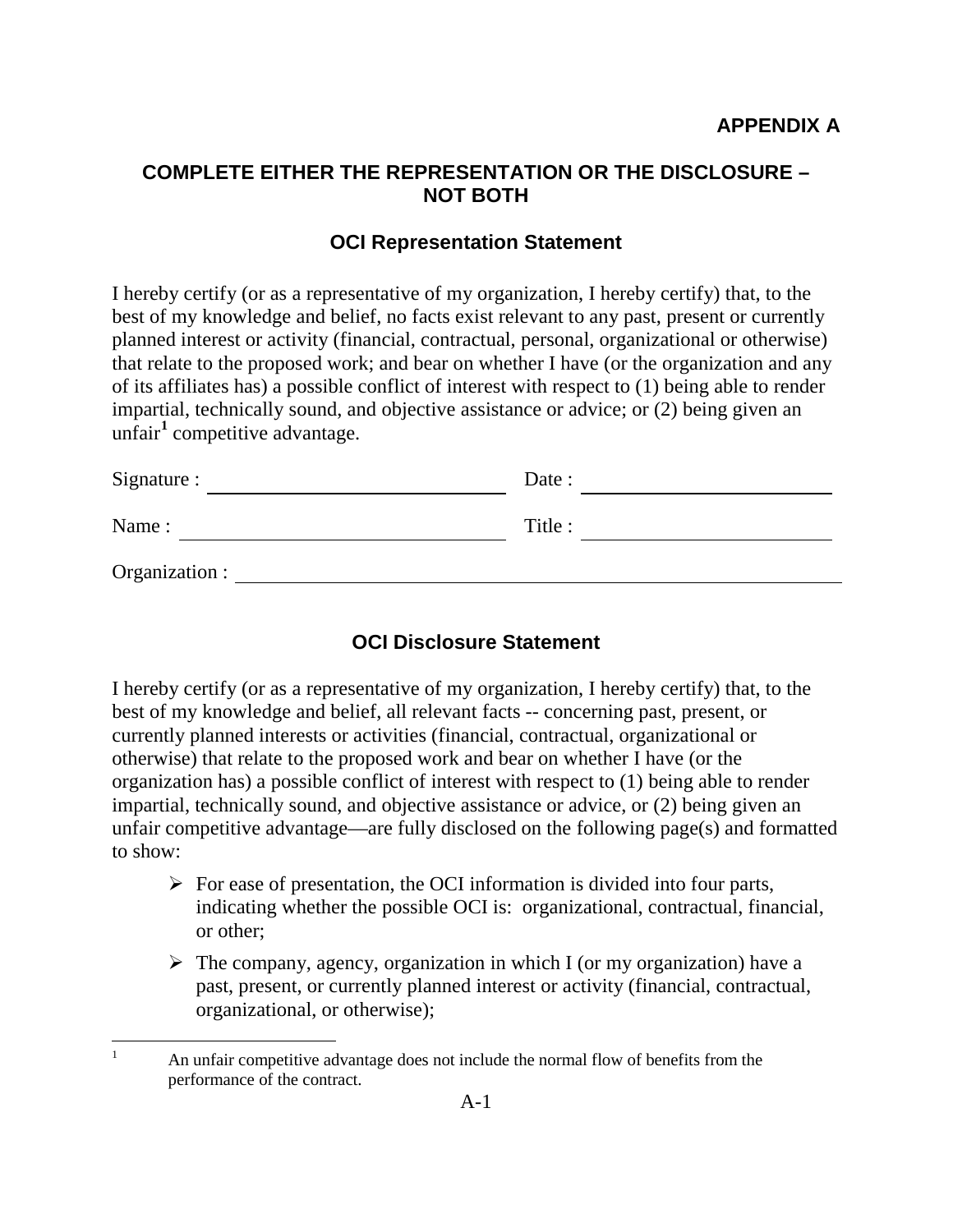### **COMPLETE EITHER THE REPRESENTATION OR THE DISCLOSURE – NOT BOTH**

#### **OCI Representation Statement**

I hereby certify (or as a representative of my organization, I hereby certify) that, to the best of my knowledge and belief, no facts exist relevant to any past, present or currently planned interest or activity (financial, contractual, personal, organizational or otherwise) that relate to the proposed work; and bear on whether I have (or the organization and any of its affiliates has) a possible conflict of interest with respect to (1) being able to render impartial, technically sound, and objective assistance or advice; or (2) being given an unfair**<sup>1</sup>** competitive advantage.

| Signature :    | Date :  |  |
|----------------|---------|--|
| Name:          | Title : |  |
| Organization : |         |  |

#### **OCI Disclosure Statement**

I hereby certify (or as a representative of my organization, I hereby certify) that, to the best of my knowledge and belief, all relevant facts -- concerning past, present, or currently planned interests or activities (financial, contractual, organizational or otherwise) that relate to the proposed work and bear on whether I have (or the organization has) a possible conflict of interest with respect to (1) being able to render impartial, technically sound, and objective assistance or advice, or (2) being given an unfair competitive advantage—are fully disclosed on the following page(s) and formatted to show:

- $\triangleright$  For ease of presentation, the OCI information is divided into four parts, indicating whether the possible OCI is: organizational, contractual, financial, or other;
- $\triangleright$  The company, agency, organization in which I (or my organization) have a past, present, or currently planned interest or activity (financial, contractual, organizational, or otherwise);

<sup>&</sup>lt;sup>1</sup> An unfair competitive advantage does not include the normal flow of benefits from the performance of the contract.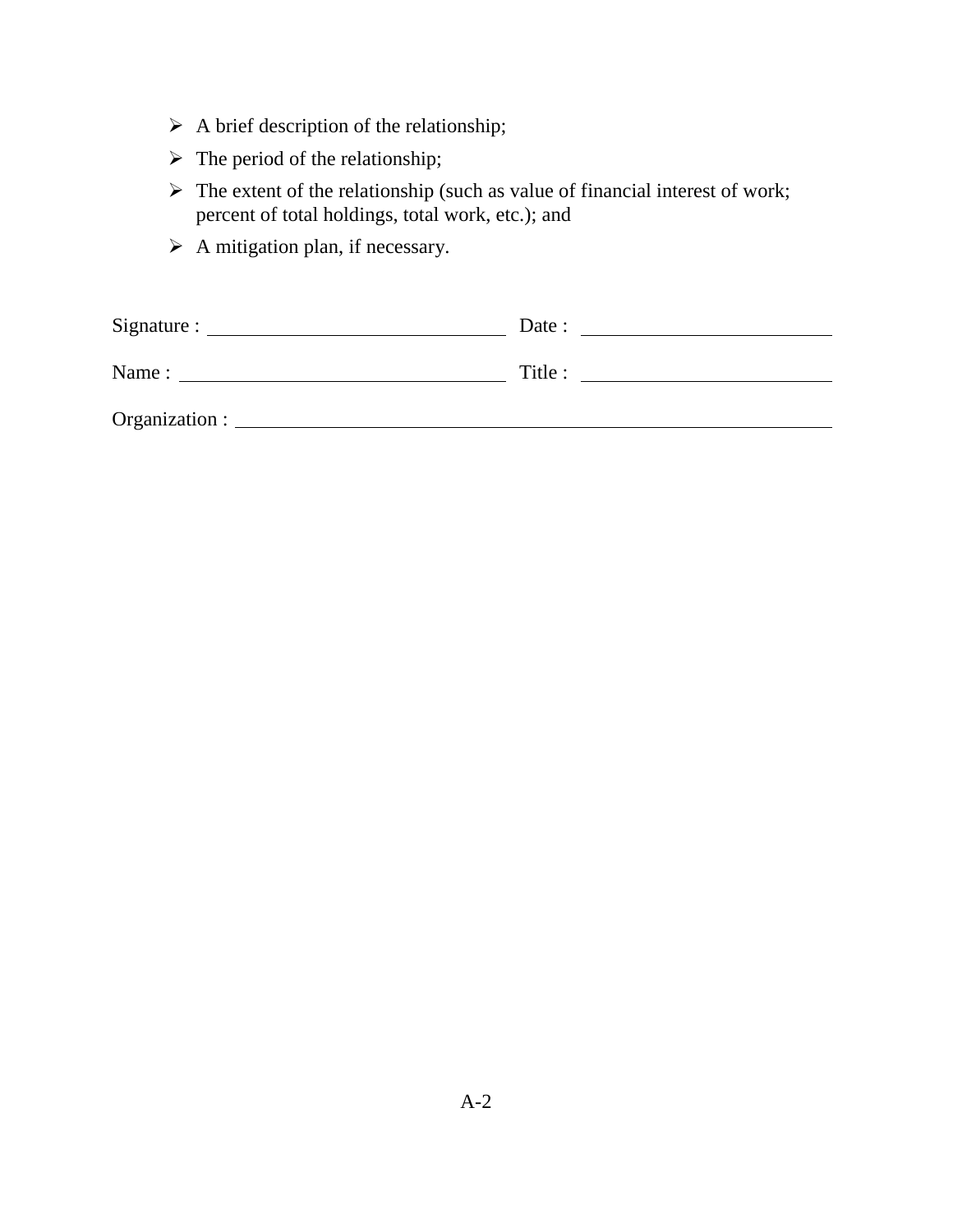- $\triangleright$  A brief description of the relationship;
- $\triangleright$  The period of the relationship;
- $\triangleright$  The extent of the relationship (such as value of financial interest of work; percent of total holdings, total work, etc.); and
- $\triangleright$  A mitigation plan, if necessary.

|       | Date :  |
|-------|---------|
| Name: | Title : |
|       |         |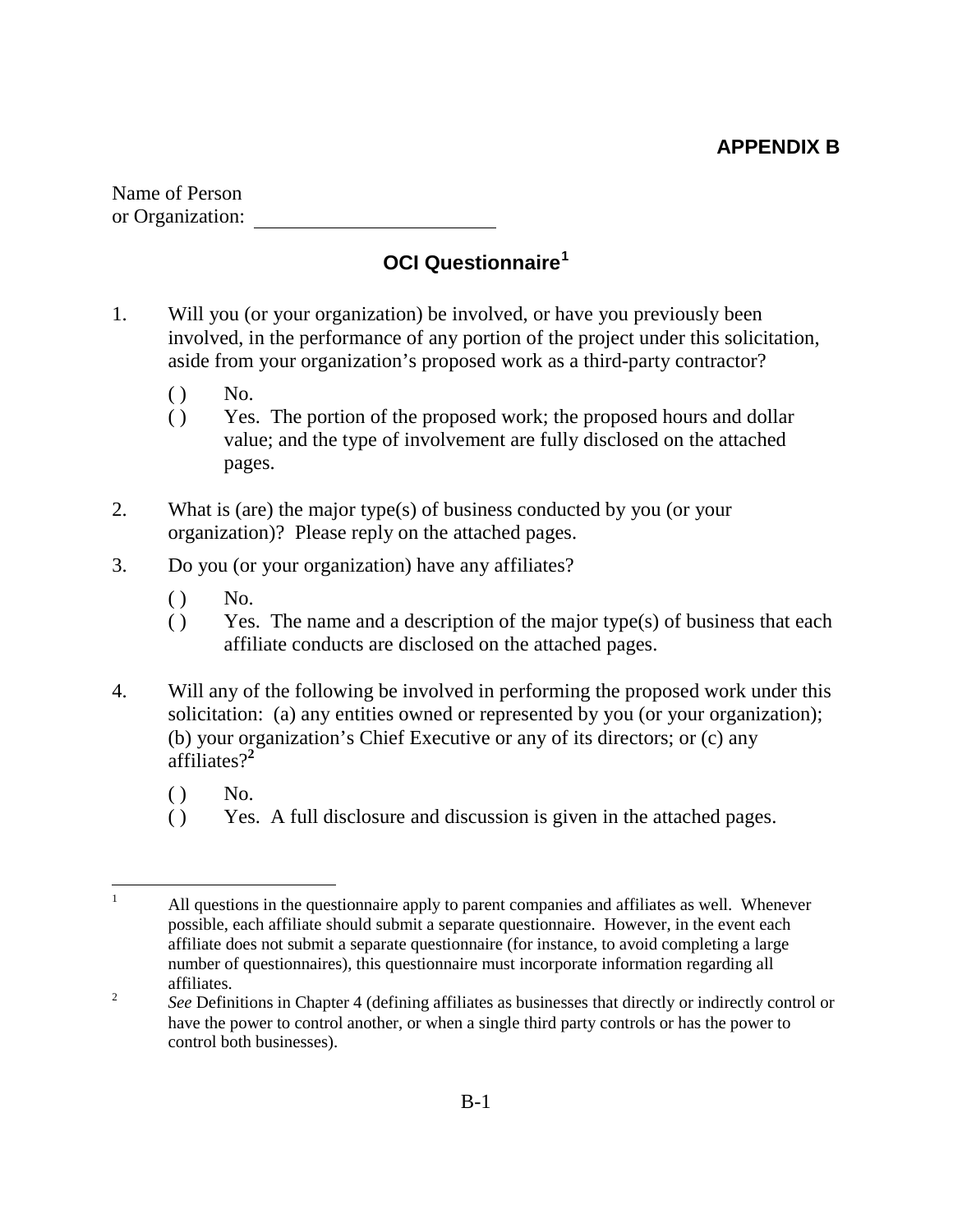# **APPENDIX B**

Name of Person or Organization:

# **OCI Questionnaire<sup>1</sup>**

- 1. Will you (or your organization) be involved, or have you previously been involved, in the performance of any portion of the project under this solicitation, aside from your organization's proposed work as a third-party contractor?
	- $()$  No.
	- ( ) Yes. The portion of the proposed work; the proposed hours and dollar value; and the type of involvement are fully disclosed on the attached pages.
- 2. What is (are) the major type(s) of business conducted by you (or your organization)? Please reply on the attached pages.
- 3. Do you (or your organization) have any affiliates?
	- $()$  No.
	- ( ) Yes. The name and a description of the major type(s) of business that each affiliate conducts are disclosed on the attached pages.
- 4. Will any of the following be involved in performing the proposed work under this solicitation: (a) any entities owned or represented by you (or your organization); (b) your organization's Chief Executive or any of its directors; or (c) any affiliates?**<sup>2</sup>**
	- $()$  No.
	- ( ) Yes. A full disclosure and discussion is given in the attached pages.

<sup>&</sup>lt;sup>1</sup> All questions in the questionnaire apply to parent companies and affiliates as well. Whenever possible, each affiliate should submit a separate questionnaire. However, in the event each affiliate does not submit a separate questionnaire (for instance, to avoid completing a large number of questionnaires), this questionnaire must incorporate information regarding all affiliates.

<sup>&</sup>lt;sup>2</sup> See Definitions in Chapter 4 (defining affiliates as businesses that directly or indirectly control or have the power to control another, or when a single third party controls or has the power to control both businesses).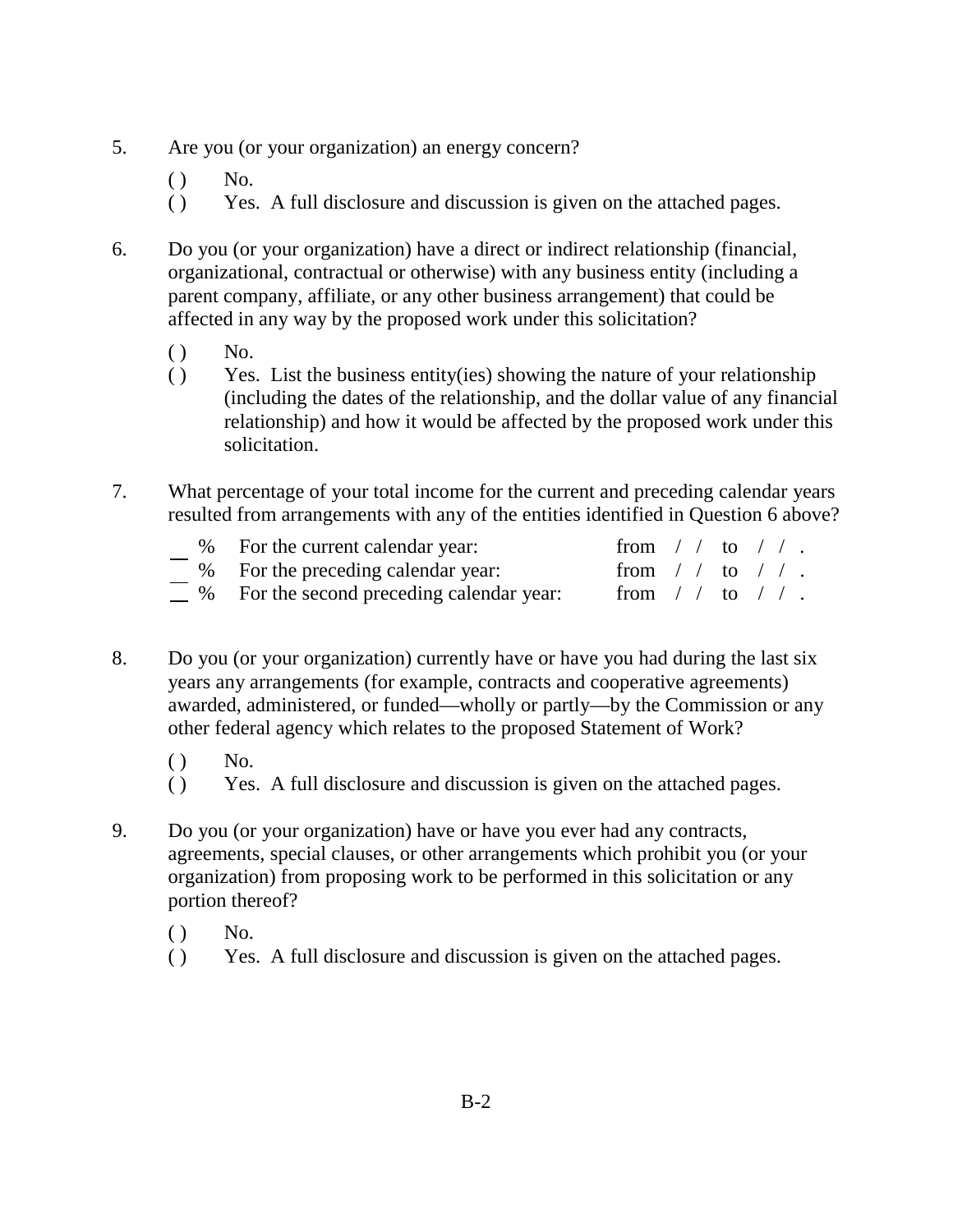- 5. Are you (or your organization) an energy concern?
	- $()$  No.
	- ( ) Yes. A full disclosure and discussion is given on the attached pages.
- 6. Do you (or your organization) have a direct or indirect relationship (financial, organizational, contractual or otherwise) with any business entity (including a parent company, affiliate, or any other business arrangement) that could be affected in any way by the proposed work under this solicitation?
	- $()$  No.
	- ( ) Yes. List the business entity(ies) showing the nature of your relationship (including the dates of the relationship, and the dollar value of any financial relationship) and how it would be affected by the proposed work under this solicitation.
- 7. What percentage of your total income for the current and preceding calendar years resulted from arrangements with any of the entities identified in Question 6 above?

| % For the current calendar year:                | from $/$ to $/$ . |  |  |
|-------------------------------------------------|-------------------|--|--|
| % For the preceding calendar year:              | from $/$ to $/$ . |  |  |
| $\mu$ % For the second preceding calendar year: | from $/$ to $/$ . |  |  |

- 8. Do you (or your organization) currently have or have you had during the last six years any arrangements (for example, contracts and cooperative agreements) awarded, administered, or funded—wholly or partly—by the Commission or any other federal agency which relates to the proposed Statement of Work?
	- $()$  No.
	- ( ) Yes. A full disclosure and discussion is given on the attached pages.
- 9. Do you (or your organization) have or have you ever had any contracts, agreements, special clauses, or other arrangements which prohibit you (or your organization) from proposing work to be performed in this solicitation or any portion thereof?
	- $()$  No.
	- ( ) Yes. A full disclosure and discussion is given on the attached pages.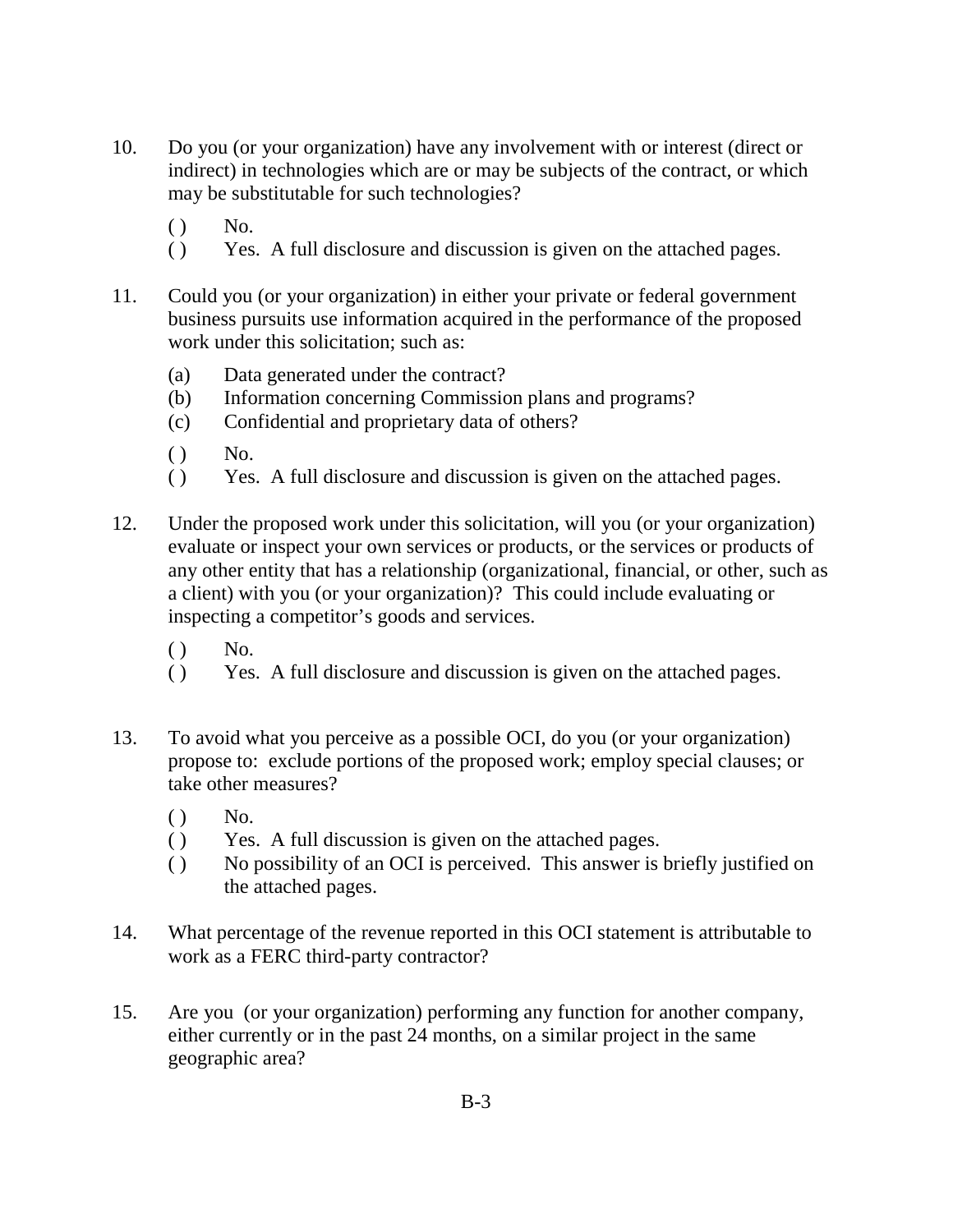- 10. Do you (or your organization) have any involvement with or interest (direct or indirect) in technologies which are or may be subjects of the contract, or which may be substitutable for such technologies?
	- $()$  No.
	- ( ) Yes. A full disclosure and discussion is given on the attached pages.
- 11. Could you (or your organization) in either your private or federal government business pursuits use information acquired in the performance of the proposed work under this solicitation; such as:
	- (a) Data generated under the contract?
	- (b) Information concerning Commission plans and programs?
	- (c) Confidential and proprietary data of others?
	- $()$  No.
	- ( ) Yes. A full disclosure and discussion is given on the attached pages.
- 12. Under the proposed work under this solicitation, will you (or your organization) evaluate or inspect your own services or products, or the services or products of any other entity that has a relationship (organizational, financial, or other, such as a client) with you (or your organization)? This could include evaluating or inspecting a competitor's goods and services.
	- $()$  No.
	- ( ) Yes. A full disclosure and discussion is given on the attached pages.
- 13. To avoid what you perceive as a possible OCI, do you (or your organization) propose to: exclude portions of the proposed work; employ special clauses; or take other measures?
	- $()$  No.
	- ( ) Yes. A full discussion is given on the attached pages.
	- ( ) No possibility of an OCI is perceived. This answer is briefly justified on the attached pages.
- 14. What percentage of the revenue reported in this OCI statement is attributable to work as a FERC third-party contractor?
- 15. Are you (or your organization) performing any function for another company, either currently or in the past 24 months, on a similar project in the same geographic area?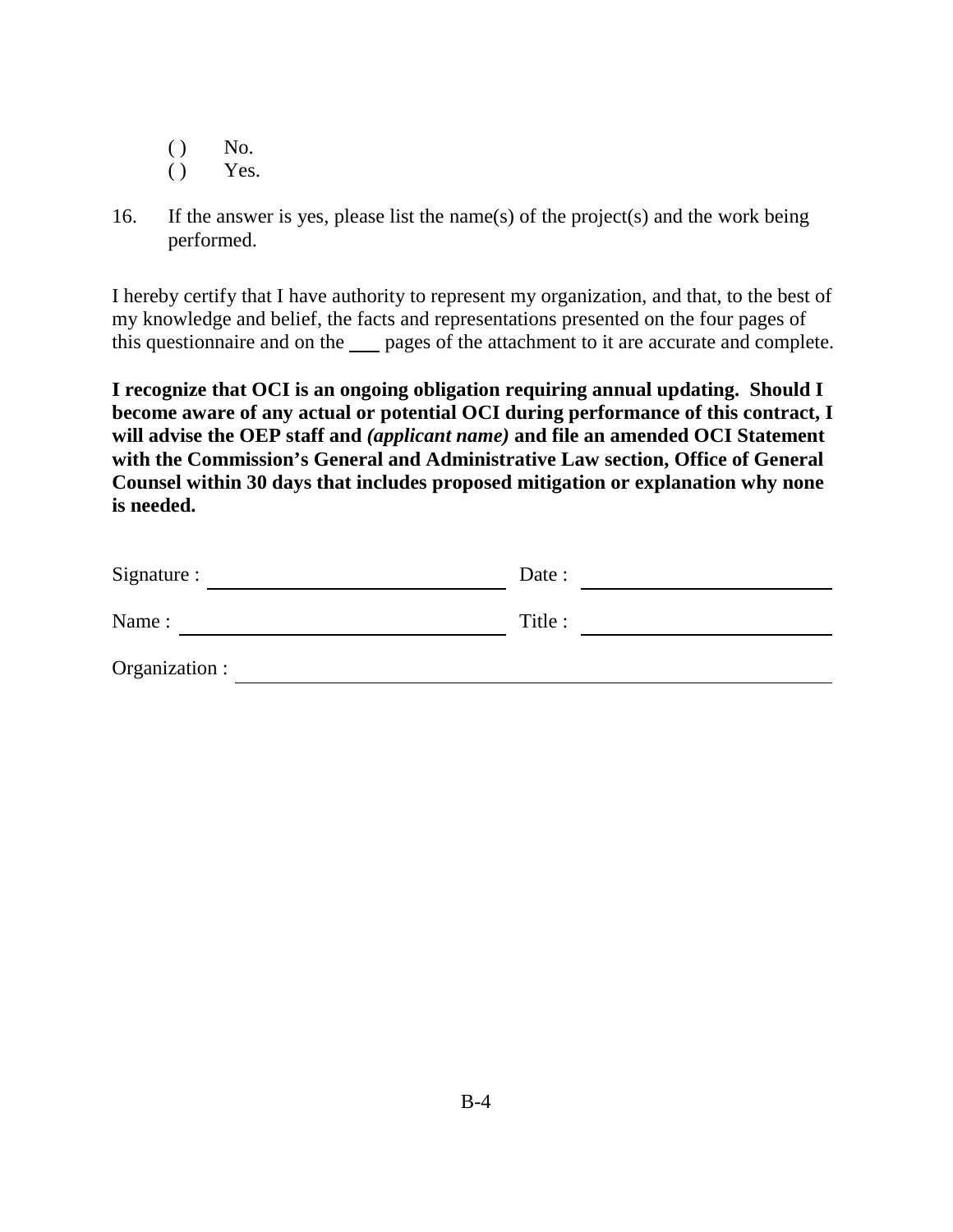- $()$  No.
- $()$  Yes.
- 16. If the answer is yes, please list the name(s) of the project(s) and the work being performed.

I hereby certify that I have authority to represent my organization, and that, to the best of my knowledge and belief, the facts and representations presented on the four pages of this questionnaire and on the pages of the attachment to it are accurate and complete.

**I recognize that OCI is an ongoing obligation requiring annual updating. Should I become aware of any actual or potential OCI during performance of this contract, I will advise the OEP staff and** *(applicant name)* **and file an amended OCI Statement with the Commission's General and Administrative Law section, Office of General Counsel within 30 days that includes proposed mitigation or explanation why none is needed.**

| Signature :    | Date :  |
|----------------|---------|
| Name:          | Title : |
| Organization : |         |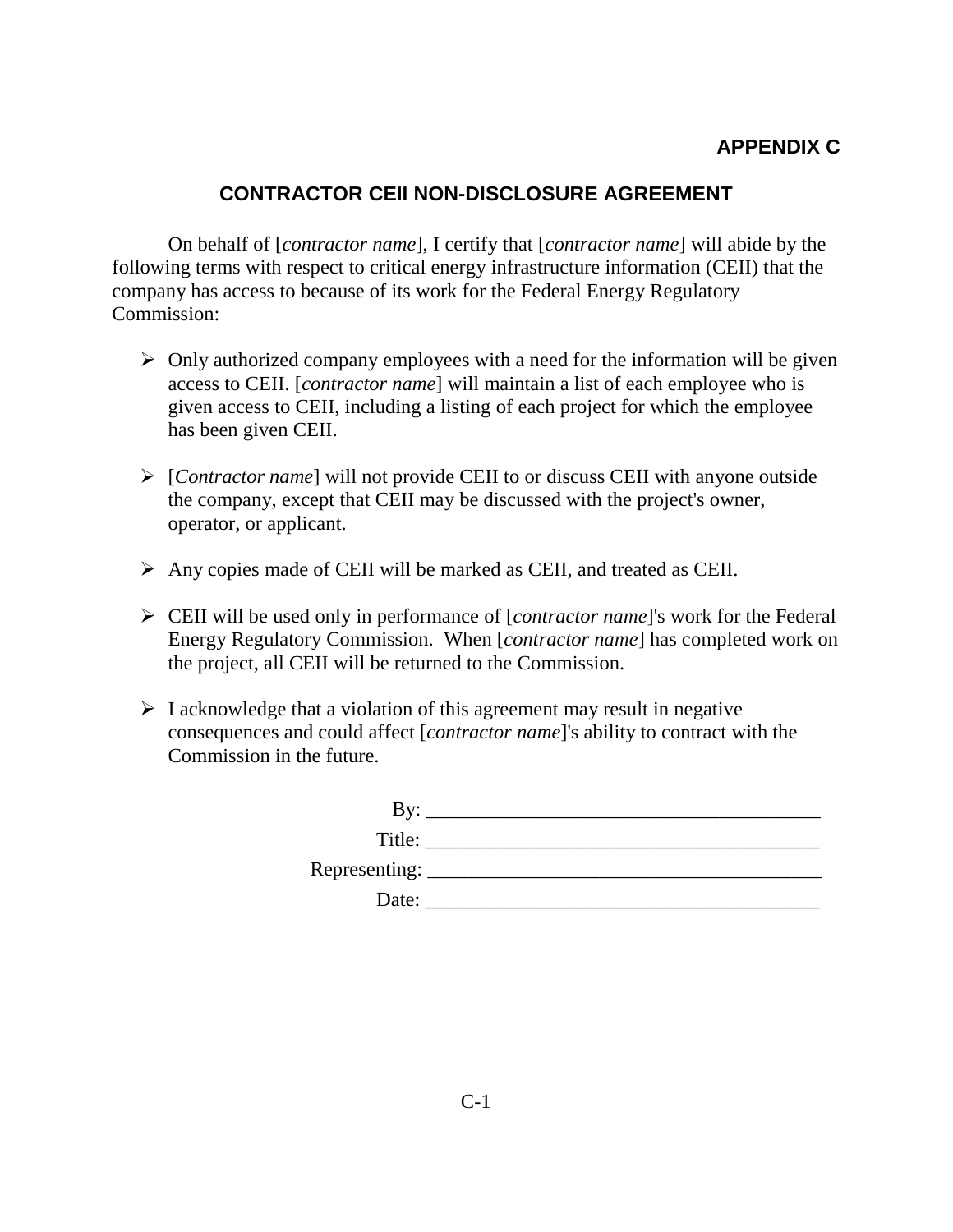# **APPENDIX C**

## **CONTRACTOR CEII NON-DISCLOSURE AGREEMENT**

On behalf of [*contractor name*], I certify that [*contractor name*] will abide by the following terms with respect to critical energy infrastructure information (CEII) that the company has access to because of its work for the Federal Energy Regulatory Commission:

- $\triangleright$  Only authorized company employees with a need for the information will be given access to CEII. [*contractor name*] will maintain a list of each employee who is given access to CEII, including a listing of each project for which the employee has been given CEII.
- [*Contractor name*] will not provide CEII to or discuss CEII with anyone outside the company, except that CEII may be discussed with the project's owner, operator, or applicant.
- $\triangleright$  Any copies made of CEII will be marked as CEII, and treated as CEII.
- CEII will be used only in performance of [*contractor name*]'s work for the Federal Energy Regulatory Commission. When [*contractor name*] has completed work on the project, all CEII will be returned to the Commission.
- $\triangleright$  I acknowledge that a violation of this agreement may result in negative consequences and could affect [*contractor name*]'s ability to contract with the Commission in the future.

| By.                  |                                                                                                                      |
|----------------------|----------------------------------------------------------------------------------------------------------------------|
| Title:               | <u> 1980 - Jan Stein Stein Stein Stein Stein Stein Stein Stein Stein Stein Stein Stein Stein Stein Stein Stein S</u> |
| Representing: ______ |                                                                                                                      |
| Date:                |                                                                                                                      |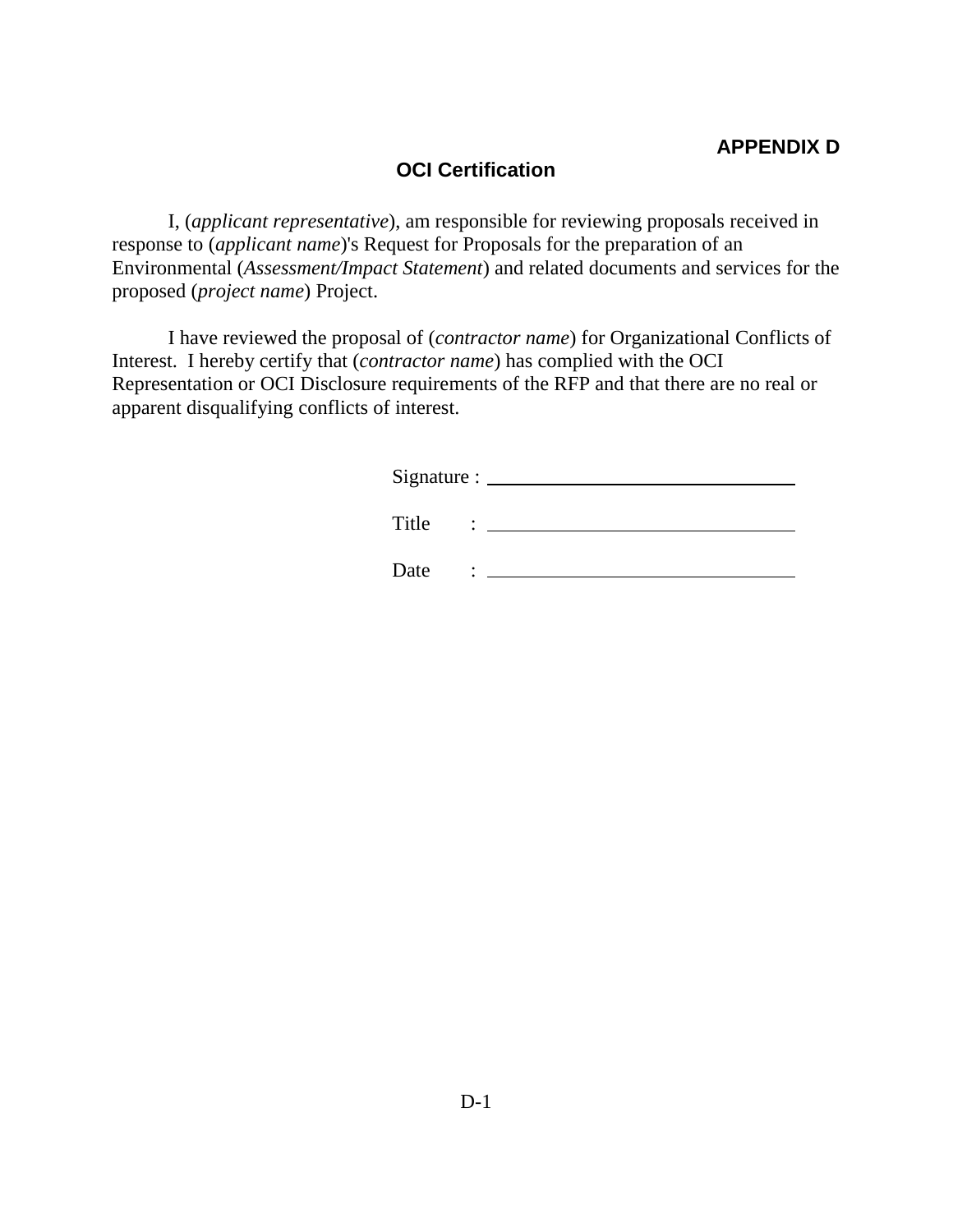## **OCI Certification**

I, (*applicant representative*), am responsible for reviewing proposals received in response to (*applicant name*)'s Request for Proposals for the preparation of an Environmental (*Assessment/Impact Statement*) and related documents and services for the proposed (*project name*) Project.

I have reviewed the proposal of (*contractor name*) for Organizational Conflicts of Interest. I hereby certify that (*contractor name*) has complied with the OCI Representation or OCI Disclosure requirements of the RFP and that there are no real or apparent disqualifying conflicts of interest.

Signature :

Title :

Date :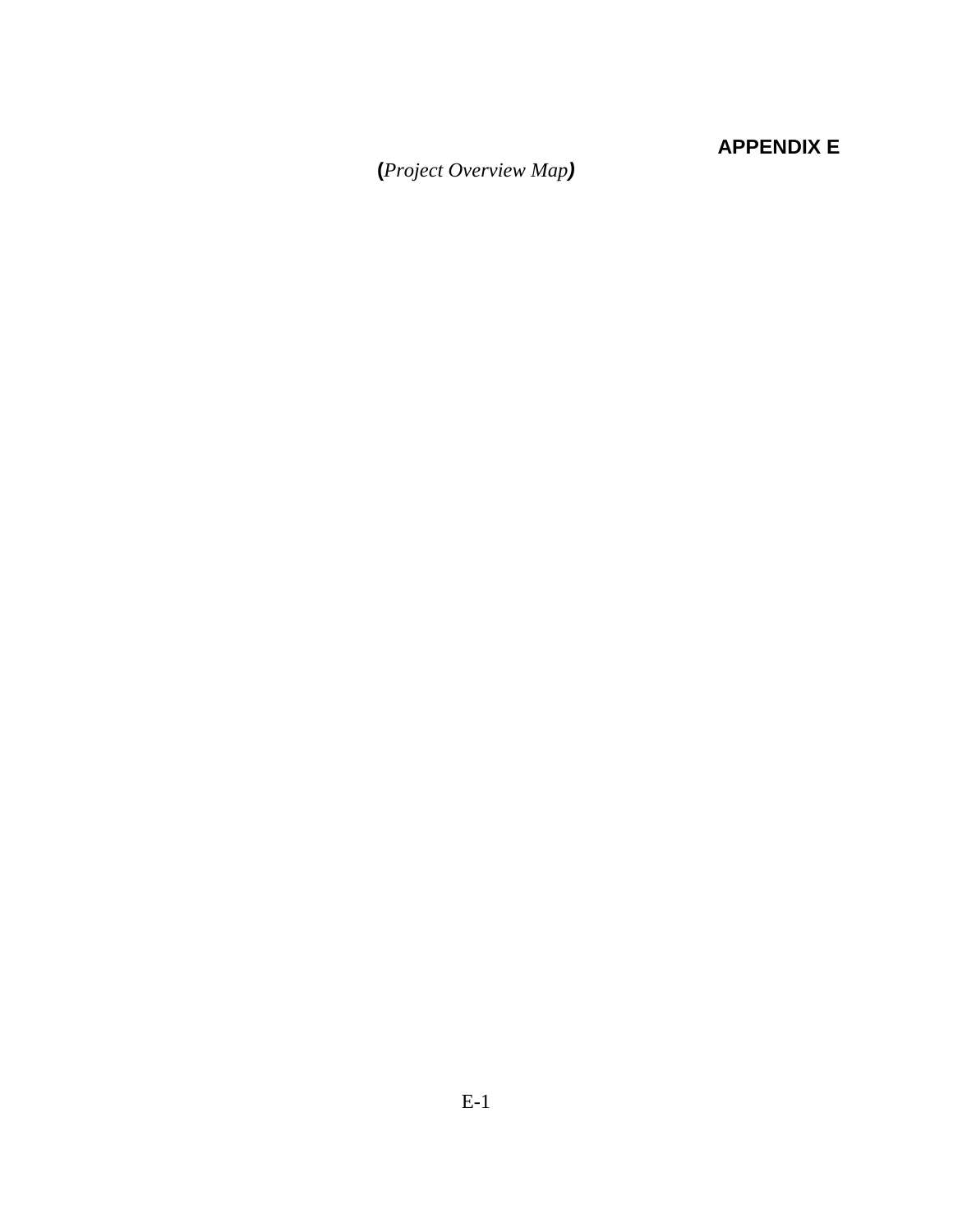# **APPENDIX E**

**(***Project Overview Map)*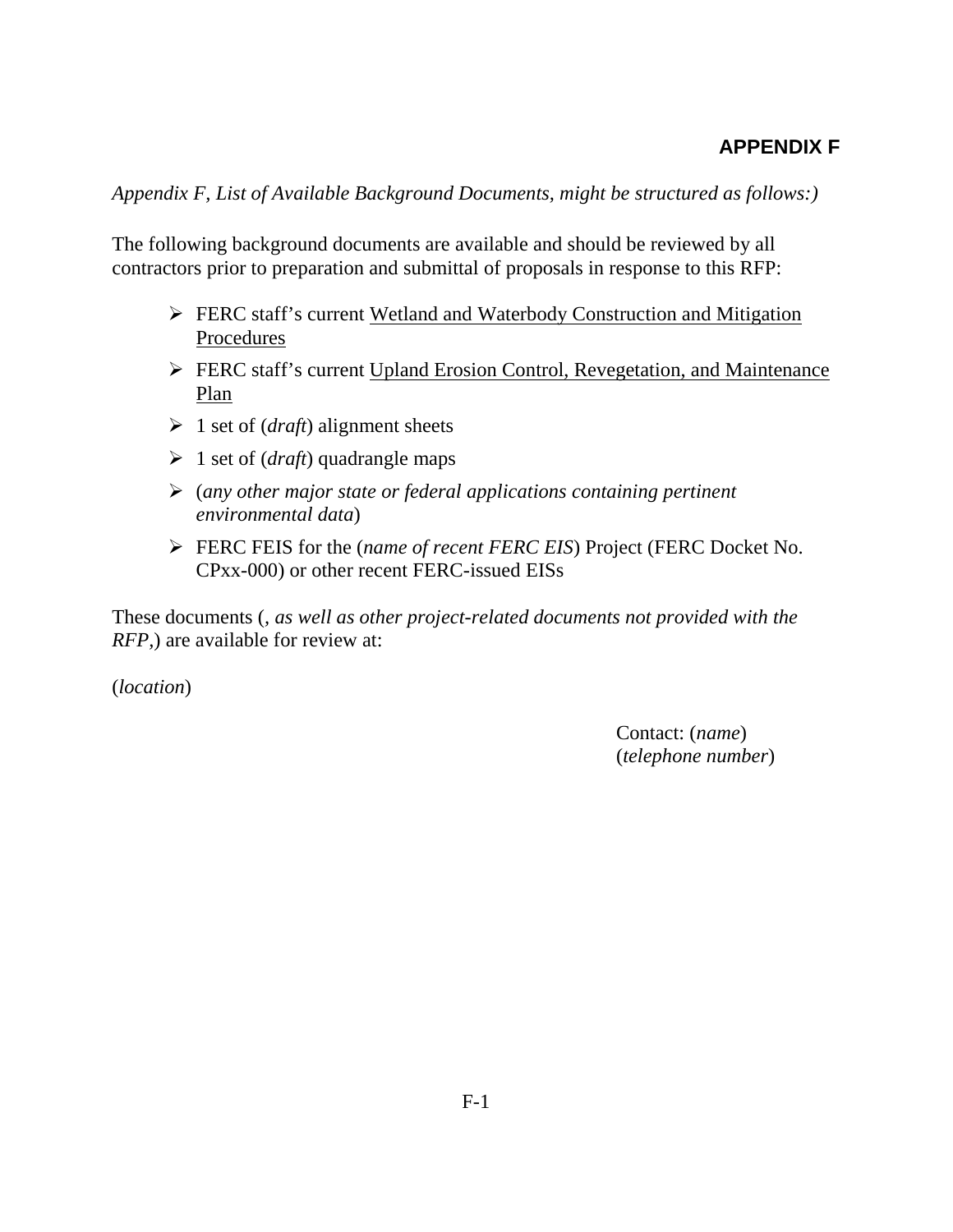# **APPENDIX F**

*Appendix F, List of Available Background Documents, might be structured as follows:)*

The following background documents are available and should be reviewed by all contractors prior to preparation and submittal of proposals in response to this RFP:

- **FERC** staff's current Wetland and Waterbody Construction and Mitigation Procedures
- FERC staff's current Upland Erosion Control, Revegetation, and Maintenance Plan
- $\geq 1$  set of (*draft*) alignment sheets
- 1 set of (*draft*) quadrangle maps
- (*any other major state or federal applications containing pertinent environmental data*)
- FERC FEIS for the (*name of recent FERC EIS*) Project (FERC Docket No. CPxx-000) or other recent FERC-issued EISs

These documents (*, as well as other project-related documents not provided with the RFP*, are available for review at:

(*location*)

Contact: (*name*) (*telephone number*)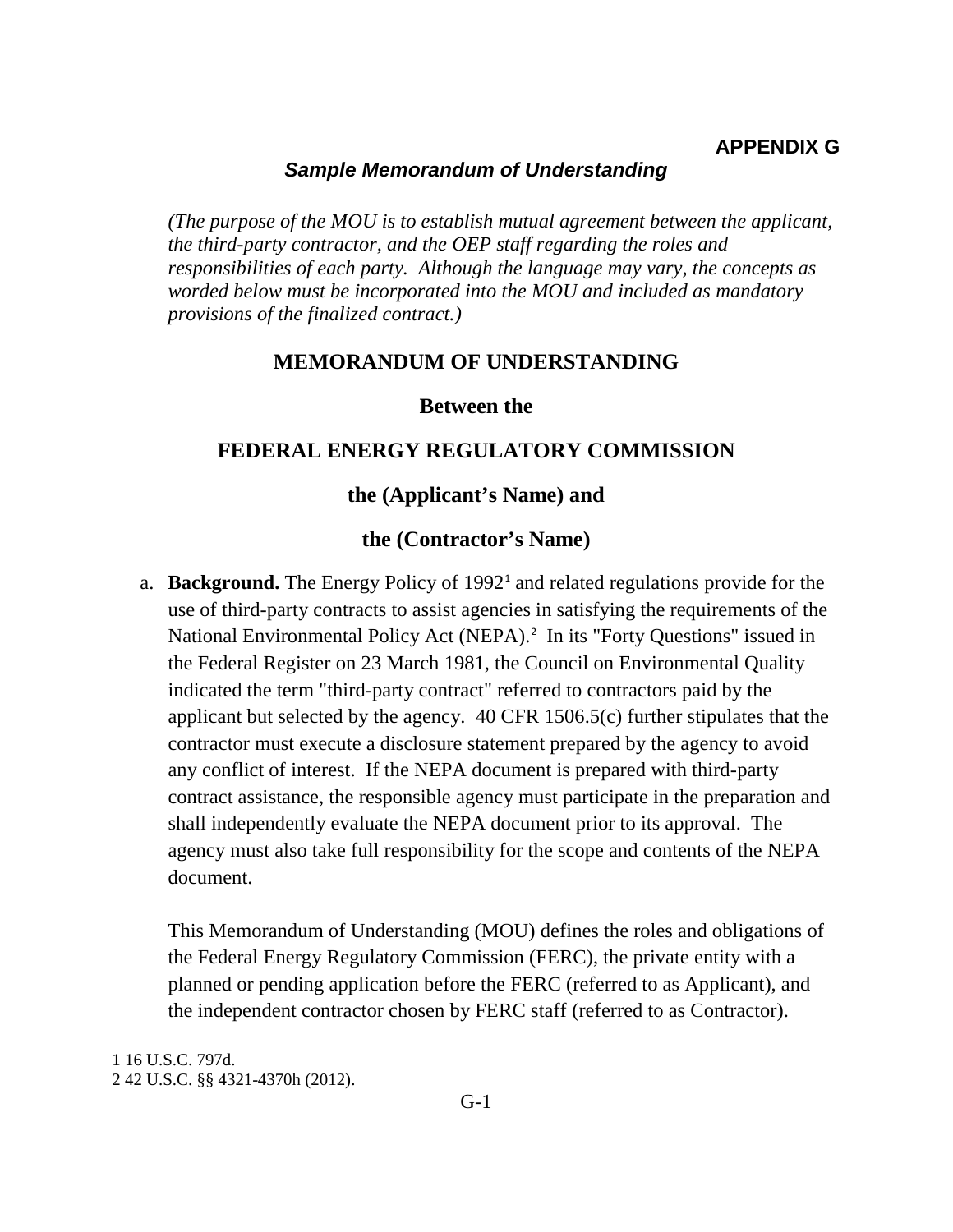## **APPENDIX G**

#### *Sample Memorandum of Understanding*

*(The purpose of the MOU is to establish mutual agreement between the applicant, the third-party contractor, and the OEP staff regarding the roles and responsibilities of each party. Although the language may vary, the concepts as worded below must be incorporated into the MOU and included as mandatory provisions of the finalized contract.)*

#### **MEMORANDUM OF UNDERSTANDING**

#### **Between the**

#### **FEDERAL ENERGY REGULATORY COMMISSION**

#### **the (Applicant's Name) and**

#### **the (Contractor's Name)**

a. **Background.** The Energy Policy of 1992<sup>1</sup> and related regulations provide for the use of third-party contracts to assist agencies in satisfying the requirements of the National Environmental Policy Act (NEPA).<sup>2</sup> In its "Forty Questions" issued in the Federal Register on 23 March 1981, the Council on Environmental Quality indicated the term "third-party contract" referred to contractors paid by the applicant but selected by the agency. 40 CFR 1506.5(c) further stipulates that the contractor must execute a disclosure statement prepared by the agency to avoid any conflict of interest. If the NEPA document is prepared with third-party contract assistance, the responsible agency must participate in the preparation and shall independently evaluate the NEPA document prior to its approval. The agency must also take full responsibility for the scope and contents of the NEPA document.

This Memorandum of Understanding (MOU) defines the roles and obligations of the Federal Energy Regulatory Commission (FERC), the private entity with a planned or pending application before the FERC (referred to as Applicant), and the independent contractor chosen by FERC staff (referred to as Contractor).

 $\overline{a}$ 

<sup>1</sup> 16 U.S.C. 797d.

<sup>2</sup> 42 U.S.C. §§ 4321-4370h (2012).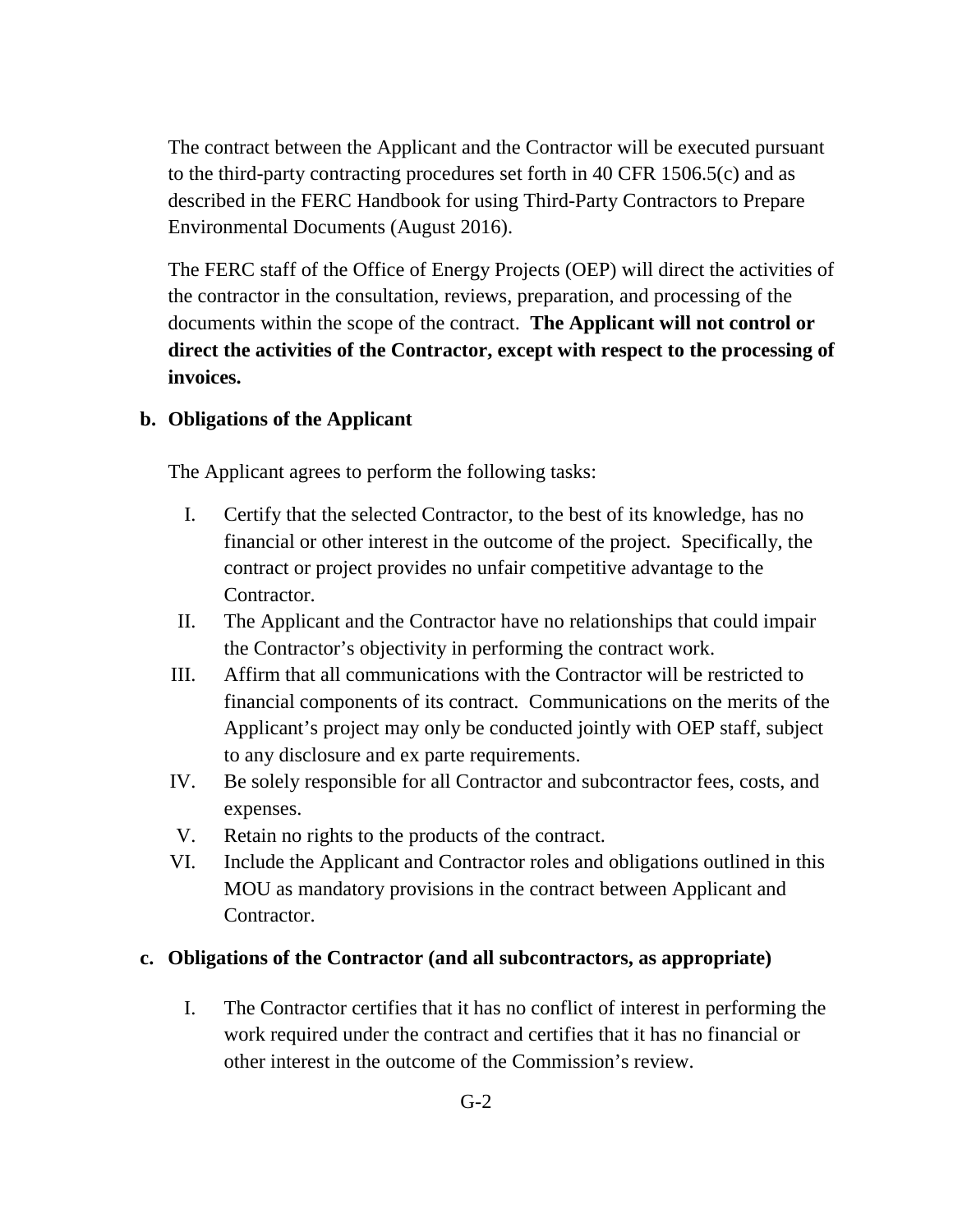The contract between the Applicant and the Contractor will be executed pursuant to the third-party contracting procedures set forth in 40 CFR 1506.5(c) and as described in the FERC Handbook for using Third-Party Contractors to Prepare Environmental Documents (August 2016).

The FERC staff of the Office of Energy Projects (OEP) will direct the activities of the contractor in the consultation, reviews, preparation, and processing of the documents within the scope of the contract. **The Applicant will not control or direct the activities of the Contractor, except with respect to the processing of invoices.** 

#### **b. Obligations of the Applicant**

The Applicant agrees to perform the following tasks:

- I. Certify that the selected Contractor, to the best of its knowledge, has no financial or other interest in the outcome of the project. Specifically, the contract or project provides no unfair competitive advantage to the Contractor.
- II. The Applicant and the Contractor have no relationships that could impair the Contractor's objectivity in performing the contract work.
- III. Affirm that all communications with the Contractor will be restricted to financial components of its contract. Communications on the merits of the Applicant's project may only be conducted jointly with OEP staff, subject to any disclosure and ex parte requirements.
- IV. Be solely responsible for all Contractor and subcontractor fees, costs, and expenses.
- V. Retain no rights to the products of the contract.
- VI. Include the Applicant and Contractor roles and obligations outlined in this MOU as mandatory provisions in the contract between Applicant and Contractor.

#### **c. Obligations of the Contractor (and all subcontractors, as appropriate)**

I. The Contractor certifies that it has no conflict of interest in performing the work required under the contract and certifies that it has no financial or other interest in the outcome of the Commission's review.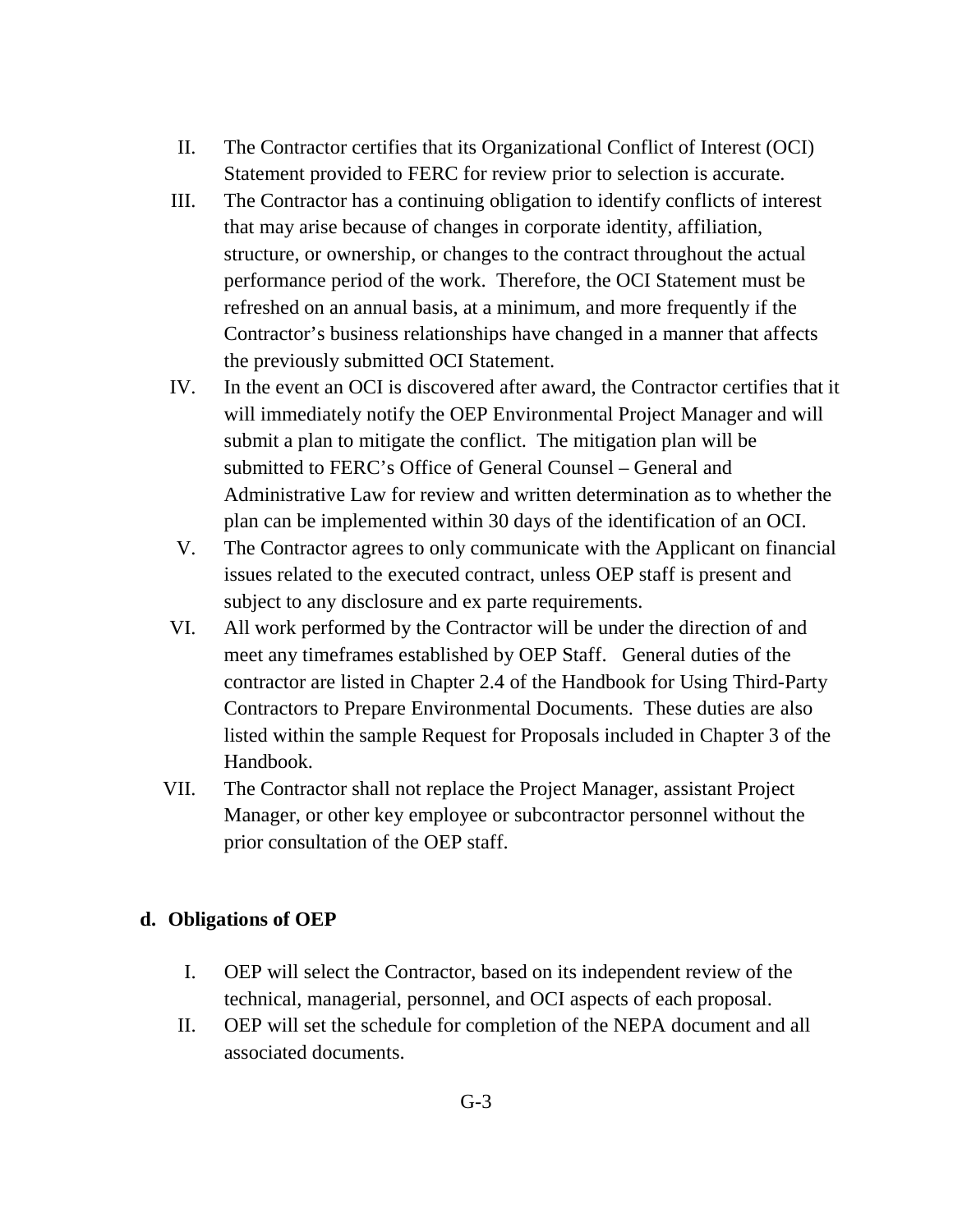- II. The Contractor certifies that its Organizational Conflict of Interest (OCI) Statement provided to FERC for review prior to selection is accurate.
- III. The Contractor has a continuing obligation to identify conflicts of interest that may arise because of changes in corporate identity, affiliation, structure, or ownership, or changes to the contract throughout the actual performance period of the work. Therefore, the OCI Statement must be refreshed on an annual basis, at a minimum, and more frequently if the Contractor's business relationships have changed in a manner that affects the previously submitted OCI Statement.
- IV. In the event an OCI is discovered after award, the Contractor certifies that it will immediately notify the OEP Environmental Project Manager and will submit a plan to mitigate the conflict. The mitigation plan will be submitted to FERC's Office of General Counsel – General and Administrative Law for review and written determination as to whether the plan can be implemented within 30 days of the identification of an OCI.
- V. The Contractor agrees to only communicate with the Applicant on financial issues related to the executed contract, unless OEP staff is present and subject to any disclosure and ex parte requirements.
- VI. All work performed by the Contractor will be under the direction of and meet any timeframes established by OEP Staff. General duties of the contractor are listed in Chapter 2.4 of the Handbook for Using Third-Party Contractors to Prepare Environmental Documents. These duties are also listed within the sample Request for Proposals included in Chapter 3 of the Handbook.
- VII. The Contractor shall not replace the Project Manager, assistant Project Manager, or other key employee or subcontractor personnel without the prior consultation of the OEP staff.

## **d. Obligations of OEP**

- I. OEP will select the Contractor, based on its independent review of the technical, managerial, personnel, and OCI aspects of each proposal.
- II. OEP will set the schedule for completion of the NEPA document and all associated documents.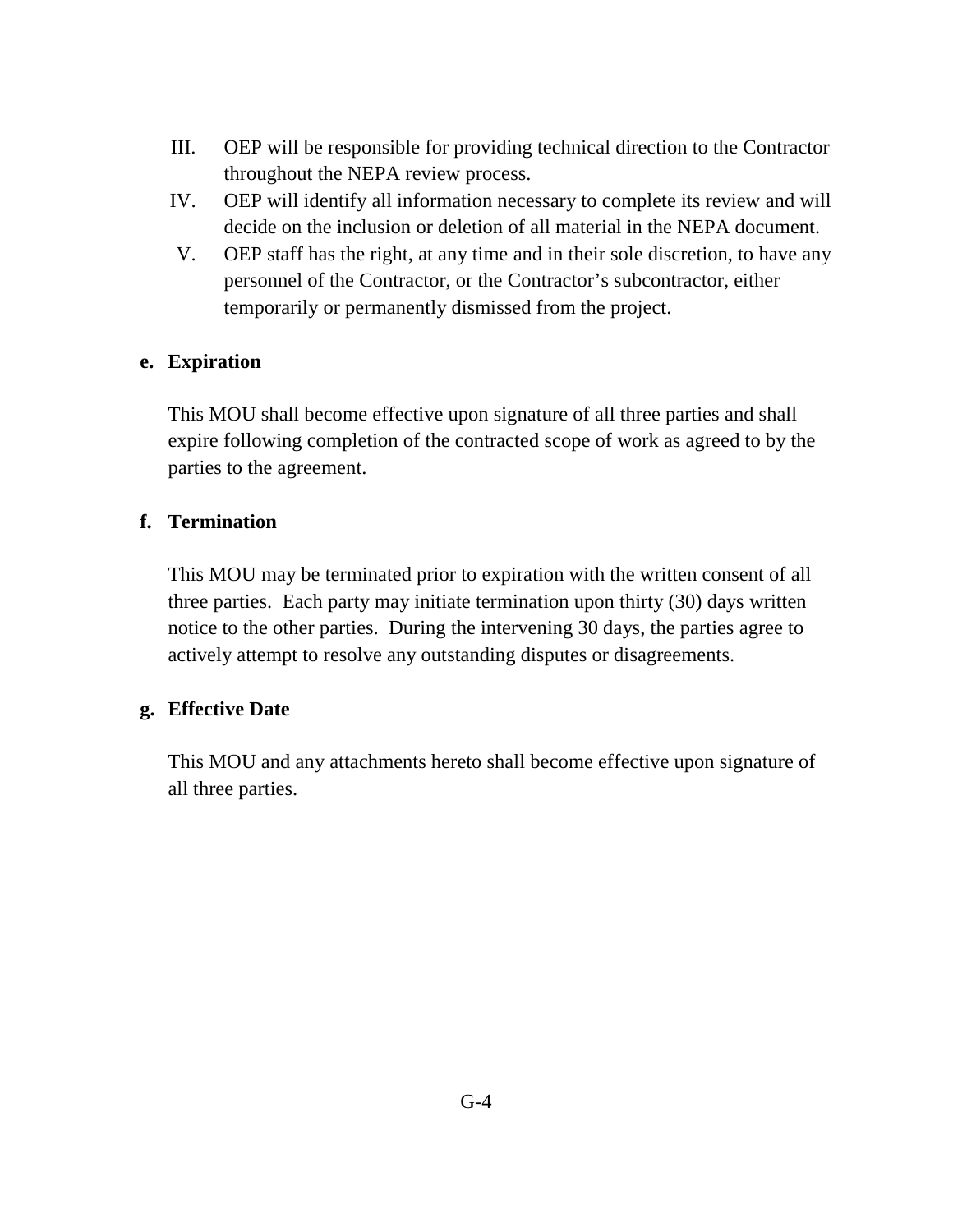- III. OEP will be responsible for providing technical direction to the Contractor throughout the NEPA review process.
- IV. OEP will identify all information necessary to complete its review and will decide on the inclusion or deletion of all material in the NEPA document.
- V. OEP staff has the right, at any time and in their sole discretion, to have any personnel of the Contractor, or the Contractor's subcontractor, either temporarily or permanently dismissed from the project.

## **e. Expiration**

This MOU shall become effective upon signature of all three parties and shall expire following completion of the contracted scope of work as agreed to by the parties to the agreement.

#### **f. Termination**

This MOU may be terminated prior to expiration with the written consent of all three parties. Each party may initiate termination upon thirty (30) days written notice to the other parties. During the intervening 30 days, the parties agree to actively attempt to resolve any outstanding disputes or disagreements.

#### **g. Effective Date**

This MOU and any attachments hereto shall become effective upon signature of all three parties.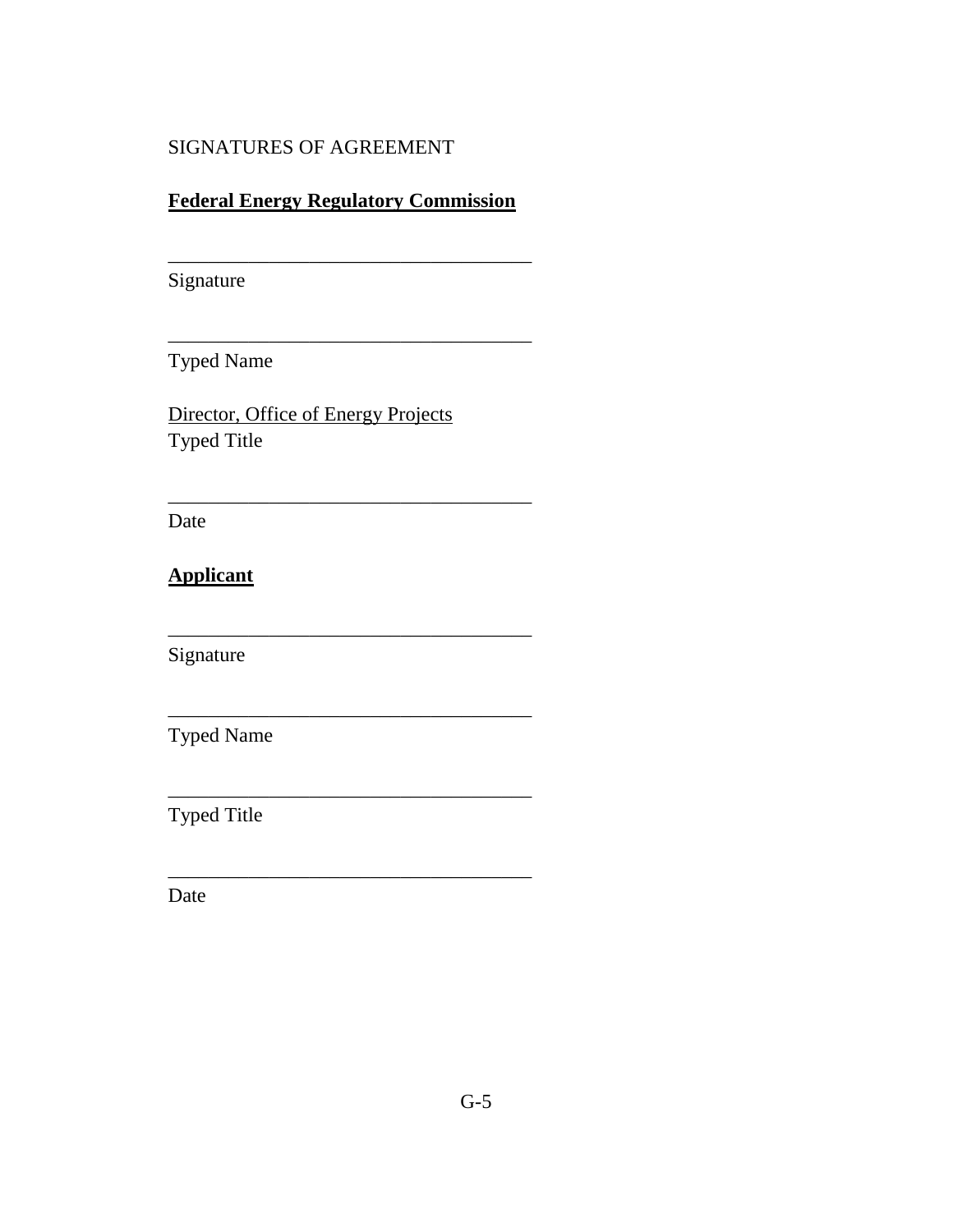## SIGNATURES OF AGREEMENT

## **Federal Energy Regulatory Commission**

\_\_\_\_\_\_\_\_\_\_\_\_\_\_\_\_\_\_\_\_\_\_\_\_\_\_\_\_\_\_\_\_\_\_\_\_

\_\_\_\_\_\_\_\_\_\_\_\_\_\_\_\_\_\_\_\_\_\_\_\_\_\_\_\_\_\_\_\_\_\_\_\_

\_\_\_\_\_\_\_\_\_\_\_\_\_\_\_\_\_\_\_\_\_\_\_\_\_\_\_\_\_\_\_\_\_\_\_\_

\_\_\_\_\_\_\_\_\_\_\_\_\_\_\_\_\_\_\_\_\_\_\_\_\_\_\_\_\_\_\_\_\_\_\_\_

\_\_\_\_\_\_\_\_\_\_\_\_\_\_\_\_\_\_\_\_\_\_\_\_\_\_\_\_\_\_\_\_\_\_\_\_

\_\_\_\_\_\_\_\_\_\_\_\_\_\_\_\_\_\_\_\_\_\_\_\_\_\_\_\_\_\_\_\_\_\_\_\_

\_\_\_\_\_\_\_\_\_\_\_\_\_\_\_\_\_\_\_\_\_\_\_\_\_\_\_\_\_\_\_\_\_\_\_\_

Signature

Typed Name

Director, Office of Energy Projects Typed Title

Date

**Applicant**

Signature

Typed Name

Typed Title

Date